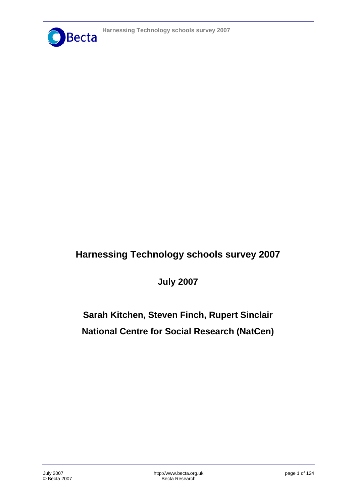

# **Harnessing Technology schools survey 2007**

**July 2007** 

**Sarah Kitchen, Steven Finch, Rupert Sinclair National Centre for Social Research (NatCen)**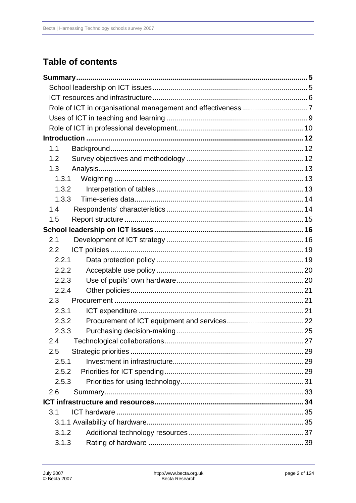# **Table of contents**

| 1.1              |  |
|------------------|--|
| 1.2              |  |
| 1.3              |  |
| 1.3.1            |  |
| 1.3.2            |  |
| 1.3.3            |  |
| 1.4              |  |
| 1.5              |  |
|                  |  |
| 2.1              |  |
| $2.2\phantom{0}$ |  |
| 2.2.1            |  |
| 2.2.2            |  |
| 2.2.3            |  |
| 2.2.4            |  |
| 2.3              |  |
| 2.3.1            |  |
| 2.3.2            |  |
| 2.3.3            |  |
| 2.4              |  |
| 2.5              |  |
| 2.5.1            |  |
| 2.5.2            |  |
| 2.5.3            |  |
| 2.6              |  |
|                  |  |
| 3.1              |  |
|                  |  |
| 3.1.2            |  |
| 3.1.3            |  |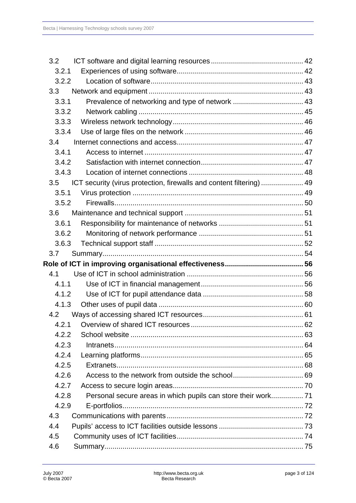| 3.2   |                                                                      |  |
|-------|----------------------------------------------------------------------|--|
| 3.2.1 |                                                                      |  |
| 3.2.2 |                                                                      |  |
| 3.3   |                                                                      |  |
| 3.3.1 | Prevalence of networking and type of network  43                     |  |
| 3.3.2 |                                                                      |  |
| 3.3.3 |                                                                      |  |
| 3.3.4 |                                                                      |  |
| 3.4   |                                                                      |  |
| 3.4.1 |                                                                      |  |
| 3.4.2 |                                                                      |  |
| 3.4.3 |                                                                      |  |
| 3.5   | ICT security (virus protection, firewalls and content filtering)  49 |  |
| 3.5.1 |                                                                      |  |
| 3.5.2 |                                                                      |  |
| 3.6   |                                                                      |  |
| 3.6.1 |                                                                      |  |
| 3.6.2 |                                                                      |  |
| 3.6.3 |                                                                      |  |
|       |                                                                      |  |
| 3.7   |                                                                      |  |
|       |                                                                      |  |
| 4.1   |                                                                      |  |
| 4.1.1 |                                                                      |  |
| 4.1.2 |                                                                      |  |
| 4.1.3 |                                                                      |  |
| 4.2   |                                                                      |  |
|       |                                                                      |  |
| 4.2.2 |                                                                      |  |
| 4.2.3 |                                                                      |  |
| 4.2.4 |                                                                      |  |
| 4.2.5 |                                                                      |  |
| 4.2.6 |                                                                      |  |
| 4.2.7 |                                                                      |  |
| 4.2.8 | Personal secure areas in which pupils can store their work 71        |  |
| 4.2.9 |                                                                      |  |
| 4.3   |                                                                      |  |
| 4.4   |                                                                      |  |
| 4.5   |                                                                      |  |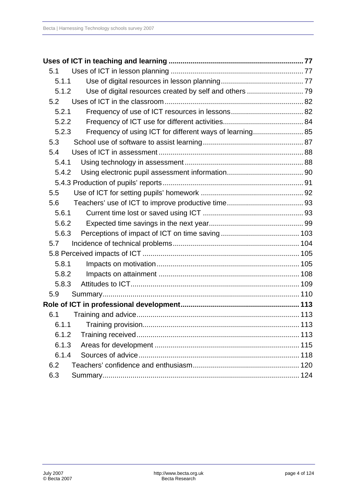| 5.1   |                                                          |  |
|-------|----------------------------------------------------------|--|
| 5.1.1 |                                                          |  |
| 5.1.2 | Use of digital resources created by self and others  79  |  |
| 5.2   |                                                          |  |
| 5.2.1 |                                                          |  |
| 5.2.2 |                                                          |  |
| 5.2.3 | Frequency of using ICT for different ways of learning 85 |  |
| 5.3   |                                                          |  |
| 5.4   |                                                          |  |
| 5.4.1 |                                                          |  |
| 5.4.2 |                                                          |  |
|       |                                                          |  |
| 5.5   |                                                          |  |
| 5.6   |                                                          |  |
| 5.6.1 |                                                          |  |
| 5.6.2 |                                                          |  |
| 5.6.3 |                                                          |  |
| 5.7   |                                                          |  |
|       |                                                          |  |
| 5.8.1 |                                                          |  |
| 5.8.2 |                                                          |  |
| 5.8.3 |                                                          |  |
| 5.9   |                                                          |  |
|       |                                                          |  |
| 6.1   |                                                          |  |
|       |                                                          |  |
| 6.1.2 |                                                          |  |
| 6.1.3 |                                                          |  |
| 6.1.4 |                                                          |  |
| 6.2   |                                                          |  |
| 6.3   |                                                          |  |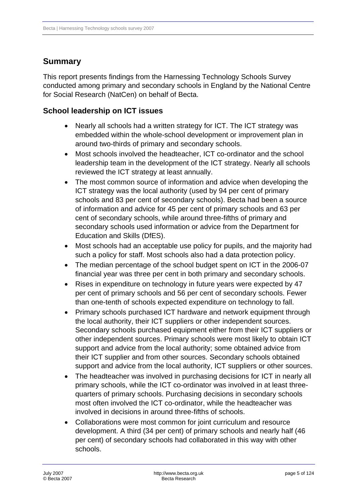# <span id="page-4-0"></span>**Summary**

This report presents findings from the Harnessing Technology Schools Survey conducted among primary and secondary schools in England by the National Centre for Social Research (NatCen) on behalf of Becta.

# **School leadership on ICT issues**

- Nearly all schools had a written strategy for ICT. The ICT strategy was embedded within the whole-school development or improvement plan in around two-thirds of primary and secondary schools.
- Most schools involved the headteacher, ICT co-ordinator and the school leadership team in the development of the ICT strategy. Nearly all schools reviewed the ICT strategy at least annually.
- The most common source of information and advice when developing the ICT strategy was the local authority (used by 94 per cent of primary schools and 83 per cent of secondary schools). Becta had been a source of information and advice for 45 per cent of primary schools and 63 per cent of secondary schools, while around three-fifths of primary and secondary schools used information or advice from the Department for Education and Skills (DfES).
- Most schools had an acceptable use policy for pupils, and the majority had such a policy for staff. Most schools also had a data protection policy.
- The median percentage of the school budget spent on ICT in the 2006-07 financial year was three per cent in both primary and secondary schools.
- Rises in expenditure on technology in future years were expected by 47 per cent of primary schools and 56 per cent of secondary schools. Fewer than one-tenth of schools expected expenditure on technology to fall.
- Primary schools purchased ICT hardware and network equipment through the local authority, their ICT suppliers or other independent sources. Secondary schools purchased equipment either from their ICT suppliers or other independent sources. Primary schools were most likely to obtain ICT support and advice from the local authority; some obtained advice from their ICT supplier and from other sources. Secondary schools obtained support and advice from the local authority, ICT suppliers or other sources.
- The headteacher was involved in purchasing decisions for ICT in nearly all primary schools, while the ICT co-ordinator was involved in at least threequarters of primary schools. Purchasing decisions in secondary schools most often involved the ICT co-ordinator, while the headteacher was involved in decisions in around three-fifths of schools.
- Collaborations were most common for joint curriculum and resource development. A third (34 per cent) of primary schools and nearly half (46 per cent) of secondary schools had collaborated in this way with other schools.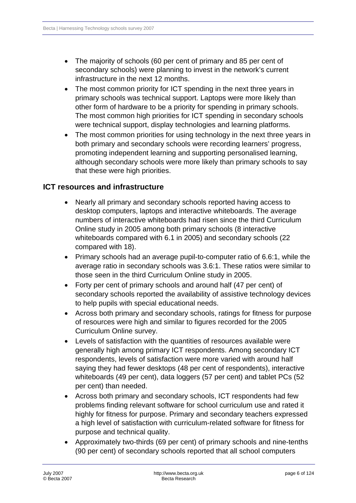- <span id="page-5-0"></span>• The majority of schools (60 per cent of primary and 85 per cent of secondary schools) were planning to invest in the network's current infrastructure in the next 12 months.
- The most common priority for ICT spending in the next three years in primary schools was technical support. Laptops were more likely than other form of hardware to be a priority for spending in primary schools. The most common high priorities for ICT spending in secondary schools were technical support, display technologies and learning platforms.
- The most common priorities for using technology in the next three years in both primary and secondary schools were recording learners' progress, promoting independent learning and supporting personalised learning, although secondary schools were more likely than primary schools to say that these were high priorities.

### **ICT resources and infrastructure**

- Nearly all primary and secondary schools reported having access to desktop computers, laptops and interactive whiteboards. The average numbers of interactive whiteboards had risen since the third Curriculum Online study in 2005 among both primary schools (8 interactive whiteboards compared with 6.1 in 2005) and secondary schools (22 compared with 18).
- Primary schools had an average pupil-to-computer ratio of 6.6:1, while the average ratio in secondary schools was 3.6:1. These ratios were similar to those seen in the third Curriculum Online study in 2005.
- Forty per cent of primary schools and around half (47 per cent) of secondary schools reported the availability of assistive technology devices to help pupils with special educational needs.
- Across both primary and secondary schools, ratings for fitness for purpose of resources were high and similar to figures recorded for the 2005 Curriculum Online survey.
- Levels of satisfaction with the quantities of resources available were generally high among primary ICT respondents. Among secondary ICT respondents, levels of satisfaction were more varied with around half saying they had fewer desktops (48 per cent of respondents), interactive whiteboards (49 per cent), data loggers (57 per cent) and tablet PCs (52 per cent) than needed.
- Across both primary and secondary schools, ICT respondents had few problems finding relevant software for school curriculum use and rated it highly for fitness for purpose. Primary and secondary teachers expressed a high level of satisfaction with curriculum-related software for fitness for purpose and technical quality.
- Approximately two-thirds (69 per cent) of primary schools and nine-tenths (90 per cent) of secondary schools reported that all school computers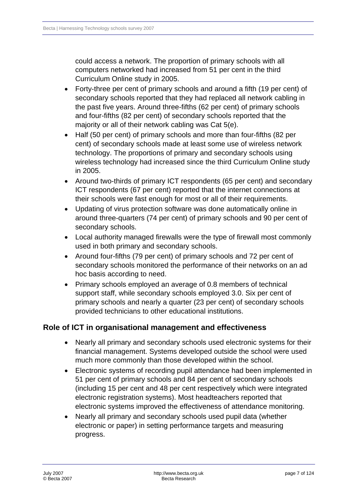<span id="page-6-0"></span>could access a network. The proportion of primary schools with all computers networked had increased from 51 per cent in the third Curriculum Online study in 2005.

- Forty-three per cent of primary schools and around a fifth (19 per cent) of secondary schools reported that they had replaced all network cabling in the past five years. Around three-fifths (62 per cent) of primary schools and four-fifths (82 per cent) of secondary schools reported that the majority or all of their network cabling was Cat 5(e).
- Half (50 per cent) of primary schools and more than four-fifths (82 per cent) of secondary schools made at least some use of wireless network technology. The proportions of primary and secondary schools using wireless technology had increased since the third Curriculum Online study in 2005.
- Around two-thirds of primary ICT respondents (65 per cent) and secondary ICT respondents (67 per cent) reported that the internet connections at their schools were fast enough for most or all of their requirements.
- Updating of virus protection software was done automatically online in around three-quarters (74 per cent) of primary schools and 90 per cent of secondary schools.
- Local authority managed firewalls were the type of firewall most commonly used in both primary and secondary schools.
- Around four-fifths (79 per cent) of primary schools and 72 per cent of secondary schools monitored the performance of their networks on an ad hoc basis according to need.
- Primary schools employed an average of 0.8 members of technical support staff, while secondary schools employed 3.0. Six per cent of primary schools and nearly a quarter (23 per cent) of secondary schools provided technicians to other educational institutions.

# **Role of ICT in organisational management and effectiveness**

- Nearly all primary and secondary schools used electronic systems for their financial management. Systems developed outside the school were used much more commonly than those developed within the school.
- Electronic systems of recording pupil attendance had been implemented in 51 per cent of primary schools and 84 per cent of secondary schools (including 15 per cent and 48 per cent respectively which were integrated electronic registration systems). Most headteachers reported that electronic systems improved the effectiveness of attendance monitoring.
- Nearly all primary and secondary schools used pupil data (whether electronic or paper) in setting performance targets and measuring progress.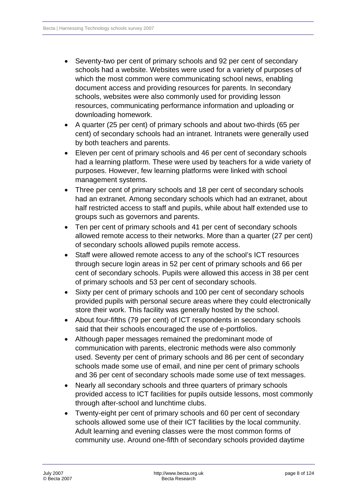- Seventy-two per cent of primary schools and 92 per cent of secondary schools had a website. Websites were used for a variety of purposes of which the most common were communicating school news, enabling document access and providing resources for parents. In secondary schools, websites were also commonly used for providing lesson resources, communicating performance information and uploading or downloading homework.
- A quarter (25 per cent) of primary schools and about two-thirds (65 per cent) of secondary schools had an intranet. Intranets were generally used by both teachers and parents.
- Eleven per cent of primary schools and 46 per cent of secondary schools had a learning platform. These were used by teachers for a wide variety of purposes. However, few learning platforms were linked with school management systems.
- Three per cent of primary schools and 18 per cent of secondary schools had an extranet. Among secondary schools which had an extranet, about half restricted access to staff and pupils, while about half extended use to groups such as governors and parents.
- Ten per cent of primary schools and 41 per cent of secondary schools allowed remote access to their networks. More than a quarter (27 per cent) of secondary schools allowed pupils remote access.
- Staff were allowed remote access to any of the school's ICT resources through secure login areas in 52 per cent of primary schools and 66 per cent of secondary schools. Pupils were allowed this access in 38 per cent of primary schools and 53 per cent of secondary schools.
- Sixty per cent of primary schools and 100 per cent of secondary schools provided pupils with personal secure areas where they could electronically store their work. This facility was generally hosted by the school.
- About four-fifths (79 per cent) of ICT respondents in secondary schools said that their schools encouraged the use of e-portfolios.
- Although paper messages remained the predominant mode of communication with parents, electronic methods were also commonly used. Seventy per cent of primary schools and 86 per cent of secondary schools made some use of email, and nine per cent of primary schools and 36 per cent of secondary schools made some use of text messages.
- Nearly all secondary schools and three quarters of primary schools provided access to ICT facilities for pupils outside lessons, most commonly through after-school and lunchtime clubs.
- Twenty-eight per cent of primary schools and 60 per cent of secondary schools allowed some use of their ICT facilities by the local community. Adult learning and evening classes were the most common forms of community use. Around one-fifth of secondary schools provided daytime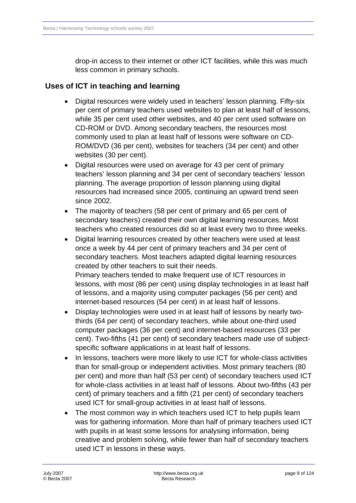drop-in access to their internet or other ICT facilities, while this was much less common in primary schools.

# <span id="page-8-0"></span> **Uses of ICT in teaching and learning**

- Digital resources were widely used in teachers' lesson planning. Fifty-six per cent of primary teachers used websites to plan at least half of lessons, while 35 per cent used other websites, and 40 per cent used software on CD-ROM or DVD. Among secondary teachers, the resources most commonly used to plan at least half of lessons were software on CD-ROM/DVD (36 per cent), websites for teachers (34 per cent) and other websites (30 per cent).
- Digital resources were used on average for 43 per cent of primary teachers' lesson planning and 34 per cent of secondary teachers' lesson planning. The average proportion of lesson planning using digital resources had increased since 2005, continuing an upward trend seen since 2002.
- The majority of teachers (58 per cent of primary and 65 per cent of secondary teachers) created their own digital learning resources. Most teachers who created resources did so at least every two to three weeks.
- Digital learning resources created by other teachers were used at least once a week by 44 per cent of primary teachers and 34 per cent of secondary teachers. Most teachers adapted digital learning resources created by other teachers to suit their needs. Primary teachers tended to make frequent use of ICT resources in lessons, with most (86 per cent) using display technologies in at least half of lessons, and a majority using computer packages (56 per cent) and internet-based resources (54 per cent) in at least half of lessons.
- Display technologies were used in at least half of lessons by nearly twothirds (64 per cent) of secondary teachers, while about one-third used computer packages (36 per cent) and internet-based resources (33 per cent). Two-fifths (41 per cent) of secondary teachers made use of subjectspecific software applications in at least half of lessons.
- In lessons, teachers were more likely to use ICT for whole-class activities than for small-group or independent activities. Most primary teachers (80 per cent) and more than half (53 per cent) of secondary teachers used ICT for whole-class activities in at least half of lessons. About two-fifths (43 per cent) of primary teachers and a fifth (21 per cent) of secondary teachers used ICT for small-group activities in at least half of lessons.
- The most common way in which teachers used ICT to help pupils learn was for gathering information. More than half of primary teachers used ICT with pupils in at least some lessons for analysing information, being creative and problem solving, while fewer than half of secondary teachers used ICT in lessons in these ways.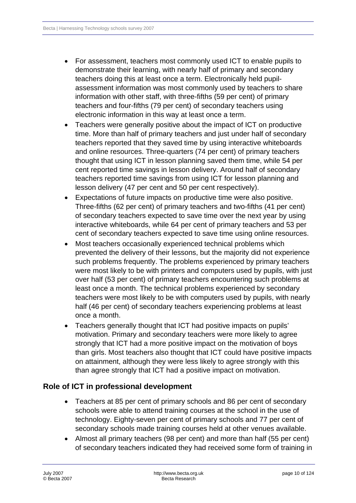- <span id="page-9-0"></span>• For assessment, teachers most commonly used ICT to enable pupils to demonstrate their learning, with nearly half of primary and secondary teachers doing this at least once a term. Electronically held pupilassessment information was most commonly used by teachers to share information with other staff, with three-fifths (59 per cent) of primary teachers and four-fifths (79 per cent) of secondary teachers using electronic information in this way at least once a term.
- Teachers were generally positive about the impact of ICT on productive time. More than half of primary teachers and just under half of secondary teachers reported that they saved time by using interactive whiteboards and online resources. Three-quarters (74 per cent) of primary teachers thought that using ICT in lesson planning saved them time, while 54 per cent reported time savings in lesson delivery. Around half of secondary teachers reported time savings from using ICT for lesson planning and lesson delivery (47 per cent and 50 per cent respectively).
- Expectations of future impacts on productive time were also positive. Three-fifths (62 per cent) of primary teachers and two-fifths (41 per cent) of secondary teachers expected to save time over the next year by using interactive whiteboards, while 64 per cent of primary teachers and 53 per cent of secondary teachers expected to save time using online resources.
- Most teachers occasionally experienced technical problems which prevented the delivery of their lessons, but the majority did not experience such problems frequently. The problems experienced by primary teachers were most likely to be with printers and computers used by pupils, with just over half (53 per cent) of primary teachers encountering such problems at least once a month. The technical problems experienced by secondary teachers were most likely to be with computers used by pupils, with nearly half (46 per cent) of secondary teachers experiencing problems at least once a month.
- Teachers generally thought that ICT had positive impacts on pupils' motivation. Primary and secondary teachers were more likely to agree strongly that ICT had a more positive impact on the motivation of boys than girls. Most teachers also thought that ICT could have positive impacts on attainment, although they were less likely to agree strongly with this than agree strongly that ICT had a positive impact on motivation.

# **Role of ICT in professional development**

- Teachers at 85 per cent of primary schools and 86 per cent of secondary schools were able to attend training courses at the school in the use of technology. Eighty-seven per cent of primary schools and 77 per cent of secondary schools made training courses held at other venues available.
- Almost all primary teachers (98 per cent) and more than half (55 per cent) of secondary teachers indicated they had received some form of training in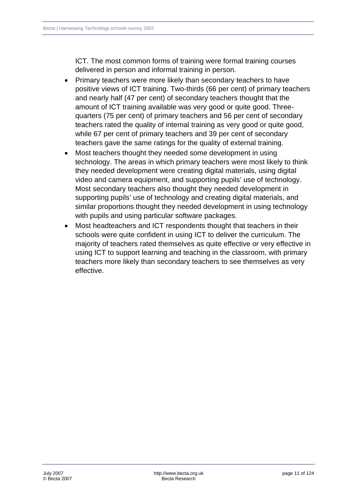ICT. The most common forms of training were formal training courses delivered in person and informal training in person.

- Primary teachers were more likely than secondary teachers to have positive views of ICT training. Two-thirds (66 per cent) of primary teachers and nearly half (47 per cent) of secondary teachers thought that the amount of ICT training available was very good or quite good. Threequarters (75 per cent) of primary teachers and 56 per cent of secondary teachers rated the quality of internal training as very good or quite good, while 67 per cent of primary teachers and 39 per cent of secondary teachers gave the same ratings for the quality of external training.
- Most teachers thought they needed some development in using technology. The areas in which primary teachers were most likely to think they needed development were creating digital materials, using digital video and camera equipment, and supporting pupils' use of technology. Most secondary teachers also thought they needed development in supporting pupils' use of technology and creating digital materials, and similar proportions thought they needed development in using technology with pupils and using particular software packages.
- Most headteachers and ICT respondents thought that teachers in their schools were quite confident in using ICT to deliver the curriculum. The majority of teachers rated themselves as quite effective or very effective in using ICT to support learning and teaching in the classroom, with primary teachers more likely than secondary teachers to see themselves as very effective.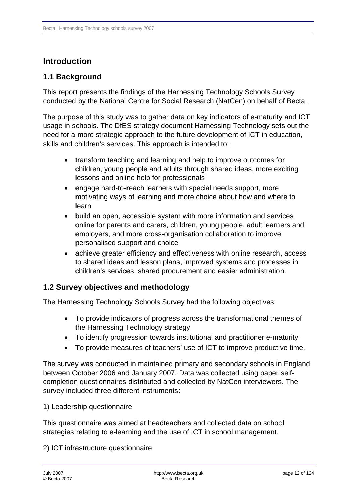# <span id="page-11-0"></span>**Introduction**

# **1.1 Background**

This report presents the findings of the Harnessing Technology Schools Survey conducted by the National Centre for Social Research (NatCen) on behalf of Becta.

The purpose of this study was to gather data on key indicators of e-maturity and ICT usage in schools. The DfES strategy document Harnessing Technology sets out the need for a more strategic approach to the future development of ICT in education, skills and children's services. This approach is intended to:

- transform teaching and learning and help to improve outcomes for children, young people and adults through shared ideas, more exciting lessons and online help for professionals
- engage hard-to-reach learners with special needs support, more motivating ways of learning and more choice about how and where to learn
- build an open, accessible system with more information and services online for parents and carers, children, young people, adult learners and employers, and more cross-organisation collaboration to improve personalised support and choice
- achieve greater efficiency and effectiveness with online research, access to shared ideas and lesson plans, improved systems and processes in children's services, shared procurement and easier administration.

# **1.2 Survey objectives and methodology**

The Harnessing Technology Schools Survey had the following objectives:

- To provide indicators of progress across the transformational themes of the Harnessing Technology strategy
- To identify progression towards institutional and practitioner e-maturity
- To provide measures of teachers' use of ICT to improve productive time.

The survey was conducted in maintained primary and secondary schools in England between October 2006 and January 2007. Data was collected using paper selfcompletion questionnaires distributed and collected by NatCen interviewers. The survey included three different instruments:

#### 1)Leadership questionnaire

This questionnaire was aimed at headteachers and collected data on school strategies relating to e-learning and the use of ICT in school management.

2) ICT infrastructure questionnaire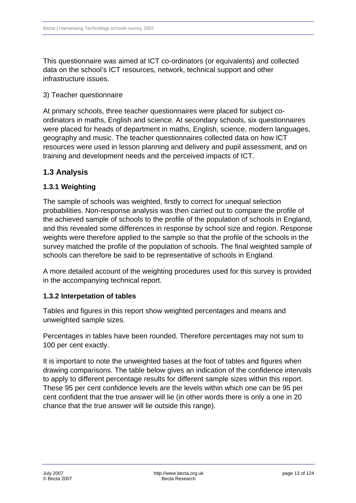<span id="page-12-0"></span>This questionnaire was aimed at ICT co-ordinators (or equivalents) and collected data on the school's ICT resources, network, technical support and other infrastructure issues.

#### 3) Teacher questionnaire

At primary schools, three teacher questionnaires were placed for subject coordinators in maths, English and science. At secondary schools, six questionnaires were placed for heads of department in maths, English, science, modern languages, geography and music. The teacher questionnaires collected data on how ICT resources were used in lesson planning and delivery and pupil assessment, and on training and development needs and the perceived impacts of ICT.

# **1.3 Analysis**

### **1.3.1Weighting**

The sample of schools was weighted, firstly to correct for unequal selection probabilities. Non-response analysis was then carried out to compare the profile of the achieved sample of schools to the profile of the population of schools in England, and this revealed some differences in response by school size and region. Response weights were therefore applied to the sample so that the profile of the schools in the survey matched the profile of the population of schools. The final weighted sample of schools can therefore be said to be representative of schools in England.

A more detailed account of the weighting procedures used for this survey is provided in the accompanying technical report.

### **1.3.2 Interpetation of tables**

Tables and figures in this report show weighted percentages and means and unweighted sample sizes.

Percentages in tables have been rounded. Therefore percentages may not sum to 100 per cent exactly.

It is important to note the unweighted bases at the foot of tables and figures when drawing comparisons. The table below gives an indication of the confidence intervals to apply to different percentage results for different sample sizes within this report. These 95 per cent confidence levels are the levels within which one can be 95 per cent confident that the true answer will lie (in other words there is only a one in 20 chance that the true answer will lie outside this range).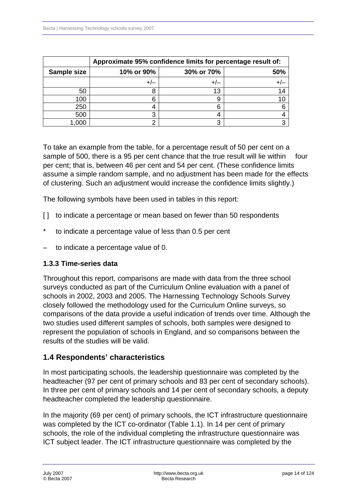<span id="page-13-0"></span>

|             | Approximate 95% confidence limits for percentage result of: |    |  |  |  |  |
|-------------|-------------------------------------------------------------|----|--|--|--|--|
| Sample size | 30% or 70%<br>50%<br>10% or 90%                             |    |  |  |  |  |
|             |                                                             |    |  |  |  |  |
| 50          |                                                             | 13 |  |  |  |  |
| 100         | 6                                                           |    |  |  |  |  |
| 250         | 4                                                           |    |  |  |  |  |
| 500         | 3                                                           |    |  |  |  |  |
| .000        |                                                             |    |  |  |  |  |

To take an example from the table, for a percentage result of 50 per cent on a sample of 500, there is a 95 per cent chance that the true result will lie within four per cent; that is, between 46 per cent and 54 per cent. (These confidence limits assume a simple random sample, and no adjustment has been made for the effects of clustering. Such an adjustment would increase the confidence limits slightly.)

The following symbols have been used in tables in this report:

- [] to indicate a percentage or mean based on fewer than 50 respondents
- to indicate a percentage value of less than 0.5 per cent
- to indicate a percentage value of 0.

### **1.3.3Time-series data**

Throughout this report, comparisons are made with data from the three school surveys conducted as part of the Curriculum Online evaluation with a panel of schools in 2002, 2003 and 2005. The Harnessing Technology Schools Survey closely followed the methodology used for the Curriculum Online surveys, so comparisons of the data provide a useful indication of trends over time. Although the two studies used different samples of schools, both samples were designed to represent the population of schools in England, and so comparisons between the results of the studies will be valid.

### **1.4Respondents' characteristics**

In most participating schools, the leadership questionnaire was completed by the headteacher (97 per cent of primary schools and 83 per cent of secondary schools). In three per cent of primary schools and 14 per cent of secondary schools, a deputy headteacher completed the leadership questionnaire.

In the majority (69 per cent) of primary schools, the ICT infrastructure questionnaire was completed by the ICT co-ordinator (Table 1.1). In 14 per cent of primary schools, the role of the individual completing the infrastructure questionnaire was ICT subject leader. The ICT infrastructure questionnaire was completed by the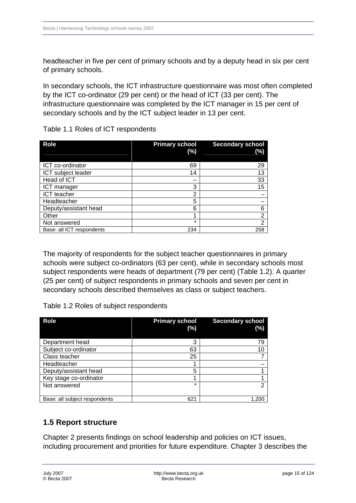<span id="page-14-0"></span>headteacher in five per cent of primary schools and by a deputy head in six per cent of primary schools.

In secondary schools, the ICT infrastructure questionnaire was most often completed by the ICT co-ordinator (29 per cent) or the head of ICT (33 per cent). The infrastructure questionnaire was completed by the ICT manager in 15 per cent of secondary schools and by the ICT subject leader in 13 per cent.

| <b>Role</b>               | <b>Primary school</b><br>$(\%)$ | <b>Secondary school</b><br>(%) |
|---------------------------|---------------------------------|--------------------------------|
| ICT co-ordinator          | 69                              | 29                             |
| ICT subject leader        | 14                              | 13                             |
| Head of ICT               |                                 | 33                             |
| ICT manager               | 3                               | 15                             |
| <b>ICT</b> teacher        | 2                               |                                |
| Headteacher               | 5                               |                                |
| Deputy/assistant head     | 6                               | 6                              |
| Other                     | 4                               | $\overline{2}$                 |
| Not answered              | $\star$                         | $\overline{2}$                 |
| Base: all ICT respondents | 234                             | 258                            |

Table 1.1 Roles of ICT respondents

The majority of respondents for the subject teacher questionnaires in primary schools were subject co-ordinators (63 per cent), while in secondary schools most subject respondents were heads of department (79 per cent) (Table 1.2). A quarter (25 per cent) of subject respondents in primary schools and seven per cent in secondary schools described themselves as class or subject teachers.

Table 1.2 Roles of subject respondents

| <b>Role</b>                   | <b>Primary school</b><br>(%) | <b>Secondary school</b><br>(%) |
|-------------------------------|------------------------------|--------------------------------|
| Department head               | 3                            | 79                             |
| Subject co-ordinator          | 63                           | 10                             |
| Class teacher                 | 25                           |                                |
| Headteacher                   |                              |                                |
| Deputy/assistant head         | 5                            |                                |
| Key stage co-ordinator        |                              |                                |
| Not answered                  | ÷                            | 2                              |
| Base: all subject respondents | 621                          |                                |

# **1.5 Report structure**

Chapter 2 presents findings on school leadership and policies on ICT issues, including procurement and priorities for future expenditure. Chapter 3 describes the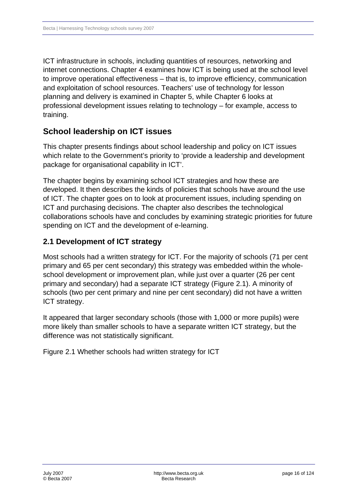<span id="page-15-0"></span>ICT infrastructure in schools, including quantities of resources, networking and internet connections. Chapter 4 examines how ICT is being used at the school level to improve operational effectiveness – that is, to improve efficiency, communication and exploitation of school resources. Teachers' use of technology for lesson planning and delivery is examined in Chapter 5, while Chapter 6 looks at professional development issues relating to technology – for example, access to training.

# **School leadership on ICT issues**

This chapter presents findings about school leadership and policy on ICT issues which relate to the Government's priority to 'provide a leadership and development package for organisational capability in ICT'.

The chapter begins by examining school ICT strategies and how these are developed. It then describes the kinds of policies that schools have around the use of ICT. The chapter goes on to look at procurement issues, including spending on ICT and purchasing decisions. The chapter also describes the technological collaborations schools have and concludes by examining strategic priorities for future spending on ICT and the development of e-learning.

# **2.1Development of ICT strategy**

Most schools had a written strategy for ICT. For the majority of schools (71 per cent primary and 65 per cent secondary) this strategy was embedded within the wholeschool development or improvement plan, while just over a quarter (26 per cent primary and secondary) had a separate ICT strategy (Figure 2.1). A minority of schools (two per cent primary and nine per cent secondary) did not have a written ICT strategy.

It appeared that larger secondary schools (those with 1,000 or more pupils) were more likely than smaller schools to have a separate written ICT strategy, but the difference was not statistically significant.

Figure 2.1 Whether schools had written strategy for ICT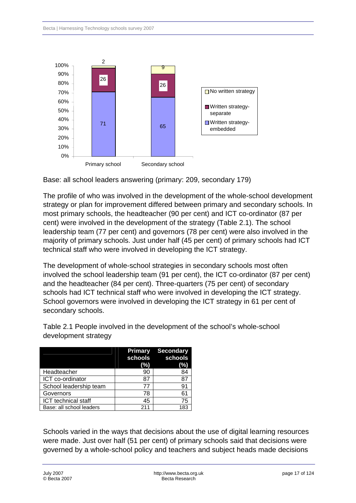

Base: all school leaders answering (primary: 209, secondary 179)

The profile of who was involved in the development of the whole-school development strategy or plan for improvement differed between primary and secondary schools. In most primary schools, the headteacher (90 per cent) and ICT co-ordinator (87 per cent) were involved in the development of the strategy (Table 2.1). The school leadership team (77 per cent) and governors (78 per cent) were also involved in the majority of primary schools. Just under half (45 per cent) of primary schools had ICT technical staff who were involved in developing the ICT strategy.

The development of whole-school strategies in secondary schools most often involved the school leadership team (91 per cent), the ICT co-ordinator (87 per cent) and the headteacher (84 per cent). Three-quarters (75 per cent) of secondary schools had ICT technical staff who were involved in developing the ICT strategy. School governors were involved in developing the ICT strategy in 61 per cent of secondary schools.

|                          | Primary<br>(%) | <b>Secondary</b><br>schools schools<br>(%) |
|--------------------------|----------------|--------------------------------------------|
| Headteacher              | 90             | 84                                         |
| ICT co-ordinator         | 87             | 87                                         |
| School leadership team   | 77             | 91                                         |
| Governors                | 78             | 61                                         |
| ICT technical staff      | 45             | 75                                         |
| Base: all school leaders | 211            | 183                                        |

Table 2.1 People involved in the development of the school's whole-school development strategy

Schools varied in the ways that decisions about the use of digital learning resources were made. Just over half (51 per cent) of primary schools said that decisions were governed by a whole-school policy and teachers and subject heads made decisions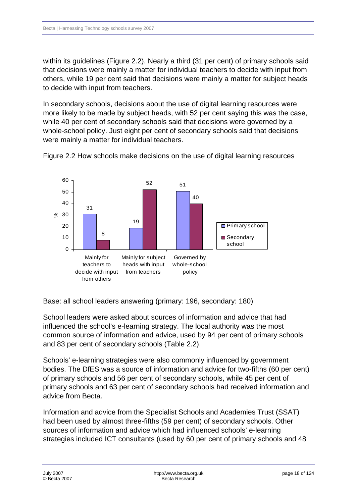within its guidelines (Figure 2.2). Nearly a third (31 per cent) of primary schools said that decisions were mainly a matter for individual teachers to decide with input from others, while 19 per cent said that decisions were mainly a matter for subject heads to decide with input from teachers.

In secondary schools, decisions about the use of digital learning resources were more likely to be made by subject heads, with 52 per cent saying this was the case, while 40 per cent of secondary schools said that decisions were governed by a whole-school policy. Just eight per cent of secondary schools said that decisions were mainly a matter for individual teachers.



Figure 2.2 How schools make decisions on the use of digital learning resources

Base: all school leaders answering (primary: 196, secondary: 180)

School leaders were asked about sources of information and advice that had influenced the school's e-learning strategy. The local authority was the most common source of information and advice, used by 94 per cent of primary schools and 83 per cent of secondary schools (Table 2.2).

Schools' e-learning strategies were also commonly influenced by government bodies. The DfES was a source of information and advice for two-fifths (60 per cent) of primary schools and 56 per cent of secondary schools, while 45 per cent of primary schools and 63 per cent of secondary schools had received information and advice from Becta.

Information and advice from the Specialist Schools and Academies Trust (SSAT) had been used by almost three-fifths (59 per cent) of secondary schools. Other sources of information and advice which had influenced schools' e-learning strategies included ICT consultants (used by 60 per cent of primary schools and 48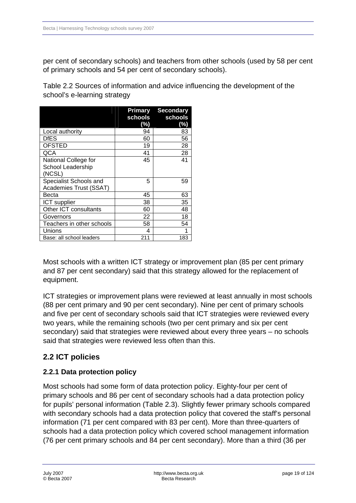<span id="page-18-0"></span>per cent of secondary schools) and teachers from other schools (used by 58 per cent of primary schools and 54 per cent of secondary schools).

Table 2.2 Sources of information and advice influencing the development of the school's e-learning strategy

|                                                     | schools<br>(%) | <b>Primary Secondary</b><br>schools<br>(%) |
|-----------------------------------------------------|----------------|--------------------------------------------|
| Local authority                                     | 94             | 83                                         |
| DfES                                                | 60             | 56                                         |
| <b>OFSTED</b>                                       | 19             | 28                                         |
| QCA                                                 | 41             | 28                                         |
| National College for<br>School Leadership<br>(NCSL) | 45             | 41                                         |
| Specialist Schools and<br>Academies Trust (SSAT)    | 5              | 59                                         |
| Becta                                               | 45             | 63                                         |
| ICT supplier                                        | 38             | 35                                         |
| Other ICT consultants                               | 60             | 48                                         |
| Governors                                           | 22             | 18                                         |
| Teachers in other schools                           | 58             | 54                                         |
| Unions                                              | 4              |                                            |
| Base: all school leaders                            | 211            | 183                                        |

Most schools with a written ICT strategy or improvement plan (85 per cent primary and 87 per cent secondary) said that this strategy allowed for the replacement of equipment.

ICT strategies or improvement plans were reviewed at least annually in most schools (88 per cent primary and 90 per cent secondary). Nine per cent of primary schools and five per cent of secondary schools said that ICT strategies were reviewed every two years, while the remaining schools (two per cent primary and six per cent secondary) said that strategies were reviewed about every three years – no schools said that strategies were reviewed less often than this.

# **2.2 ICT policies**

# **2.2.1 Data protection policy**

Most schools had some form of data protection policy. Eighty-four per cent of primary schools and 86 per cent of secondary schools had a data protection policy for pupils' personal information (Table 2.3). Slightly fewer primary schools compared with secondary schools had a data protection policy that covered the staff's personal information (71 per cent compared with 83 per cent). More than three-quarters of schools had a data protection policy which covered school management information (76 per cent primary schools and 84 per cent secondary). More than a third (36 per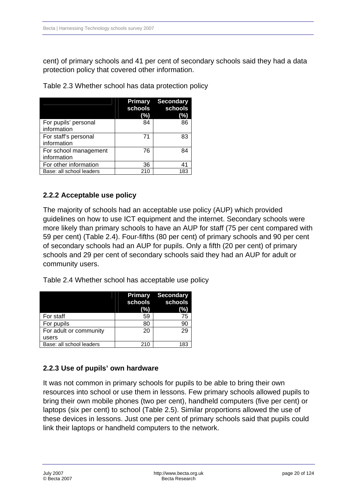<span id="page-19-0"></span>cent) of primary schools and 41 per cent of secondary schools said they had a data protection policy that covered other information.

| Table 2.3 Whether school has data protection policy |
|-----------------------------------------------------|
|-----------------------------------------------------|

|                                      | <b>Primary</b><br>schools<br>(%) | <b>Secondary</b><br>schools<br>(%) |
|--------------------------------------|----------------------------------|------------------------------------|
| For pupils' personal<br>information  | 84                               | 86                                 |
| For staff's personal<br>information  | 71                               | 83                                 |
| For school management<br>information | 76                               | 84                                 |
| For other information                | 36                               | 41                                 |
| Base: all school leaders             | 210                              | 183                                |

### **2.2.2 Acceptable use policy**

The majority of schools had an acceptable use policy (AUP) which provided guidelines on how to use ICT equipment and the internet. Secondary schools were more likely than primary schools to have an AUP for staff (75 per cent compared with 59 per cent) (Table 2.4). Four-fifths (80 per cent) of primary schools and 90 per cent of secondary schools had an AUP for pupils. Only a fifth (20 per cent) of primary schools and 29 per cent of secondary schools said they had an AUP for adult or community users.

Table 2.4 Whether school has acceptable use policy

|                          | schools<br>(%) | <b>Primary Secondary</b><br>schools<br>(%) |
|--------------------------|----------------|--------------------------------------------|
| For staff                | 59             | 75                                         |
| For pupils               | 80             | 90                                         |
| For adult or community   | 20             | 29                                         |
| users                    |                |                                            |
| Base: all school leaders | 210            | 183                                        |

# **2.2.3 Use of pupils' own hardware**

It was not common in primary schools for pupils to be able to bring their own resources into school or use them in lessons. Few primary schools allowed pupils to bring their own mobile phones (two per cent), handheld computers (five per cent) or laptops (six per cent) to school (Table 2.5). Similar proportions allowed the use of these devices in lessons. Just one per cent of primary schools said that pupils could link their laptops or handheld computers to the network.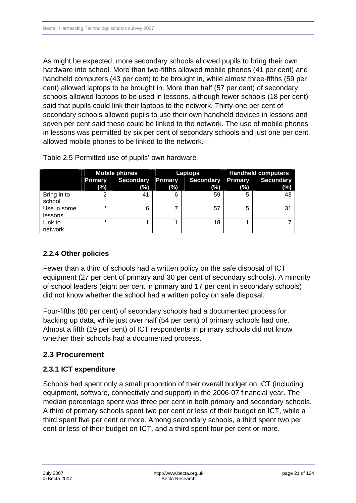<span id="page-20-0"></span>As might be expected, more secondary schools allowed pupils to bring their own hardware into school. More than two-fifths allowed mobile phones (41 per cent) and handheld computers (43 per cent) to be brought in, while almost three-fifths (59 per cent) allowed laptops to be brought in. More than half (57 per cent) of secondary schools allowed laptops to be used in lessons, although fewer schools (18 per cent) said that pupils could link their laptops to the network. Thirty-one per cent of secondary schools allowed pupils to use their own handheld devices in lessons and seven per cent said these could be linked to the network. The use of mobile phones in lessons was permitted by six per cent of secondary schools and just one per cent allowed mobile phones to be linked to the network.

|                        | <b>Mobile phones</b> |     | Laptops |                                    | <b>Handheld computers</b> |                         |
|------------------------|----------------------|-----|---------|------------------------------------|---------------------------|-------------------------|
|                        | Primary<br>$(\%)$    | (%) | $(\%)$  | Secondary Primary Secondary<br>(%) | <b>Primary</b><br>(%)     | <b>Secondary</b><br>(%) |
| Bring in to<br>school  |                      | 41  | 6       | 59                                 | 5                         | 43                      |
| Use in some<br>lessons | ÷                    | 6   |         | 57                                 | 5                         | 31                      |
| Link to<br>network     | ÷                    |     |         | 18                                 |                           |                         |

Table 2.5 Permitted use of pupils' own hardware

# **2.2.4 Other policies**

Fewer than a third of schools had a written policy on the safe disposal of ICT equipment (27 per cent of primary and 30 per cent of secondary schools). A minority of school leaders (eight per cent in primary and 17 per cent in secondary schools) did not know whether the school had a written policy on safe disposal.

Four-fifths (80 per cent) of secondary schools had a documented process for backing up data, while just over half (54 per cent) of primary schools had one. Almost a fifth (19 per cent) of ICT respondents in primary schools did not know whether their schools had a documented process.

# **2.3 Procurement**

# **2.3.1 ICT expenditure**

Schools had spent only a small proportion of their overall budget on ICT (including equipment, software, connectivity and support) in the 2006-07 financial year. The median percentage spent was three per cent in both primary and secondary schools. A third of primary schools spent two per cent or less of their budget on ICT, while a third spent five per cent or more. Among secondary schools, a third spent two per cent or less of their budget on ICT, and a third spent four per cent or more.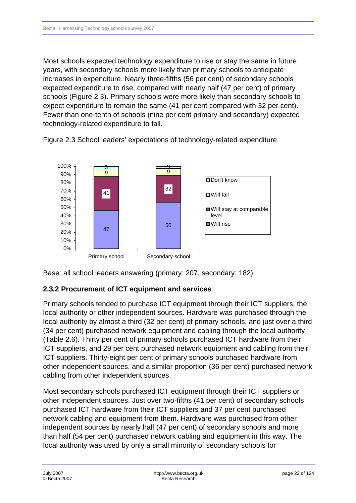<span id="page-21-0"></span>Most schools expected technology expenditure to rise or stay the same in future years, with secondary schools more likely than primary schools to anticipate increases in expenditure. Nearly three-fifths (56 per cent) of secondary schools expected expenditure to rise, compared with nearly half (47 per cent) of primary schools (Figure 2.3). Primary schools were more likely than secondary schools to expect expenditure to remain the same (41 per cent compared with 32 per cent). Fewer than one-tenth of schools (nine per cent primary and secondary) expected technology-related expenditure to fall.



Figure 2.3 School leaders' expectations of technology-related expenditure

Base: all school leaders answering (primary: 207, secondary: 182)

### **2.3.2 Procurement of ICT equipment and services**

Primary schools tended to purchase ICT equipment through their ICT suppliers, the local authority or other independent sources. Hardware was purchased through the local authority by almost a third (32 per cent) of primary schools, and just over a third (34 per cent) purchased network equipment and cabling through the local authority (Table 2.6). Thirty per cent of primary schools purchased ICT hardware from their ICT suppliers, and 29 per cent purchased network equipment and cabling from their ICT suppliers. Thirty-eight per cent of primary schools purchased hardware from other independent sources, and a similar proportion (36 per cent) purchased network cabling from other independent sources.

Most secondary schools purchased ICT equipment through their ICT suppliers or other independent sources. Just over two-fifths (41 per cent) of secondary schools purchased ICT hardware from their ICT suppliers and 37 per cent purchased network cabling and equipment from them. Hardware was purchased from other independent sources by nearly half (47 per cent) of secondary schools and more than half (54 per cent) purchased network cabling and equipment in this way. The local authority was used by only a small minority of secondary schools for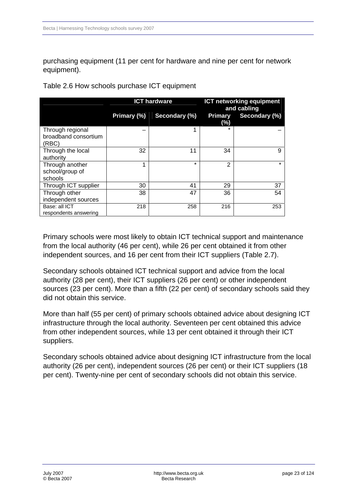purchasing equipment (11 per cent for hardware and nine per cent for network equipment).

Table 2.6 How schools purchase ICT equipment

|                                                   |             | <b>ICT hardware</b> | <b>ICT networking equipment</b><br>and cabling |               |  |
|---------------------------------------------------|-------------|---------------------|------------------------------------------------|---------------|--|
|                                                   | Primary (%) | Secondary (%)       | Primary<br>(%)                                 | Secondary (%) |  |
| Through regional<br>broadband consortium<br>(RBC) |             |                     |                                                |               |  |
| Through the local<br>authority                    | 32          | 11                  | 34                                             | 9             |  |
| Through another<br>school/group of<br>schools     |             | $\star$             | 2                                              | $\star$       |  |
| Through ICT supplier                              | 30          | 41                  | 29                                             | 37            |  |
| Through other<br>independent sources              | 38          | 47                  | 36                                             | 54            |  |
| Base: all ICT<br>respondents answering            | 218         | 258                 | 216                                            | 253           |  |

Primary schools were most likely to obtain ICT technical support and maintenance from the local authority (46 per cent), while 26 per cent obtained it from other independent sources, and 16 per cent from their ICT suppliers (Table 2.7).

Secondary schools obtained ICT technical support and advice from the local authority (28 per cent), their ICT suppliers (26 per cent) or other independent sources (23 per cent). More than a fifth (22 per cent) of secondary schools said they did not obtain this service.

More than half (55 per cent) of primary schools obtained advice about designing ICT infrastructure through the local authority. Seventeen per cent obtained this advice from other independent sources, while 13 per cent obtained it through their ICT suppliers.

Secondary schools obtained advice about designing ICT infrastructure from the local authority (26 per cent), independent sources (26 per cent) or their ICT suppliers (18 per cent). Twenty-nine per cent of secondary schools did not obtain this service.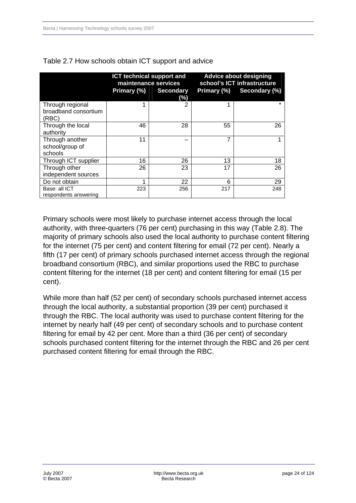|                                                   |             | <b>ICT technical support and</b><br>maintenance services | <b>Advice about designing</b><br>school's ICT infrastructure |                           |  |
|---------------------------------------------------|-------------|----------------------------------------------------------|--------------------------------------------------------------|---------------------------|--|
|                                                   | Primary (%) | <b>Secondary</b><br>(%)                                  |                                                              | Primary (%) Secondary (%) |  |
| Through regional<br>broadband consortium<br>(RBC) |             | 2                                                        |                                                              | $\star$                   |  |
| Through the local<br>authority                    | 46          | 28                                                       | 55                                                           | 26                        |  |
| Through another<br>school/group of<br>schools     | 11          |                                                          | 7                                                            |                           |  |
| Through ICT supplier                              | 16          | 26                                                       | 13                                                           | 18                        |  |
| Through other<br>independent sources              | 26          | 23                                                       | 17                                                           | 26                        |  |
| Do not obtain                                     |             | 22                                                       | 6                                                            | 29                        |  |
| Base: all ICT<br>respondents answering            | 223         | 256                                                      | 217                                                          | 248                       |  |

#### Table 2.7 How schools obtain ICT support and advice

Primary schools were most likely to purchase internet access through the local authority, with three-quarters (76 per cent) purchasing in this way (Table 2.8). The majority of primary schools also used the local authority to purchase content filtering for the internet (75 per cent) and content filtering for email (72 per cent). Nearly a fifth (17 per cent) of primary schools purchased internet access through the regional broadband consortium (RBC), and similar proportions used the RBC to purchase content filtering for the internet (18 per cent) and content filtering for email (15 per cent).

While more than half (52 per cent) of secondary schools purchased internet access through the local authority, a substantial proportion (39 per cent) purchased it through the RBC. The local authority was used to purchase content filtering for the internet by nearly half (49 per cent) of secondary schools and to purchase content filtering for email by 42 per cent. More than a third (36 per cent) of secondary schools purchased content filtering for the internet through the RBC and 26 per cent purchased content filtering for email through the RBC.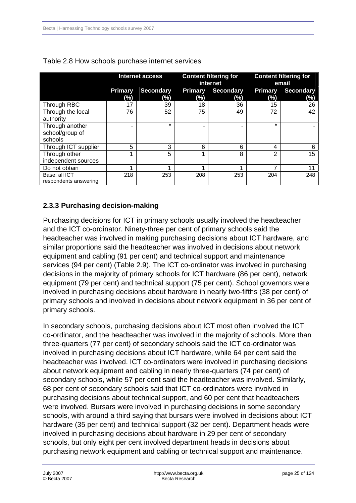|                                               | Internet access       |                         |                          | <b>Content filtering for</b><br>internet | <b>Content filtering for</b><br>email |                         |
|-----------------------------------------------|-----------------------|-------------------------|--------------------------|------------------------------------------|---------------------------------------|-------------------------|
|                                               | <b>Primary</b><br>(%) | <b>Secondary</b><br>(%) | <b>Primary</b><br>$(\%)$ | <b>Secondary</b><br>(%)                  | <b>Primary</b><br>(%)                 | <b>Secondary</b><br>(%) |
| Through RBC                                   | 17                    | 39                      | 18                       | 36                                       | 15                                    | 26                      |
| Through the local<br>authority                | 76                    | 52                      | 75                       | 49                                       | 72                                    | 42                      |
| Through another<br>school/group of<br>schools |                       | $\star$                 | ۰                        |                                          | $\star$                               |                         |
| Through ICT supplier                          | 5                     | 3                       | 6                        | 6                                        | 4                                     | 6                       |
| Through other<br>independent sources          | и                     | 5                       |                          | 8                                        | 2                                     | 15                      |
| Do not obtain                                 | ٠                     |                         |                          | 4                                        | 7                                     | 11                      |
| Base: all ICT<br>respondents answering        | 218                   | 253                     | 208                      | 253                                      | 204                                   | 248                     |

<span id="page-24-0"></span>

|  | Table 2.8 How schools purchase internet services |
|--|--------------------------------------------------|
|--|--------------------------------------------------|

### **2.3.3 Purchasing decision-making**

Purchasing decisions for ICT in primary schools usually involved the headteacher and the ICT co-ordinator. Ninety-three per cent of primary schools said the headteacher was involved in making purchasing decisions about ICT hardware, and similar proportions said the headteacher was involved in decisions about network equipment and cabling (91 per cent) and technical support and maintenance services (94 per cent) (Table 2.9). The ICT co-ordinator was involved in purchasing decisions in the majority of primary schools for ICT hardware (86 per cent), network equipment (79 per cent) and technical support (75 per cent). School governors were involved in purchasing decisions about hardware in nearly two-fifths (38 per cent) of primary schools and involved in decisions about network equipment in 36 per cent of primary schools.

In secondary schools, purchasing decisions about ICT most often involved the ICT co-ordinator, and the headteacher was involved in the majority of schools. More than three-quarters (77 per cent) of secondary schools said the ICT co-ordinator was involved in purchasing decisions about ICT hardware, while 64 per cent said the headteacher was involved. ICT co-ordinators were involved in purchasing decisions about network equipment and cabling in nearly three-quarters (74 per cent) of secondary schools, while 57 per cent said the headteacher was involved. Similarly, 68 per cent of secondary schools said that ICT co-ordinators were involved in purchasing decisions about technical support, and 60 per cent that headteachers were involved. Bursars were involved in purchasing decisions in some secondary schools, with around a third saying that bursars were involved in decisions about ICT hardware (35 per cent) and technical support (32 per cent). Department heads were involved in purchasing decisions about hardware in 29 per cent of secondary schools, but only eight per cent involved department heads in decisions about purchasing network equipment and cabling or technical support and maintenance.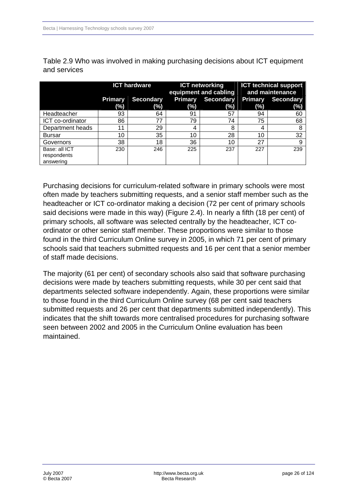|                  | <b>ICT hardware</b>   |                  |                       | <b>ICT networking</b><br>equipment and cabling | <b>ICT technical support</b><br>and maintenance |                         |
|------------------|-----------------------|------------------|-----------------------|------------------------------------------------|-------------------------------------------------|-------------------------|
|                  | <b>Primary</b><br>(%) | Secondary<br>(%) | <b>Primary</b><br>(%) | Secondary<br>(%)                               | <b>Primary</b><br>(%)                           | <b>Secondary</b><br>(%) |
| Headteacher      | 93                    | 64               | 91                    | 57                                             | 94                                              | 60                      |
| ICT co-ordinator | 86                    | 77               | 79                    | 74                                             | 75                                              | 68                      |
| Department heads | 11                    | 29               | 4                     | 8                                              | 4                                               | 8                       |
| <b>Bursar</b>    | 10                    | 35               | 10                    | 28                                             | 10                                              | 32                      |
| Governors        | 38                    | 18               | 36                    | 10                                             | 27                                              | 9                       |
| Base: all ICT    | 230                   | 246              | 225                   | 237                                            | 227                                             | 239                     |
| respondents      |                       |                  |                       |                                                |                                                 |                         |
| answering        |                       |                  |                       |                                                |                                                 |                         |

Table 2.9 Who was involved in making purchasing decisions about ICT equipment and services

Purchasing decisions for curriculum-related software in primary schools were most often made by teachers submitting requests, and a senior staff member such as the headteacher or ICT co-ordinator making a decision (72 per cent of primary schools said decisions were made in this way) (Figure 2.4). In nearly a fifth (18 per cent) of primary schools, all software was selected centrally by the headteacher, ICT coordinator or other senior staff member. These proportions were similar to those found in the third Curriculum Online survey in 2005, in which 71 per cent of primary schools said that teachers submitted requests and 16 per cent that a senior member of staff made decisions.

The majority (61 per cent) of secondary schools also said that software purchasing decisions were made by teachers submitting requests, while 30 per cent said that departments selected software independently. Again, these proportions were similar to those found in the third Curriculum Online survey (68 per cent said teachers submitted requests and 26 per cent that departments submitted independently). This indicates that the shift towards more centralised procedures for purchasing software seen between 2002 and 2005 in the Curriculum Online evaluation has been maintained.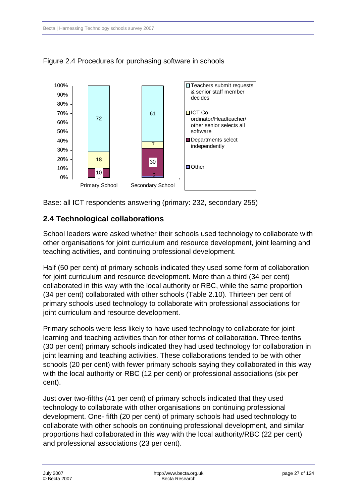

<span id="page-26-0"></span>Figure 2.4 Procedures for purchasing software in schools

Base: all ICT respondents answering (primary: 232, secondary 255)

# **2.4Technological collaborations**

School leaders were asked whether their schools used technology to collaborate with other organisations for joint curriculum and resource development, joint learning and teaching activities, and continuing professional development.

Half (50 per cent) of primary schools indicated they used some form of collaboration for joint curriculum and resource development. More than a third (34 per cent) collaborated in this way with the local authority or RBC, while the same proportion (34 per cent) collaborated with other schools (Table 2.10). Thirteen per cent of primary schools used technology to collaborate with professional associations for joint curriculum and resource development.

Primary schools were less likely to have used technology to collaborate for joint learning and teaching activities than for other forms of collaboration. Three-tenths (30 per cent) primary schools indicated they had used technology for collaboration in joint learning and teaching activities. These collaborations tended to be with other schools (20 per cent) with fewer primary schools saying they collaborated in this way with the local authority or RBC (12 per cent) or professional associations (six per cent).

Just over two-fifths (41 per cent) of primary schools indicated that they used technology to collaborate with other organisations on continuing professional development. One- fifth (20 per cent) of primary schools had used technology to collaborate with other schools on continuing professional development, and similar proportions had collaborated in this way with the local authority/RBC (22 per cent) and professional associations (23 per cent).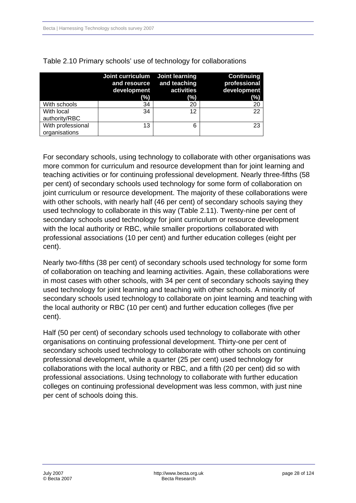|                                    | Joint curriculum Joint learning<br>development<br>(%) | and resource and teaching<br>activities<br>(%) | <b>Continuing</b><br>professional<br>development<br>(%) |
|------------------------------------|-------------------------------------------------------|------------------------------------------------|---------------------------------------------------------|
| With schools                       | 34                                                    | 20                                             | 20                                                      |
| With local<br>authority/RBC        | 34                                                    | 12                                             | 22                                                      |
| With professional<br>organisations | 13                                                    | 6                                              | 23                                                      |

Table 2.10 Primary schools' use of technology for collaborations

For secondary schools, using technology to collaborate with other organisations was more common for curriculum and resource development than for joint learning and teaching activities or for continuing professional development. Nearly three-fifths (58 per cent) of secondary schools used technology for some form of collaboration on joint curriculum or resource development. The majority of these collaborations were with other schools, with nearly half (46 per cent) of secondary schools saying they used technology to collaborate in this way (Table 2.11). Twenty-nine per cent of secondary schools used technology for joint curriculum or resource development with the local authority or RBC, while smaller proportions collaborated with professional associations (10 per cent) and further education colleges (eight per cent).

Nearly two-fifths (38 per cent) of secondary schools used technology for some form of collaboration on teaching and learning activities. Again, these collaborations were in most cases with other schools, with 34 per cent of secondary schools saying they used technology for joint learning and teaching with other schools. A minority of secondary schools used technology to collaborate on joint learning and teaching with the local authority or RBC (10 per cent) and further education colleges (five per cent).

Half (50 per cent) of secondary schools used technology to collaborate with other organisations on continuing professional development. Thirty-one per cent of secondary schools used technology to collaborate with other schools on continuing professional development, while a quarter (25 per cent) used technology for collaborations with the local authority or RBC, and a fifth (20 per cent) did so with professional associations. Using technology to collaborate with further education colleges on continuing professional development was less common, with just nine per cent of schools doing this.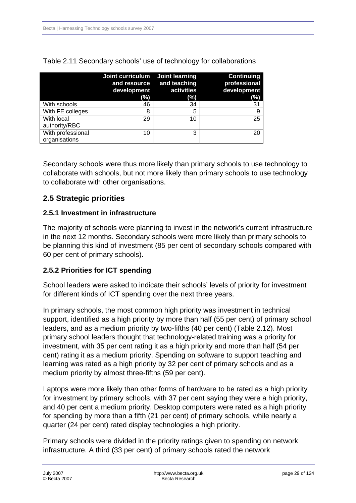|                                    | Joint curriculum Joint learning<br>and resource<br>development<br>(%) | and teaching<br>activities<br>(%) | <b>Continuing</b><br>professional<br>development<br>(%) |
|------------------------------------|-----------------------------------------------------------------------|-----------------------------------|---------------------------------------------------------|
| With schools                       | 46                                                                    | 34                                | 31                                                      |
| With FE colleges                   | 8                                                                     | 5                                 | 9                                                       |
| With local<br>authority/RBC        | 29                                                                    | 10                                | 25                                                      |
| With professional<br>organisations | 10                                                                    | 3                                 | 20                                                      |

<span id="page-28-0"></span>Table 2.11 Secondary schools' use of technology for collaborations

Secondary schools were thus more likely than primary schools to use technology to collaborate with schools, but not more likely than primary schools to use technology to collaborate with other organisations.

### **2.5 Strategic priorities**

#### **2.5.1 Investment in infrastructure**

The majority of schools were planning to invest in the network's current infrastructure in the next 12 months. Secondary schools were more likely than primary schools to be planning this kind of investment (85 per cent of secondary schools compared with 60 per cent of primary schools).

#### **2.5.2 Priorities for ICT spending**

School leaders were asked to indicate their schools' levels of priority for investment for different kinds of ICT spending over the next three years.

In primary schools, the most common high priority was investment in technical support, identified as a high priority by more than half (55 per cent) of primary school leaders, and as a medium priority by two-fifths (40 per cent) (Table 2.12). Most primary school leaders thought that technology-related training was a priority for investment, with 35 per cent rating it as a high priority and more than half (54 per cent) rating it as a medium priority. Spending on software to support teaching and learning was rated as a high priority by 32 per cent of primary schools and as a medium priority by almost three-fifths (59 per cent).

Laptops were more likely than other forms of hardware to be rated as a high priority for investment by primary schools, with 37 per cent saying they were a high priority, and 40 per cent a medium priority. Desktop computers were rated as a high priority for spending by more than a fifth (21 per cent) of primary schools, while nearly a quarter (24 per cent) rated display technologies a high priority.

Primary schools were divided in the priority ratings given to spending on network infrastructure. A third (33 per cent) of primary schools rated the network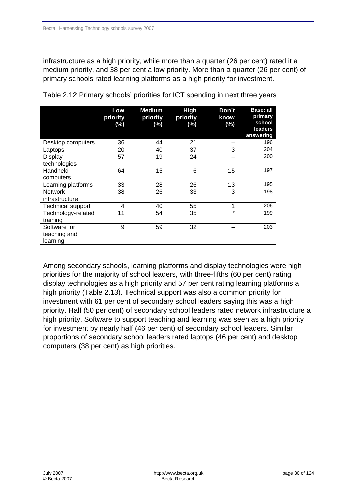infrastructure as a high priority, while more than a quarter (26 per cent) rated it a medium priority, and 38 per cent a low priority. More than a quarter (26 per cent) of primary schools rated learning platforms as a high priority for investment.

|                    | Low<br>priority<br>$(\%)$ | <b>Medium</b><br>priority<br>(%) | <b>High</b><br>priority<br>(%) | Don't<br>know<br>$(\%)$ | Base: all<br>primary<br>school<br>leaders |
|--------------------|---------------------------|----------------------------------|--------------------------------|-------------------------|-------------------------------------------|
|                    |                           |                                  |                                |                         | answering                                 |
| Desktop computers  | 36                        | 44                               | 21                             |                         | 196                                       |
| Laptops            | 20                        | 40                               | 37                             | 3                       | 204                                       |
| Display            | 57                        | 19                               | 24                             |                         | 200                                       |
| technologies       |                           |                                  |                                |                         |                                           |
| Handheld           | 64                        | 15                               | 6                              | 15                      | 197                                       |
| computers          |                           |                                  |                                |                         |                                           |
| Learning platforms | 33                        | 28                               | 26                             | 13                      | 195                                       |
| <b>Network</b>     | 38                        | 26                               | 33                             | 3                       | 198                                       |
| infrastructure     |                           |                                  |                                |                         |                                           |
| Technical support  | 4                         | 40                               | 55                             | 1                       | 206                                       |
| Technology-related | 11                        | 54                               | 35                             | $\star$                 | 199                                       |
| training           |                           |                                  |                                |                         |                                           |
| Software for       | 9                         | 59                               | 32                             |                         | 203                                       |
| teaching and       |                           |                                  |                                |                         |                                           |
| learning           |                           |                                  |                                |                         |                                           |

Table 2.12 Primary schools' priorities for ICT spending in next three years

Among secondary schools, learning platforms and display technologies were high priorities for the majority of school leaders, with three-fifths (60 per cent) rating display technologies as a high priority and 57 per cent rating learning platforms a high priority (Table 2.13). Technical support was also a common priority for investment with 61 per cent of secondary school leaders saying this was a high priority. Half (50 per cent) of secondary school leaders rated network infrastructure a high priority. Software to support teaching and learning was seen as a high priority for investment by nearly half (46 per cent) of secondary school leaders. Similar proportions of secondary school leaders rated laptops (46 per cent) and desktop computers (38 per cent) as high priorities.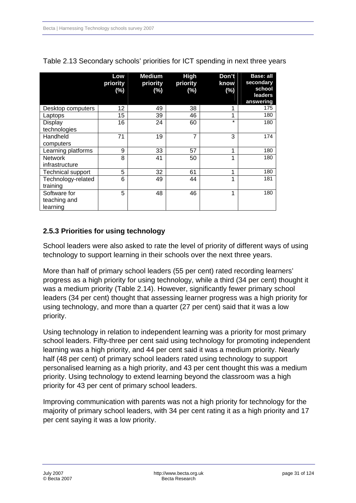|                                          | Low<br>priority<br>$(\%)$ | <b>Medium</b><br>priority<br>(%) | <b>High</b><br>priority<br>$(\%)$ | Don't<br>know<br>(%) | Base: all<br>secondary<br>school<br><b>leaders</b><br>answering |
|------------------------------------------|---------------------------|----------------------------------|-----------------------------------|----------------------|-----------------------------------------------------------------|
| Desktop computers                        | 12                        | 49                               | 38                                | 1                    | 175                                                             |
| Laptops                                  | 15                        | 39                               | 46                                | 1                    | 180                                                             |
| Display<br>technologies                  | 16                        | 24                               | 60                                | $\star$              | 180                                                             |
| Handheld<br>computers                    | 71                        | 19                               | $\overline{7}$                    | 3                    | 174                                                             |
| Learning platforms                       | 9                         | 33                               | 57                                | 1                    | 180                                                             |
| <b>Network</b><br>infrastructure         | 8                         | 41                               | 50                                | 1                    | 180                                                             |
| <b>Technical support</b>                 | 5                         | 32                               | 61                                | 1                    | 180                                                             |
| Technology-related<br>training           | 6                         | 49                               | 44                                | 1                    | 181                                                             |
| Software for<br>teaching and<br>learning | 5                         | 48                               | 46                                | 1                    | 180                                                             |

<span id="page-30-0"></span>

| Table 2.13 Secondary schools' priorities for ICT spending in next three years |  |  |  |  |  |  |
|-------------------------------------------------------------------------------|--|--|--|--|--|--|
|-------------------------------------------------------------------------------|--|--|--|--|--|--|

# **2.5.3 Priorities for using technology**

School leaders were also asked to rate the level of priority of different ways of using technology to support learning in their schools over the next three years.

More than half of primary school leaders (55 per cent) rated recording learners' progress as a high priority for using technology, while a third (34 per cent) thought it was a medium priority (Table 2.14). However, significantly fewer primary school leaders (34 per cent) thought that assessing learner progress was a high priority for using technology, and more than a quarter (27 per cent) said that it was a low priority.

Using technology in relation to independent learning was a priority for most primary school leaders. Fifty-three per cent said using technology for promoting independent learning was a high priority, and 44 per cent said it was a medium priority. Nearly half (48 per cent) of primary school leaders rated using technology to support personalised learning as a high priority, and 43 per cent thought this was a medium priority. Using technology to extend learning beyond the classroom was a high priority for 43 per cent of primary school leaders.

Improving communication with parents was not a high priority for technology for the majority of primary school leaders, with 34 per cent rating it as a high priority and 17 per cent saying it was a low priority.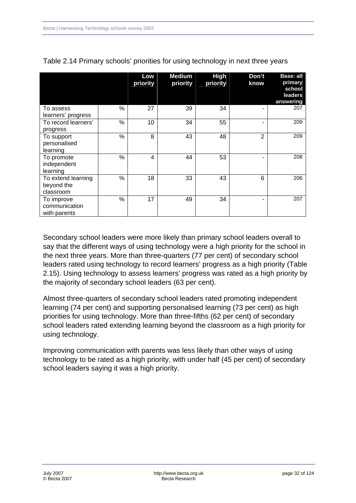|                     |               | Low<br>priority | <b>Medium</b><br>priority | <b>High</b><br>priority | Don't<br>know  | Base: all<br>primary<br>school<br>leaders |
|---------------------|---------------|-----------------|---------------------------|-------------------------|----------------|-------------------------------------------|
|                     |               |                 |                           |                         |                | answering                                 |
| To assess           | %             | 27              | 39                        | 34                      |                | 207                                       |
| learners' progress  |               |                 |                           |                         |                |                                           |
| To record learners' | %             | 10              | 34                        | 55                      |                | 209                                       |
| progress            |               |                 |                           |                         |                |                                           |
| To support          | %             | 8               | 43                        | 48                      | $\overline{2}$ | 209                                       |
| personalised        |               |                 |                           |                         |                |                                           |
| learning            |               |                 |                           |                         |                |                                           |
| To promote          | %             | 4               | 44                        | 53                      |                | 208                                       |
| independent         |               |                 |                           |                         |                |                                           |
| learning            |               |                 |                           |                         |                |                                           |
| To extend learning  | $\frac{0}{0}$ | 18              | 33                        | 43                      | 6              | 206                                       |
| beyond the          |               |                 |                           |                         |                |                                           |
| classroom           |               |                 |                           |                         |                |                                           |
| To improve          | %             | 17              | 49                        | 34                      |                | 207                                       |
| communication       |               |                 |                           |                         |                |                                           |
| with parents        |               |                 |                           |                         |                |                                           |

| Table 2.14 Primary schools' priorities for using technology in next three years |  |  |  |
|---------------------------------------------------------------------------------|--|--|--|
|---------------------------------------------------------------------------------|--|--|--|

Secondary school leaders were more likely than primary school leaders overall to say that the different ways of using technology were a high priority for the school in the next three years. More than three-quarters (77 per cent) of secondary school leaders rated using technology to record learners' progress as a high priority (Table 2.15). Using technology to assess learners' progress was rated as a high priority by the majority of secondary school leaders (63 per cent).

Almost three-quarters of secondary school leaders rated promoting independent learning (74 per cent) and supporting personalised learning (73 per cent) as high priorities for using technology. More than three-fifths (62 per cent) of secondary school leaders rated extending learning beyond the classroom as a high priority for using technology.

Improving communication with parents was less likely than other ways of using technology to be rated as a high priority, with under half (45 per cent) of secondary school leaders saying it was a high priority.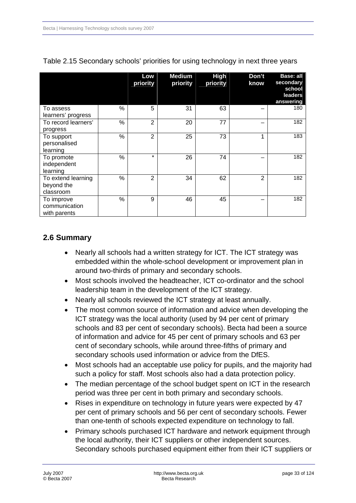|                                               |      | Low<br>priority | <b>Medium</b><br>priority | <b>High</b><br>priority | Don't<br>know | <b>Base: all</b><br>secondary<br>school<br>leaders<br>answering |
|-----------------------------------------------|------|-----------------|---------------------------|-------------------------|---------------|-----------------------------------------------------------------|
| To assess<br>learners' progress               | %    | 5               | 31                        | 63                      |               | 180                                                             |
| To record learners'<br>progress               | %    | $\overline{2}$  | 20                        | 77                      |               | 182                                                             |
| To support<br>personalised<br>learning        | %    | $\overline{2}$  | 25                        | 73                      | 1             | 183                                                             |
| To promote<br>independent<br>learning         | %    | $\star$         | 26                        | 74                      |               | 182                                                             |
| To extend learning<br>beyond the<br>classroom | %    | $\overline{2}$  | 34                        | 62                      | 2             | 182                                                             |
| To improve<br>communication<br>with parents   | $\%$ | 9               | 46                        | 45                      |               | 182                                                             |

<span id="page-32-0"></span>

| Table 2.15 Secondary schools' priorities for using technology in next three years |  |  |  |
|-----------------------------------------------------------------------------------|--|--|--|
|                                                                                   |  |  |  |

# **2.6 Summary**

- Nearly all schools had a written strategy for ICT. The ICT strategy was embedded within the whole-school development or improvement plan in around two-thirds of primary and secondary schools.
- Most schools involved the headteacher, ICT co-ordinator and the school leadership team in the development of the ICT strategy.
- Nearly all schools reviewed the ICT strategy at least annually.
- The most common source of information and advice when developing the ICT strategy was the local authority (used by 94 per cent of primary schools and 83 per cent of secondary schools). Becta had been a source of information and advice for 45 per cent of primary schools and 63 per cent of secondary schools, while around three-fifths of primary and secondary schools used information or advice from the DfES.
- Most schools had an acceptable use policy for pupils, and the majority had such a policy for staff. Most schools also had a data protection policy.
- The median percentage of the school budget spent on ICT in the research period was three per cent in both primary and secondary schools.
- Rises in expenditure on technology in future years were expected by 47 per cent of primary schools and 56 per cent of secondary schools. Fewer than one-tenth of schools expected expenditure on technology to fall.
- Primary schools purchased ICT hardware and network equipment through the local authority, their ICT suppliers or other independent sources. Secondary schools purchased equipment either from their ICT suppliers or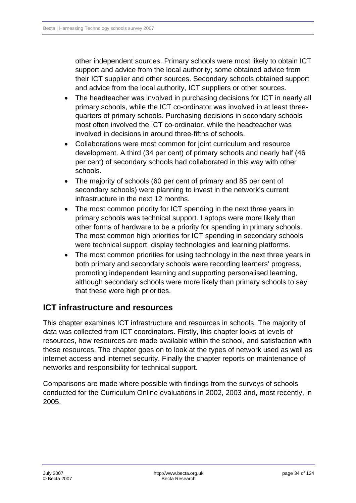<span id="page-33-0"></span>other independent sources. Primary schools were most likely to obtain ICT support and advice from the local authority; some obtained advice from their ICT supplier and other sources. Secondary schools obtained support and advice from the local authority, ICT suppliers or other sources.

- The headteacher was involved in purchasing decisions for ICT in nearly all primary schools, while the ICT co-ordinator was involved in at least threequarters of primary schools. Purchasing decisions in secondary schools most often involved the ICT co-ordinator, while the headteacher was involved in decisions in around three-fifths of schools.
- Collaborations were most common for joint curriculum and resource development. A third (34 per cent) of primary schools and nearly half (46 per cent) of secondary schools had collaborated in this way with other schools.
- The majority of schools (60 per cent of primary and 85 per cent of secondary schools) were planning to invest in the network's current infrastructure in the next 12 months.
- The most common priority for ICT spending in the next three years in primary schools was technical support. Laptops were more likely than other forms of hardware to be a priority for spending in primary schools. The most common high priorities for ICT spending in secondary schools were technical support, display technologies and learning platforms.
- The most common priorities for using technology in the next three years in both primary and secondary schools were recording learners' progress, promoting independent learning and supporting personalised learning, although secondary schools were more likely than primary schools to say that these were high priorities.

# **ICT infrastructure and resources**

This chapter examines ICT infrastructure and resources in schools. The majority of data was collected from ICT coordinators. Firstly, this chapter looks at levels of resources, how resources are made available within the school, and satisfaction with these resources. The chapter goes on to look at the types of network used as well as internet access and internet security. Finally the chapter reports on maintenance of networks and responsibility for technical support.

Comparisons are made where possible with findings from the surveys of schools conducted for the Curriculum Online evaluations in 2002, 2003 and, most recently, in 2005.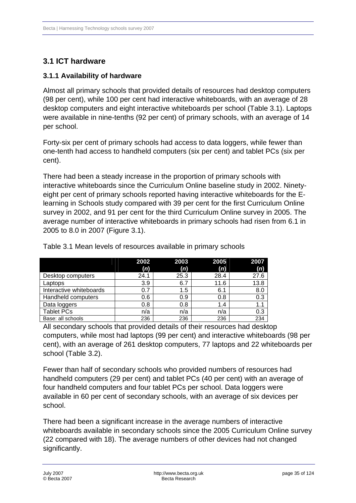# <span id="page-34-0"></span>**3.1 ICT hardware**

### **3.1.1 Availability of hardware**

Almost all primary schools that provided details of resources had desktop computers (98 per cent), while 100 per cent had interactive whiteboards, with an average of 28 desktop computers and eight interactive whiteboards per school (Table 3.1). Laptops were available in nine-tenths (92 per cent) of primary schools, with an average of 14 per school.

Forty-six per cent of primary schools had access to data loggers, while fewer than one-tenth had access to handheld computers (six per cent) and tablet PCs (six per cent).

There had been a steady increase in the proportion of primary schools with interactive whiteboards since the Curriculum Online baseline study in 2002. Ninetyeight per cent of primary schools reported having interactive whiteboards for the Elearning in Schools study compared with 39 per cent for the first Curriculum Online survey in 2002, and 91 per cent for the third Curriculum Online survey in 2005. The average number of interactive whiteboards in primary schools had risen from 6.1 in 2005 to 8.0 in 2007 (Figure 3.1).

|                         | 2002 | 2003 | 2005 | 2007 |
|-------------------------|------|------|------|------|
|                         | (n)  | (n)  | (n)  | (n)  |
| Desktop computers       | 24.1 | 25.3 | 28.4 | 27.6 |
| Laptops                 | 3.9  | 6.7  | 11.6 | 13.8 |
| Interactive whiteboards | 0.7  | 1.5  | 6.1  | 8.0  |
| Handheld computers      | 0.6  | 0.9  | 0.8  | 0.3  |
| Data loggers            | 0.8  | 0.8  | 1.4  |      |
| <b>Tablet PCs</b>       | n/a  | n/a  | n/a  | 0.3  |
| Base: all schools       | 236  | 236  | 236  | 234  |

Table 3.1 Mean levels of resources available in primary schools

All secondary schools that provided details of their resources had desktop computers, while most had laptops (99 per cent) and interactive whiteboards (98 per cent), with an average of 261 desktop computers, 77 laptops and 22 whiteboards per school (Table 3.2).

Fewer than half of secondary schools who provided numbers of resources had handheld computers (29 per cent) and tablet PCs (40 per cent) with an average of four handheld computers and four tablet PCs per school. Data loggers were available in 60 per cent of secondary schools, with an average of six devices per school.

There had been a significant increase in the average numbers of interactive whiteboards available in secondary schools since the 2005 Curriculum Online survey (22 compared with 18). The average numbers of other devices had not changed significantly.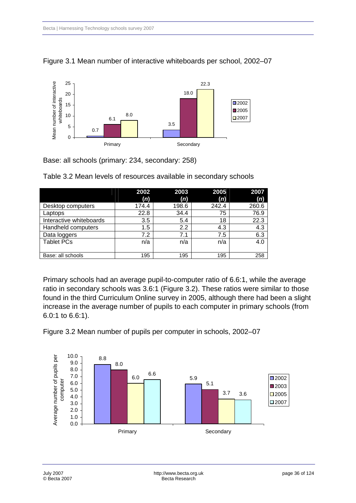



Base: all schools (primary: 234, secondary: 258)

|                         | 2002  | 2003  | 2005  | 2007  |
|-------------------------|-------|-------|-------|-------|
|                         | (n)   | (n)   | (n)   | (n)   |
| Desktop computers       | 174.4 | 198.6 | 242.4 | 260.6 |
| Laptops                 | 22.8  | 34.4  | 75    | 76.9  |
| Interactive whiteboards | 3.5   | 5.4   | 18    | 22.3  |
| Handheld computers      | 1.5   | 2.2   | 4.3   | 4.3   |
| Data loggers            | 7.2   | 7.1   | 7.5   | 6.3   |
| <b>Tablet PCs</b>       | n/a   | n/a   | n/a   | 4.0   |
|                         |       |       |       |       |
| Base: all schools       | 195   | 195   | 195   | 258   |

Table 3.2 Mean levels of resources available in secondary schools

Primary schools had an average pupil-to-computer ratio of 6.6:1, while the average ratio in secondary schools was 3.6:1 (Figure 3.2). These ratios were similar to those found in the third Curriculum Online survey in 2005, although there had been a slight increase in the average number of pupils to each computer in primary schools (from 6.0:1 to 6.6:1).

Figure 3.2 Mean number of pupils per computer in schools, 2002–07

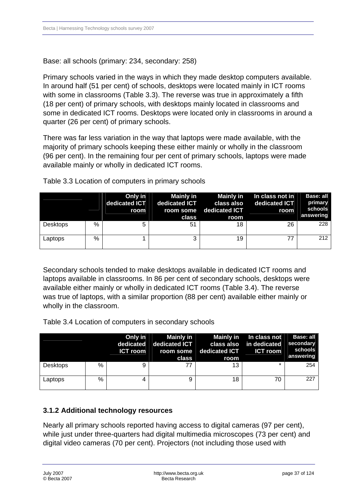Base: all schools (primary: 234, secondary: 258)

Primary schools varied in the ways in which they made desktop computers available. In around half (51 per cent) of schools, desktops were located mainly in ICT rooms with some in classrooms (Table 3.3). The reverse was true in approximately a fifth (18 per cent) of primary schools, with desktops mainly located in classrooms and some in dedicated ICT rooms. Desktops were located only in classrooms in around a quarter (26 per cent) of primary schools.

There was far less variation in the way that laptops were made available, with the majority of primary schools keeping these either mainly or wholly in the classroom (96 per cent). In the remaining four per cent of primary schools, laptops were made available mainly or wholly in dedicated ICT rooms.

|                 |   | Only in<br>dedicated ICT<br>room | Mainly in<br>dedicated <b>ICT</b><br>class | Mainly in<br>class also<br>room some dedicated ICT<br>room | In class not in<br>dedicated ICT<br>room | Base: all<br>primary<br>schools<br>answering |
|-----------------|---|----------------------------------|--------------------------------------------|------------------------------------------------------------|------------------------------------------|----------------------------------------------|
| <b>Desktops</b> | % | 5                                | 51                                         | 18                                                         | 26                                       | 228                                          |
| Laptops         | % |                                  | 3                                          | 19                                                         | 77                                       | 212                                          |

Table 3.3 Location of computers in primary schools

Secondary schools tended to make desktops available in dedicated ICT rooms and laptops available in classrooms. In 86 per cent of secondary schools, desktops were available either mainly or wholly in dedicated ICT rooms (Table 3.4). The reverse was true of laptops, with a similar proportion (88 per cent) available either mainly or wholly in the classroom.

Table 3.4 Location of computers in secondary schools

|                 |      | Only in<br><b>ICT</b> room | Mainly in<br>dedicated dedicated ICT<br>class | <b>Mainly in</b><br>room some dedicated ICT<br>room | In class not<br>class also in dedicated<br><b>ICT room</b> | Base: all<br>secondary<br>schools<br>answering |
|-----------------|------|----------------------------|-----------------------------------------------|-----------------------------------------------------|------------------------------------------------------------|------------------------------------------------|
| <b>Desktops</b> | $\%$ | 9                          | 77                                            | 13                                                  | $\star$                                                    | 254                                            |
| Laptops         | %    | 4                          | 9                                             | 18                                                  | 70                                                         | 227                                            |

### **3.1.2 Additional technology resources**

Nearly all primary schools reported having access to digital cameras (97 per cent), while just under three-quarters had digital multimedia microscopes (73 per cent) and digital video cameras (70 per cent). Projectors (not including those used with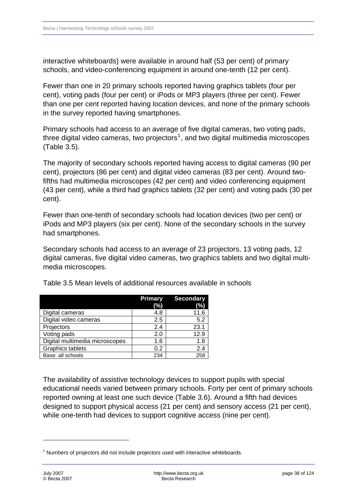interactive whiteboards) were available in around half (53 per cent) of primary schools, and video-conferencing equipment in around one-tenth (12 per cent).

Fewer than one in 20 primary schools reported having graphics tablets (four per cent), voting pads (four per cent) or iPods or MP3 players (three per cent). Fewer than one per cent reported having location devices, and none of the primary schools in the survey reported having smartphones.

Primary schools had access to an average of five digital cameras, two voting pads, three digital video cameras, two projectors<sup>[1](#page-37-0)</sup>, and two digital multimedia microscopes (Table 3.5).

The majority of secondary schools reported having access to digital cameras (90 per cent), projectors (86 per cent) and digital video cameras (83 per cent). Around twofifths had multimedia microscopes (42 per cent) and video conferencing equipment (43 per cent), while a third had graphics tablets (32 per cent) and voting pads (30 per cent).

Fewer than one-tenth of secondary schools had location devices (two per cent) or iPods and MP3 players (six per cent). None of the secondary schools in the survey had smartphones.

Secondary schools had access to an average of 23 projectors, 13 voting pads, 12 digital cameras, five digital video cameras, two graphics tablets and two digital multimedia microscopes.

|                                | <b>Primary</b><br>(%) | <b>Secondary</b><br>(%) |
|--------------------------------|-----------------------|-------------------------|
| Digital cameras                | 4.8                   | 11.6                    |
| Digital video cameras          | 2.5                   | 5.2                     |
| Projectors                     | 2.4                   | 23.1                    |
| Voting pads                    | 2.0                   | 12.9                    |
| Digital multimedia microscopes | 1.6                   | 1.8                     |
| Graphics tablets               | 0.2                   | 2.4                     |
| Base: all schools              | 234                   | 258                     |

Table 3.5 Mean levels of additional resources available in schools

The availability of assistive technology devices to support pupils with special educational needs varied between primary schools. Forty per cent of primary schools reported owning at least one such device (Table 3.6). Around a fifth had devices designed to support physical access (21 per cent) and sensory access (21 per cent), while one-tenth had devices to support cognitive access (nine per cent).

-

<span id="page-37-0"></span> $1$  Numbers of projectors did not include projectors used with interactive whiteboards.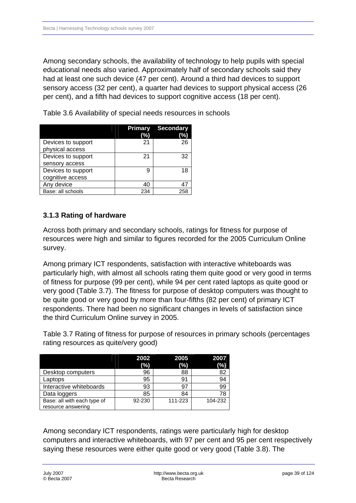Among secondary schools, the availability of technology to help pupils with special educational needs also varied. Approximately half of secondary schools said they had at least one such device (47 per cent). Around a third had devices to support sensory access (32 per cent), a quarter had devices to support physical access (26 per cent), and a fifth had devices to support cognitive access (18 per cent).

|                    | <b>Primary</b><br>(%) | <b>Secondary</b><br>(% |
|--------------------|-----------------------|------------------------|
| Devices to support | 21                    | 26                     |
| physical access    |                       |                        |
| Devices to support | 21                    | 32                     |
| sensory access     |                       |                        |
| Devices to support | g                     | 18                     |
| cognitive access   |                       |                        |
| Any device         | 40                    | 47                     |
| Base: all schools  | 234                   | 258                    |

Table 3.6 Availability of special needs resources in schools

### **3.1.3 Rating of hardware**

Across both primary and secondary schools, ratings for fitness for purpose of resources were high and similar to figures recorded for the 2005 Curriculum Online survey.

Among primary ICT respondents, satisfaction with interactive whiteboards was particularly high, with almost all schools rating them quite good or very good in terms of fitness for purpose (99 per cent), while 94 per cent rated laptops as quite good or very good (Table 3.7). The fitness for purpose of desktop computers was thought to be quite good or very good by more than four-fifths (82 per cent) of primary ICT respondents. There had been no significant changes in levels of satisfaction since the third Curriculum Online survey in 2005.

Table 3.7 Rating of fitness for purpose of resources in primary schools (percentages rating resources as quite/very good)

|                             | 2002<br>(%) | 2005<br>(%) | 2007<br>(%) |
|-----------------------------|-------------|-------------|-------------|
| Desktop computers           | 96          | 88          | 82          |
| Laptops                     | 95          | 91          | 94          |
| Interactive whiteboards     | 93          | 97          | 99          |
| Data loggers                | 85          | 84          | 78          |
| Base: all with each type of | 92-230      | 111-223     | 104-232     |
| resource answering          |             |             |             |

Among secondary ICT respondents, ratings were particularly high for desktop computers and interactive whiteboards, with 97 per cent and 95 per cent respectively saying these resources were either quite good or very good (Table 3.8). The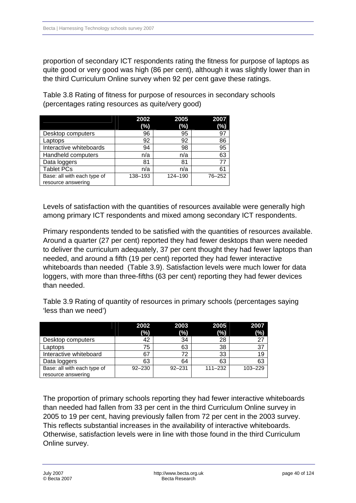proportion of secondary ICT respondents rating the fitness for purpose of laptops as quite good or very good was high (86 per cent), although it was slightly lower than in the third Curriculum Online survey when 92 per cent gave these ratings.

Table 3.8 Rating of fitness for purpose of resources in secondary schools (percentages rating resources as quite/very good)

|                             | 2002    | 2005    | 2007   |
|-----------------------------|---------|---------|--------|
|                             | $(\%)$  | (%)     | (%)    |
| Desktop computers           | 96      | 95      | 97     |
| Laptops                     | 92      | 92      | 86     |
| Interactive whiteboards     | 94      | 98      | 95     |
| Handheld computers          | n/a     | n/a     | 63     |
| Data loggers                | 81      | 81      | 77     |
| <b>Tablet PCs</b>           | n/a     | n/a     | 61     |
| Base: all with each type of | 138-193 | 124-190 | 76-252 |
| resource answering          |         |         |        |

Levels of satisfaction with the quantities of resources available were generally high among primary ICT respondents and mixed among secondary ICT respondents.

Primary respondents tended to be satisfied with the quantities of resources available. Around a quarter (27 per cent) reported they had fewer desktops than were needed to deliver the curriculum adequately, 37 per cent thought they had fewer laptops than needed, and around a fifth (19 per cent) reported they had fewer interactive whiteboards than needed (Table 3.9). Satisfaction levels were much lower for data loggers, with more than three-fifths (63 per cent) reporting they had fewer devices than needed.

Table 3.9 Rating of quantity of resources in primary schools (percentages saying 'less than we need')

|                             | 2002       | 2003       | 2005        | 2007    |
|-----------------------------|------------|------------|-------------|---------|
|                             | (%)        | (%)        | (%)         | $(\%)$  |
| Desktop computers           | 42         | 34         | 28          | 27      |
| Laptops                     | 75         | 63         | 38          | 37      |
| Interactive whiteboard      | 67         | 72         | 33          | 19      |
| Data loggers                | 63         | 64         | 63          | 63      |
| Base: all with each type of | $92 - 230$ | $92 - 231$ | $111 - 232$ | 103-229 |
| resource answering          |            |            |             |         |

The proportion of primary schools reporting they had fewer interactive whiteboards than needed had fallen from 33 per cent in the third Curriculum Online survey in 2005 to 19 per cent, having previously fallen from 72 per cent in the 2003 survey. This reflects substantial increases in the availability of interactive whiteboards. Otherwise, satisfaction levels were in line with those found in the third Curriculum Online survey.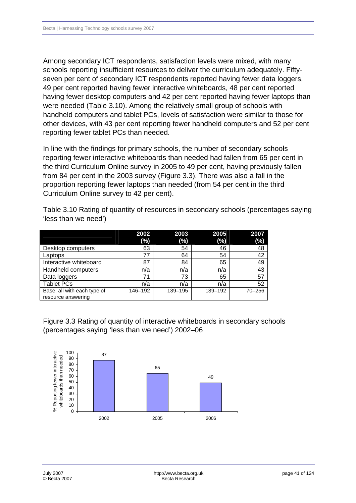Among secondary ICT respondents, satisfaction levels were mixed, with many schools reporting insufficient resources to deliver the curriculum adequately. Fiftyseven per cent of secondary ICT respondents reported having fewer data loggers, 49 per cent reported having fewer interactive whiteboards, 48 per cent reported having fewer desktop computers and 42 per cent reported having fewer laptops than were needed (Table 3.10). Among the relatively small group of schools with handheld computers and tablet PCs, levels of satisfaction were similar to those for other devices, with 43 per cent reporting fewer handheld computers and 52 per cent reporting fewer tablet PCs than needed.

In line with the findings for primary schools, the number of secondary schools reporting fewer interactive whiteboards than needed had fallen from 65 per cent in the third Curriculum Online survey in 2005 to 49 per cent, having previously fallen from 84 per cent in the 2003 survey (Figure 3.3). There was also a fall in the proportion reporting fewer laptops than needed (from 54 per cent in the third Curriculum Online survey to 42 per cent).

Table 3.10 Rating of quantity of resources in secondary schools (percentages saying 'less than we need')

|                             | 2002    | 2003    | 2005    | 2007   |
|-----------------------------|---------|---------|---------|--------|
|                             | (%)     | (%)     | (%)     | $(\%)$ |
| Desktop computers           | 63      | 54      | 46      | 48     |
| Laptops                     | 77      | 64      | 54      | 42     |
| Interactive whiteboard      | 87      | 84      | 65      | 49     |
| Handheld computers          | n/a     | n/a     | n/a     | 43     |
| Data loggers                | 71      | 73      | 65      | 57     |
| <b>Tablet PCs</b>           | n/a     | n/a     | n/a     | 52     |
| Base: all with each type of | 146-192 | 139-195 | 139-192 | 70-256 |
| resource answering          |         |         |         |        |

Figure 3.3 Rating of quantity of interactive whiteboards in secondary schools (percentages saying 'less than we need') 2002–06

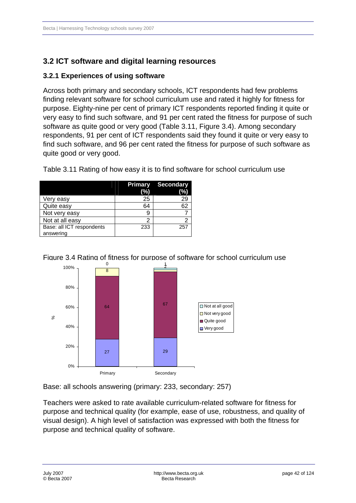# **3.2ICT software and digital learning resources**

### **3.2.1Experiences of using software**

Across both primary and secondary schools, ICT respondents had few problems finding relevant software for school curriculum use and rated it highly for fitness for purpose. Eighty-nine per cent of primary ICT respondents reported finding it quite or very easy to find such software, and 91 per cent rated the fitness for purpose of such software as quite good or very good (Table 3.11, Figure 3.4). Among secondary respondents, 91 per cent of ICT respondents said they found it quite or very easy to find such software, and 96 per cent rated the fitness for purpose of such software as quite good or very good.

|                           | <b>Primary</b><br>(%) | <b>Secondary</b><br>(%) |
|---------------------------|-----------------------|-------------------------|
| Very easy                 | 25                    | 29                      |
| Quite easy                | 64                    | 62                      |
| Not very easy             |                       |                         |
| Not at all easy           | 2                     | 2                       |
| Base: all ICT respondents | 233                   | 257                     |
| answering                 |                       |                         |

Table 3.11 Rating of how easy it is to find software for school curriculum use





Base: all schools answering (primary: 233, secondary: 257)

Teachers were asked to rate available curriculum-related software for fitness for purpose and technical quality (for example, ease of use, robustness, and quality of visual design). A high level of satisfaction was expressed with both the fitness for purpose and technical quality of software.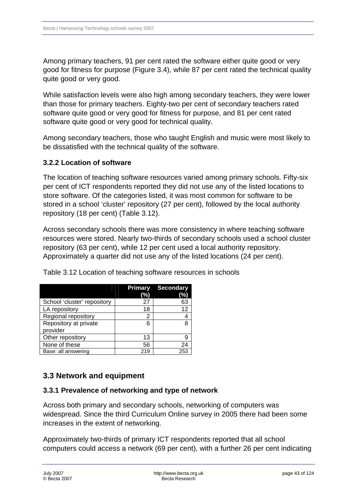Among primary teachers, 91 per cent rated the software either quite good or very good for fitness for purpose (Figure 3.4), while 87 per cent rated the technical quality quite good or very good.

While satisfaction levels were also high among secondary teachers, they were lower than those for primary teachers. Eighty-two per cent of secondary teachers rated software quite good or very good for fitness for purpose, and 81 per cent rated software quite good or very good for technical quality.

Among secondary teachers, those who taught English and music were most likely to be dissatisfied with the technical quality of the software.

### **3.2.2 Location of software**

The location of teaching software resources varied among primary schools. Fifty-six per cent of ICT respondents reported they did not use any of the listed locations to store software. Of the categories listed, it was most common for software to be stored in a school 'cluster' repository (27 per cent), followed by the local authority repository (18 per cent) (Table 3.12).

Across secondary schools there was more consistency in where teaching software resources were stored. Nearly two-thirds of secondary schools used a school cluster repository (63 per cent), while 12 per cent used a local authority repository. Approximately a quarter did not use any of the listed locations (24 per cent).

|                             | <b>Primary</b> | <b>Secondary</b> |
|-----------------------------|----------------|------------------|
|                             | (%)            | (%)              |
| School 'cluster' repository | 27             | 63               |
| LA repository               | 18             | 12               |
| Regional repository         | 2              |                  |
| Repository at private       | 6              | 8                |
| provider                    |                |                  |
| Other repository            | 13             | 9                |
| None of these               | 56             | 24               |
| Base: all answering         | 219            | 25.              |

Table 3.12 Location of teaching software resources in schools

# **3.3 Network and equipment**

### **3.3.1 Prevalence of networking and type of network**

Across both primary and secondary schools, networking of computers was widespread. Since the third Curriculum Online survey in 2005 there had been some increases in the extent of networking.

Approximately two-thirds of primary ICT respondents reported that all school computers could access a network (69 per cent), with a further 26 per cent indicating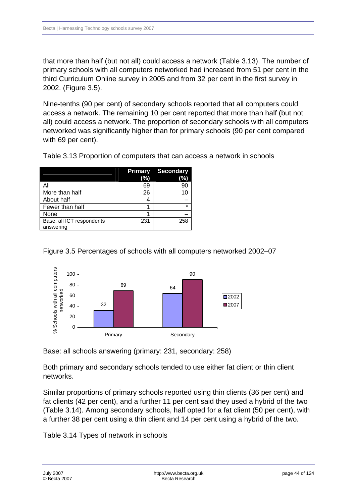that more than half (but not all) could access a network (Table 3.13). The number of primary schools with all computers networked had increased from 51 per cent in the third Curriculum Online survey in 2005 and from 32 per cent in the first survey in 2002. (Figure 3.5).

Nine-tenths (90 per cent) of secondary schools reported that all computers could access a network. The remaining 10 per cent reported that more than half (but not all) could access a network. The proportion of secondary schools with all computers networked was significantly higher than for primary schools (90 per cent compared with 69 per cent).

|                                        | <b>Primary</b><br>(%) | <b>Secondary</b><br>(%) |
|----------------------------------------|-----------------------|-------------------------|
| ΑIΙ                                    | 69                    | 90                      |
| More than half                         | 26                    | 10                      |
| About half                             |                       |                         |
| Fewer than half                        |                       | ÷                       |
| None                                   |                       |                         |
| Base: all ICT respondents<br>answering | 231                   | 258                     |

Table 3.13 Proportion of computers that can access a network in schools

### Figure 3.5 Percentages of schools with all computers networked 2002–07



Base: all schools answering (primary: 231, secondary: 258)

Both primary and secondary schools tended to use either fat client or thin client networks.

Similar proportions of primary schools reported using thin clients (36 per cent) and fat clients (42 per cent), and a further 11 per cent said they used a hybrid of the two (Table 3.14). Among secondary schools, half opted for a fat client (50 per cent), with a further 38 per cent using a thin client and 14 per cent using a hybrid of the two.

Table 3.14 Types of network in schools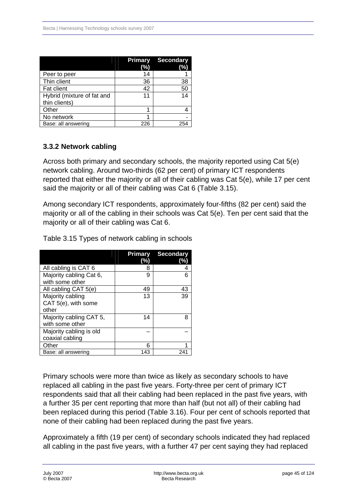|                                             | Primary<br>(%) | <b>Secondary</b><br>(%) |
|---------------------------------------------|----------------|-------------------------|
| Peer to peer                                | 14             |                         |
| Thin client                                 | 36             | 38                      |
| Fat client                                  | 42             | 50                      |
| Hybrid (mixture of fat and<br>thin clients) | 11             | 14                      |
| Other                                       |                |                         |
| No network                                  |                |                         |
| Base: all answering                         | 226            | 25,                     |

## **3.3.2 Network cabling**

Across both primary and secondary schools, the majority reported using Cat 5(e) network cabling. Around two-thirds (62 per cent) of primary ICT respondents reported that either the majority or all of their cabling was Cat 5(e), while 17 per cent said the majority or all of their cabling was Cat 6 (Table 3.15).

Among secondary ICT respondents, approximately four-fifths (82 per cent) said the majority or all of the cabling in their schools was Cat 5(e). Ten per cent said that the majority or all of their cabling was Cat 6.

|                                                  | (%) | <b>Primary Secondary</b><br>(%) |
|--------------------------------------------------|-----|---------------------------------|
| All cabling is CAT 6                             | 8   |                                 |
| Majority cabling Cat 6,<br>with some other       | 9   | 6                               |
| All cabling CAT 5(e)                             | 49  | 43                              |
| Majority cabling<br>CAT 5(e), with some<br>other | 13  | 39                              |
| Majority cabling CAT 5,<br>with some other       | 14  | 8                               |
| Majority cabling is old<br>coaxial cabling       |     |                                 |
| Other                                            |     |                                 |
| Base: all answering                              | 143 | 241                             |

Table 3.15 Types of network cabling in schools

Primary schools were more than twice as likely as secondary schools to have replaced all cabling in the past five years. Forty-three per cent of primary ICT respondents said that all their cabling had been replaced in the past five years, with a further 35 per cent reporting that more than half (but not all) of their cabling had been replaced during this period (Table 3.16). Four per cent of schools reported that none of their cabling had been replaced during the past five years.

Approximately a fifth (19 per cent) of secondary schools indicated they had replaced all cabling in the past five years, with a further 47 per cent saying they had replaced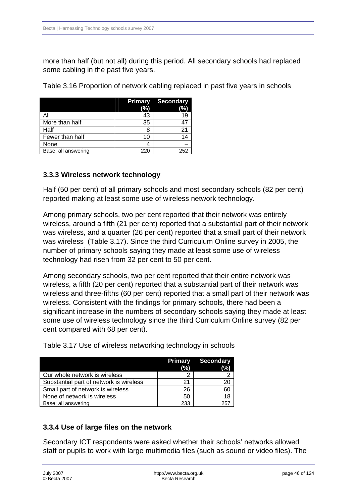more than half (but not all) during this period. All secondary schools had replaced some cabling in the past five years.

Table 3.16 Proportion of network cabling replaced in past five years in schools

|                     | <b>Primary</b><br>(%) | <b>Secondary</b><br>(%) |
|---------------------|-----------------------|-------------------------|
|                     | 43                    |                         |
| More than half      | 35                    |                         |
| Half                |                       |                         |
| Fewer than half     | 10                    |                         |
| None                |                       |                         |
| Base: all answering | 220                   | 252                     |

### **3.3.3Wireless network technology**

Half (50 per cent) of all primary schools and most secondary schools (82 per cent) reported making at least some use of wireless network technology.

Among primary schools, two per cent reported that their network was entirely wireless, around a fifth (21 per cent) reported that a substantial part of their network was wireless, and a quarter (26 per cent) reported that a small part of their network was wireless (Table 3.17). Since the third Curriculum Online survey in 2005, the number of primary schools saying they made at least some use of wireless technology had risen from 32 per cent to 50 per cent.

Among secondary schools, two per cent reported that their entire network was wireless, a fifth (20 per cent) reported that a substantial part of their network was wireless and three-fifths (60 per cent) reported that a small part of their network was wireless. Consistent with the findings for primary schools, there had been a significant increase in the numbers of secondary schools saying they made at least some use of wireless technology since the third Curriculum Online survey (82 per cent compared with 68 per cent).

|                                         | <b>Primary</b><br>(%) | <b>Secondary</b><br>(%) |
|-----------------------------------------|-----------------------|-------------------------|
| Our whole network is wireless           |                       |                         |
| Substantial part of network is wireless | 21                    | 20                      |
| Small part of network is wireless       | 26                    | 60                      |
| None of network is wireless             | 50                    | 18                      |
| Base: all answering                     | 233                   | 257                     |

Table 3.17 Use of wireless networking technology in schools

## **3.3.4Use of large files on the network**

Secondary ICT respondents were asked whether their schools' networks allowed staff or pupils to work with large multimedia files (such as sound or video files). The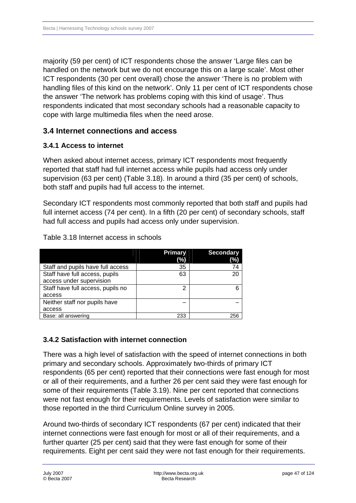majority (59 per cent) of ICT respondents chose the answer 'Large files can be handled on the network but we do not encourage this on a large scale'. Most other ICT respondents (30 per cent overall) chose the answer 'There is no problem with handling files of this kind on the network'. Only 11 per cent of ICT respondents chose the answer 'The network has problems coping with this kind of usage'. Thus respondents indicated that most secondary schools had a reasonable capacity to cope with large multimedia files when the need arose.

# **3.4Internet connections and access**

## **3.4.1 Access to internet**

When asked about internet access, primary ICT respondents most frequently reported that staff had full internet access while pupils had access only under supervision (63 per cent) (Table 3.18). In around a third (35 per cent) of schools, both staff and pupils had full access to the internet.

Secondary ICT respondents most commonly reported that both staff and pupils had full internet access (74 per cent). In a fifth (20 per cent) of secondary schools, staff had full access and pupils had access only under supervision.

| Table 3.18 Internet access in schools |  |
|---------------------------------------|--|
|---------------------------------------|--|

|                                   | Primary | <b>Secondary</b> |
|-----------------------------------|---------|------------------|
|                                   | (%)     | (%)              |
| Staff and pupils have full access | 35      | 74               |
| Staff have full access, pupils    | 63      | 20               |
| access under supervision          |         |                  |
| Staff have full access, pupils no | າ       | Բ                |
| access                            |         |                  |
| Neither staff nor pupils have     |         |                  |
| access                            |         |                  |
| Base: all answering               | 233     | 256              |

## **3.4.2 Satisfaction with internet connection**

There was a high level of satisfaction with the speed of internet connections in both primary and secondary schools. Approximately two-thirds of primary ICT respondents (65 per cent) reported that their connections were fast enough for most or all of their requirements, and a further 26 per cent said they were fast enough for some of their requirements (Table 3.19). Nine per cent reported that connections were not fast enough for their requirements. Levels of satisfaction were similar to those reported in the third Curriculum Online survey in 2005.

Around two-thirds of secondary ICT respondents (67 per cent) indicated that their internet connections were fast enough for most or all of their requirements, and a further quarter (25 per cent) said that they were fast enough for some of their requirements. Eight per cent said they were not fast enough for their requirements.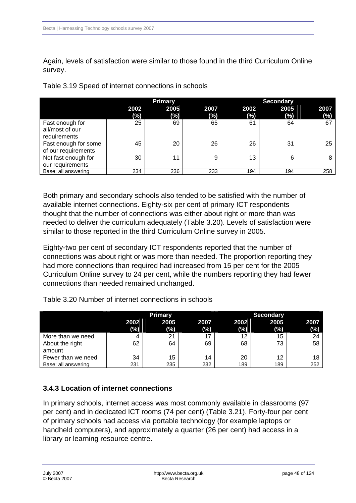Again, levels of satisfaction were similar to those found in the third Curriculum Online survey.

|  | Table 3.19 Speed of internet connections in schools |  |
|--|-----------------------------------------------------|--|
|  |                                                     |  |

|                      |             | <b>Primary</b> |             |             | <b>Secondary</b> |                |
|----------------------|-------------|----------------|-------------|-------------|------------------|----------------|
|                      | 2002<br>(%) | 2005<br>$(\%)$ | 2007<br>(%) | 2002<br>(%) | 2005<br>(%)      | 2007<br>$(\%)$ |
| Fast enough for      | 25          | 69             | 65          | 61          | 64               | 67             |
| all/most of our      |             |                |             |             |                  |                |
| requirements         |             |                |             |             |                  |                |
| Fast enough for some | 45          | 20             | 26          | 26          | 31               | 25             |
| of our requirements  |             |                |             |             |                  |                |
| Not fast enough for  | 30          | 11             | 9           | 13          | 6                | 8              |
| our requirements     |             |                |             |             |                  |                |
| Base: all answering  | 234         | 236            | 233         | 194         | 194              | 258            |

Both primary and secondary schools also tended to be satisfied with the number of available internet connections. Eighty-six per cent of primary ICT respondents thought that the number of connections was either about right or more than was needed to deliver the curriculum adequately (Table 3.20). Levels of satisfaction were similar to those reported in the third Curriculum Online survey in 2005.

Eighty-two per cent of secondary ICT respondents reported that the number of connections was about right or was more than needed. The proportion reporting they had more connections than required had increased from 15 per cent for the 2005 Curriculum Online survey to 24 per cent, while the numbers reporting they had fewer connections than needed remained unchanged.

|                     |             | <b>Primary</b> |             |                | <b>Secondary</b> |             |
|---------------------|-------------|----------------|-------------|----------------|------------------|-------------|
|                     | 2002<br>(%) | 2005<br>(%)    | 2007<br>(%) | 2002<br>$(\%)$ | 2005<br>(%)      | 2007<br>(%) |
| More than we need   | 4           | 21             |             | 12             | 15               | 24          |
| About the right     | 62          | 64             | 69          | 68             | 73               | 58          |
| amount              |             |                |             |                |                  |             |
| Fewer than we need  | 34          | 15             | 14          | 20             | 12               | 18          |
| Base: all answering | 231         | 235            | 232         | 189            | 189              | 252         |

Table 3.20 Number of internet connections in schools

### **3.4.3 Location of internet connections**

In primary schools, internet access was most commonly available in classrooms (97 per cent) and in dedicated ICT rooms (74 per cent) (Table 3.21). Forty-four per cent of primary schools had access via portable technology (for example laptops or handheld computers), and approximately a quarter (26 per cent) had access in a library or learning resource centre.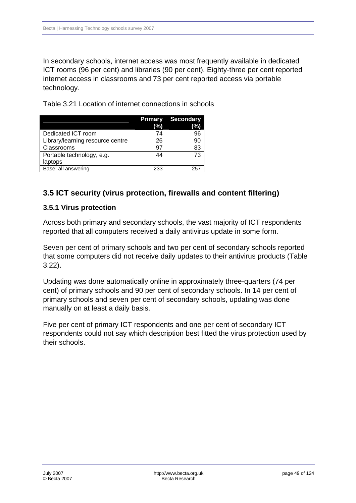In secondary schools, internet access was most frequently available in dedicated ICT rooms (96 per cent) and libraries (90 per cent). Eighty-three per cent reported internet access in classrooms and 73 per cent reported access via portable technology.

Table 3.21 Location of internet connections in schools

|                                  | <b>Primary</b> | <b>Secondary</b> |
|----------------------------------|----------------|------------------|
|                                  | (%)            | (%)              |
| Dedicated ICT room               | 74             | 96               |
| Library/learning resource centre | 26             | мι               |
| Classrooms                       | 97             | 83               |
| Portable technology, e.g.        | 44             | 73               |
| laptops                          |                |                  |
| Base: all answering              | 233            | 25               |

# **3.5 ICT security (virus protection, firewalls and content filtering)**

## **3.5.1 Virus protection**

Across both primary and secondary schools, the vast majority of ICT respondents reported that all computers received a daily antivirus update in some form.

Seven per cent of primary schools and two per cent of secondary schools reported that some computers did not receive daily updates to their antivirus products (Table 3.22).

Updating was done automatically online in approximately three-quarters (74 per cent) of primary schools and 90 per cent of secondary schools. In 14 per cent of primary schools and seven per cent of secondary schools, updating was done manually on at least a daily basis.

Five per cent of primary ICT respondents and one per cent of secondary ICT respondents could not say which description best fitted the virus protection used by their schools.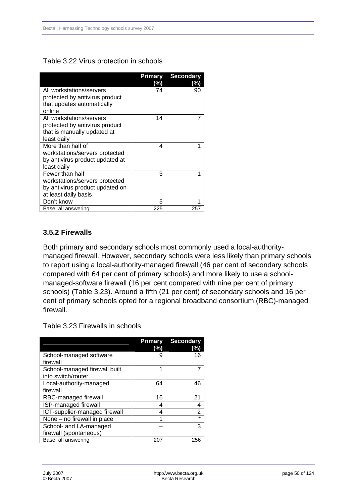#### Table 3.22 Virus protection in schools

|                                 | <b>Primary</b><br>%) | <b>Secondary</b><br>(%) |
|---------------------------------|----------------------|-------------------------|
| All workstations/servers        | 74                   | 90                      |
| protected by antivirus product  |                      |                         |
| that updates automatically      |                      |                         |
| online                          |                      |                         |
| All workstations/servers        | 14                   |                         |
| protected by antivirus product  |                      |                         |
| that is manually updated at     |                      |                         |
| least daily                     |                      |                         |
| More than half of               | 4                    |                         |
| workstations/servers protected  |                      |                         |
| by antivirus product updated at |                      |                         |
| least daily                     |                      |                         |
| Fewer than half                 | 3                    |                         |
| workstations/servers protected  |                      |                         |
| by antivirus product updated on |                      |                         |
| at least daily basis            |                      |                         |
| Don't know                      | 5                    |                         |
| Base: all answering             | 225                  | 25                      |

### **3.5.2 Firewalls**

Both primary and secondary schools most commonly used a local-authoritymanaged firewall. However, secondary schools were less likely than primary schools to report using a local-authority-managed firewall (46 per cent of secondary schools compared with 64 per cent of primary schools) and more likely to use a schoolmanaged-software firewall (16 per cent compared with nine per cent of primary schools) (Table 3.23). Around a fifth (21 per cent) of secondary schools and 16 per cent of primary schools opted for a regional broadband consortium (RBC)-managed firewall.

Table 3.23 Firewalls in schools

|                                                     | Primary<br>(%) | <b>Secondary</b><br>(%) |
|-----------------------------------------------------|----------------|-------------------------|
| School-managed software<br>firewall                 | g              | 16                      |
| School-managed firewall built<br>into switch/router | 1              | 7                       |
| Local-authority-managed<br>firewall                 | 64             | 46                      |
| RBC-managed firewall                                | 16             | 21                      |
| <b>ISP-managed firewall</b>                         | 4              | 4                       |
| ICT-supplier-managed firewall                       | 4              | $\overline{2}$          |
| None - no firewall in place                         | 1              | ÷                       |
| School- and LA-managed                              |                | 3                       |
| firewall (spontaneous)                              |                |                         |
| Base: all answering                                 | 207            | 256                     |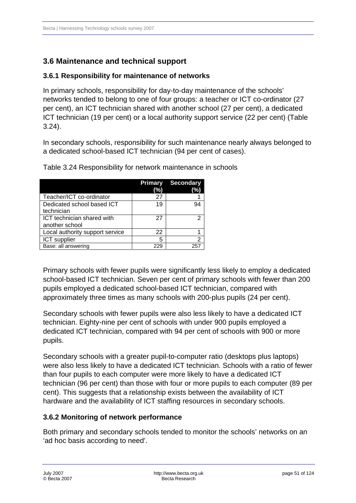# **3.6 Maintenance and technical support**

### **3.6.1Responsibility for maintenance of networks**

In primary schools, responsibility for day-to-day maintenance of the schools' networks tended to belong to one of four groups: a teacher or ICT co-ordinator (27 per cent), an ICT technician shared with another school (27 per cent), a dedicated ICT technician (19 per cent) or a local authority support service (22 per cent) (Table 3.24).

In secondary schools, responsibility for such maintenance nearly always belonged to a dedicated school-based ICT technician (94 per cent of cases).

|                                 | <b>Primary</b> | <b>Secondary</b> |
|---------------------------------|----------------|------------------|
|                                 | (%)            | (%)              |
| Teacher/ICT co-ordinator        | 27             |                  |
| Dedicated school based ICT      | 19             | 94               |
| technician                      |                |                  |
| ICT technician shared with      | 27             | 2                |
| another school                  |                |                  |
| Local authority support service | 22             |                  |
| ICT supplier                    | 5              | 2                |
| Base: all answering             | 229            | 25.              |

Table 3.24 Responsibility for network maintenance in schools

Primary schools with fewer pupils were significantly less likely to employ a dedicated school-based ICT technician. Seven per cent of primary schools with fewer than 200 pupils employed a dedicated school-based ICT technician, compared with approximately three times as many schools with 200-plus pupils (24 per cent).

Secondary schools with fewer pupils were also less likely to have a dedicated ICT technician. Eighty-nine per cent of schools with under 900 pupils employed a dedicated ICT technician, compared with 94 per cent of schools with 900 or more pupils.

Secondary schools with a greater pupil-to-computer ratio (desktops plus laptops) were also less likely to have a dedicated ICT technician. Schools with a ratio of fewer than four pupils to each computer were more likely to have a dedicated ICT technician (96 per cent) than those with four or more pupils to each computer (89 per cent). This suggests that a relationship exists between the availability of ICT hardware and the availability of ICT staffing resources in secondary schools.

## **3.6.2 Monitoring of network performance**

Both primary and secondary schools tended to monitor the schools' networks on an 'ad hoc basis according to need'.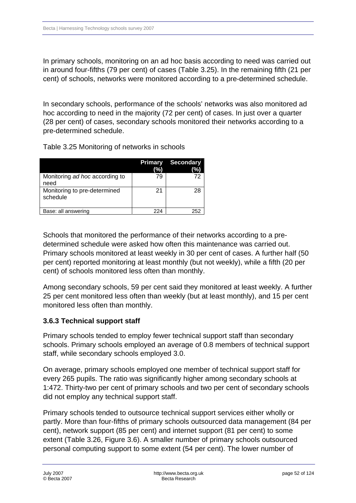In primary schools, monitoring on an ad hoc basis according to need was carried out in around four-fifths (79 per cent) of cases (Table 3.25). In the remaining fifth (21 per cent) of schools, networks were monitored according to a pre-determined schedule.

In secondary schools, performance of the schools' networks was also monitored ad hoc according to need in the majority (72 per cent) of cases. In just over a quarter (28 per cent) of cases, secondary schools monitored their networks according to a pre-determined schedule.

Table 3.25 Monitoring of networks in schools

|                                          | <b>Primary</b><br>(%) | <b>Secondary</b><br>$\frac{1}{2}$ |
|------------------------------------------|-----------------------|-----------------------------------|
| Monitoring ad hoc according to<br>need   | 79                    | 72                                |
| Monitoring to pre-determined<br>schedule | 21                    | 28                                |
| Base: all answering                      | 224                   | 252                               |

Schools that monitored the performance of their networks according to a predetermined schedule were asked how often this maintenance was carried out. Primary schools monitored at least weekly in 30 per cent of cases. A further half (50 per cent) reported monitoring at least monthly (but not weekly), while a fifth (20 per cent) of schools monitored less often than monthly.

Among secondary schools, 59 per cent said they monitored at least weekly. A further 25 per cent monitored less often than weekly (but at least monthly), and 15 per cent monitored less often than monthly.

### **3.6.3Technical support staff**

Primary schools tended to employ fewer technical support staff than secondary schools. Primary schools employed an average of 0.8 members of technical support staff, while secondary schools employed 3.0.

On average, primary schools employed one member of technical support staff for every 265 pupils. The ratio was significantly higher among secondary schools at 1:472. Thirty-two per cent of primary schools and two per cent of secondary schools did not employ any technical support staff.

Primary schools tended to outsource technical support services either wholly or partly. More than four-fifths of primary schools outsourced data management (84 per cent), network support (85 per cent) and internet support (81 per cent) to some extent (Table 3.26, Figure 3.6). A smaller number of primary schools outsourced personal computing support to some extent (54 per cent). The lower number of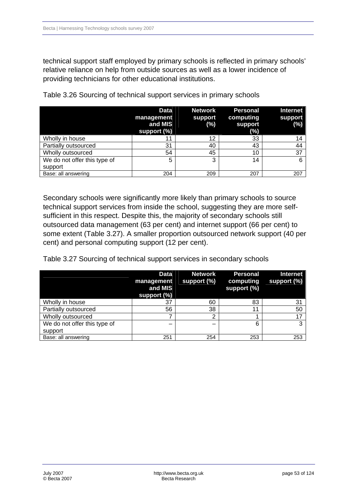technical support staff employed by primary schools is reflected in primary schools' relative reliance on help from outside sources as well as a lower incidence of providing technicians for other educational institutions.

|                              | <b>Data</b><br>management<br>and MIS<br>support (%) | <b>Network</b><br>support<br>$(\%)$ | <b>Personal</b><br>computing<br>support<br>(%) | <b>Internet</b><br>support<br>(%) |
|------------------------------|-----------------------------------------------------|-------------------------------------|------------------------------------------------|-----------------------------------|
| Wholly in house              | 11                                                  | 12                                  | 33                                             | 14                                |
| Partially outsourced         | 31                                                  | 40                                  | 43                                             | 44                                |
| Wholly outsourced            | 54                                                  | 45                                  | 10                                             | 37                                |
| We do not offer this type of | 5                                                   | 3                                   | 14                                             | 6                                 |
| support                      |                                                     |                                     |                                                |                                   |
| Base: all answering          | 204                                                 | 209                                 | 207                                            | 207                               |

Table 3.26 Sourcing of technical support services in primary schools

Secondary schools were significantly more likely than primary schools to source technical support services from inside the school, suggesting they are more selfsufficient in this respect. Despite this, the majority of secondary schools still outsourced data management (63 per cent) and internet support (66 per cent) to some extent (Table 3.27). A smaller proportion outsourced network support (40 per cent) and personal computing support (12 per cent).

Table 3.27 Sourcing of technical support services in secondary schools

|                              | Data<br>management<br>and MIS<br>support (%) | <b>Network</b><br>support (%) | <b>Personal</b><br>computing<br>support (%) | <b>Internet</b><br>support (%) |
|------------------------------|----------------------------------------------|-------------------------------|---------------------------------------------|--------------------------------|
| Wholly in house              | 37                                           | 60                            | 83                                          | 31                             |
| Partially outsourced         | 56                                           | 38                            | 11                                          | 50                             |
| Wholly outsourced            |                                              | ົ                             |                                             |                                |
| We do not offer this type of |                                              |                               | 6                                           | 3                              |
| support                      |                                              |                               |                                             |                                |
| Base: all answering          | 251                                          | 254                           | 253                                         | 253                            |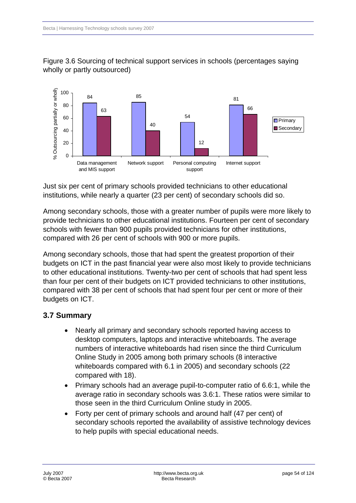

## Figure 3.6 Sourcing of technical support services in schools (percentages saying wholly or partly outsourced)

Just six per cent of primary schools provided technicians to other educational institutions, while nearly a quarter (23 per cent) of secondary schools did so.

Among secondary schools, those with a greater number of pupils were more likely to provide technicians to other educational institutions. Fourteen per cent of secondary schools with fewer than 900 pupils provided technicians for other institutions, compared with 26 per cent of schools with 900 or more pupils.

Among secondary schools, those that had spent the greatest proportion of their budgets on ICT in the past financial year were also most likely to provide technicians to other educational institutions. Twenty-two per cent of schools that had spent less than four per cent of their budgets on ICT provided technicians to other institutions, compared with 38 per cent of schools that had spent four per cent or more of their budgets on ICT.

# **3.7 Summary**

- Nearly all primary and secondary schools reported having access to desktop computers, laptops and interactive whiteboards. The average numbers of interactive whiteboards had risen since the third Curriculum Online Study in 2005 among both primary schools (8 interactive whiteboards compared with 6.1 in 2005) and secondary schools (22 compared with 18).
- Primary schools had an average pupil-to-computer ratio of 6.6:1, while the average ratio in secondary schools was 3.6:1. These ratios were similar to those seen in the third Curriculum Online study in 2005.
- Forty per cent of primary schools and around half (47 per cent) of secondary schools reported the availability of assistive technology devices to help pupils with special educational needs.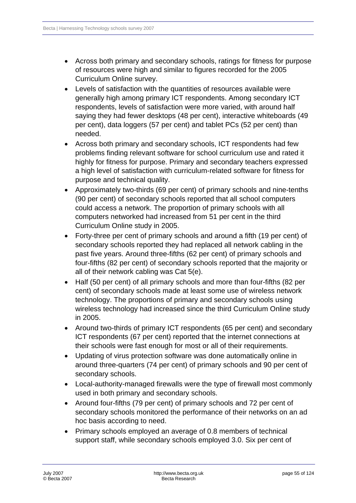- Across both primary and secondary schools, ratings for fitness for purpose of resources were high and similar to figures recorded for the 2005 Curriculum Online survey.
- Levels of satisfaction with the quantities of resources available were generally high among primary ICT respondents. Among secondary ICT respondents, levels of satisfaction were more varied, with around half saying they had fewer desktops (48 per cent), interactive whiteboards (49 per cent), data loggers (57 per cent) and tablet PCs (52 per cent) than needed.
- Across both primary and secondary schools, ICT respondents had few problems finding relevant software for school curriculum use and rated it highly for fitness for purpose. Primary and secondary teachers expressed a high level of satisfaction with curriculum-related software for fitness for purpose and technical quality.
- Approximately two-thirds (69 per cent) of primary schools and nine-tenths (90 per cent) of secondary schools reported that all school computers could access a network. The proportion of primary schools with all computers networked had increased from 51 per cent in the third Curriculum Online study in 2005.
- Forty-three per cent of primary schools and around a fifth (19 per cent) of secondary schools reported they had replaced all network cabling in the past five years. Around three-fifths (62 per cent) of primary schools and four-fifths (82 per cent) of secondary schools reported that the majority or all of their network cabling was Cat 5(e).
- Half (50 per cent) of all primary schools and more than four-fifths (82 per cent) of secondary schools made at least some use of wireless network technology. The proportions of primary and secondary schools using wireless technology had increased since the third Curriculum Online study in 2005.
- Around two-thirds of primary ICT respondents (65 per cent) and secondary ICT respondents (67 per cent) reported that the internet connections at their schools were fast enough for most or all of their requirements.
- Updating of virus protection software was done automatically online in around three-quarters (74 per cent) of primary schools and 90 per cent of secondary schools.
- Local-authority-managed firewalls were the type of firewall most commonly used in both primary and secondary schools.
- Around four-fifths (79 per cent) of primary schools and 72 per cent of secondary schools monitored the performance of their networks on an ad hoc basis according to need.
- Primary schools employed an average of 0.8 members of technical support staff, while secondary schools employed 3.0. Six per cent of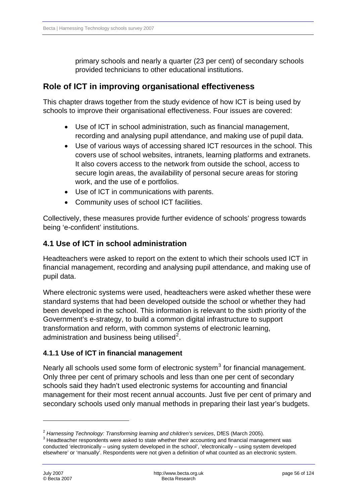primary schools and nearly a quarter (23 per cent) of secondary schools provided technicians to other educational institutions.

# **Role of ICT in improving organisational effectiveness**

This chapter draws together from the study evidence of how ICT is being used by schools to improve their organisational effectiveness. Four issues are covered:

- Use of ICT in school administration, such as financial management, recording and analysing pupil attendance, and making use of pupil data.
- Use of various ways of accessing shared ICT resources in the school. This covers use of school websites, intranets, learning platforms and extranets. It also covers access to the network from outside the school, access to secure login areas, the availability of personal secure areas for storing work, and the use of e portfolios.
- Use of ICT in communications with parents.
- Community uses of school ICT facilities.

Collectively, these measures provide further evidence of schools' progress towards being 'e-confident' institutions.

# **4.1Use of ICT in school administration**

Headteachers were asked to report on the extent to which their schools used ICT in financial management, recording and analysing pupil attendance, and making use of pupil data.

Where electronic systems were used, headteachers were asked whether these were standard systems that had been developed outside the school or whether they had been developed in the school. This information is relevant to the sixth priority of the Government's e-strategy, to build a common digital infrastructure to support transformation and reform, with common systems of electronic learning, administration and business being utilised $2$ .

## **4.1.1 Use of ICT in financial management**

Nearly all schools used some form of electronic system<sup>[3](#page-55-1)</sup> for financial management. Only three per cent of primary schools and less than one per cent of secondary schools said they hadn't used electronic systems for accounting and financial management for their most recent annual accounts. Just five per cent of primary and secondary schools used only manual methods in preparing their last year's budgets.

<span id="page-55-0"></span><sup>&</sup>lt;sup>2</sup> Harnessing Technology: Transforming learning and children's services, DfES (March 2005).

<span id="page-55-1"></span><sup>&</sup>lt;sup>3</sup> Headteacher respondents were asked to state whether their accounting and financial management was conducted 'electronically – using system developed in the school', 'electronically – using system developed elsewhere' or 'manually'. Respondents were not given a definition of what counted as an electronic system.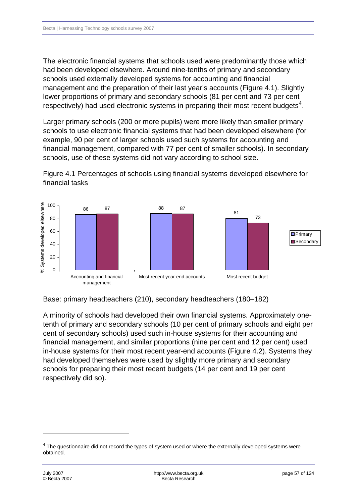The electronic financial systems that schools used were predominantly those which had been developed elsewhere. Around nine-tenths of primary and secondary schools used externally developed systems for accounting and financial management and the preparation of their last year's accounts (Figure 4.1). Slightly lower proportions of primary and secondary schools (81 per cent and 73 per cent respectively) had used electronic systems in preparing their most recent budgets<sup>[4](#page-56-0)</sup>.

Larger primary schools (200 or more pupils) were more likely than smaller primary schools to use electronic financial systems that had been developed elsewhere (for example, 90 per cent of larger schools used such systems for accounting and financial management, compared with 77 per cent of smaller schools). In secondary schools, use of these systems did not vary according to school size.





Base: primary headteachers (210), secondary headteachers (180–182)

A minority of schools had developed their own financial systems. Approximately onetenth of primary and secondary schools (10 per cent of primary schools and eight per cent of secondary schools) used such in-house systems for their accounting and financial management, and similar proportions (nine per cent and 12 per cent) used in-house systems for their most recent year-end accounts (Figure 4.2). Systems they had developed themselves were used by slightly more primary and secondary schools for preparing their most recent budgets (14 per cent and 19 per cent respectively did so).

<span id="page-56-0"></span> $4$  The questionnaire did not record the types of system used or where the externally developed systems were obtained.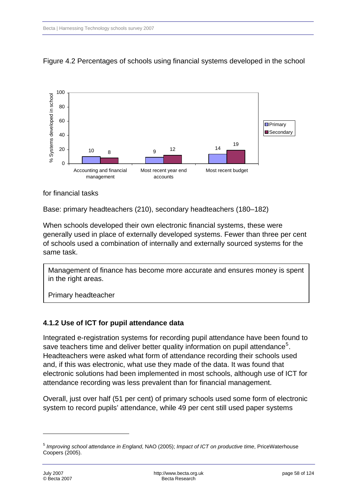

### Figure 4.2 Percentages of schools using financial systems developed in the school

#### for financial tasks

Base: primary headteachers (210), secondary headteachers (180–182)

When schools developed their own electronic financial systems, these were generally used in place of externally developed systems. Fewer than three per cent of schools used a combination of internally and externally sourced systems for the same task.

Management of finance has become more accurate and ensures money is spent in the right areas.

Primary headteacher

### **4.1.2 Use of ICT for pupil attendance data**

Integrated e-registration systems for recording pupil attendance have been found to save teachers time and deliver better quality information on pupil attendance<sup>[5](#page-57-0)</sup>. Headteachers were asked what form of attendance recording their schools used and, if this was electronic, what use they made of the data. It was found that electronic solutions had been implemented in most schools, although use of ICT for attendance recording was less prevalent than for financial management.

Overall, just over half (51 per cent) of primary schools used some form of electronic system to record pupils' attendance, while 49 per cent still used paper systems

<span id="page-57-0"></span><sup>5</sup> *Improving school attendance in England*, NAO (2005); *Impact of ICT on productive time*, PriceWaterhouse Coopers (2005).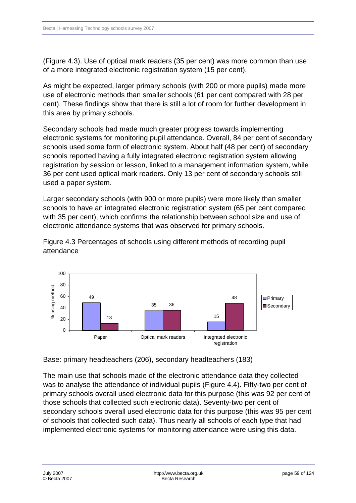(Figure 4.3). Use of optical mark readers (35 per cent) was more common than use of a more integrated electronic registration system (15 per cent).

As might be expected, larger primary schools (with 200 or more pupils) made more use of electronic methods than smaller schools (61 per cent compared with 28 per cent). These findings show that there is still a lot of room for further development in this area by primary schools.

Secondary schools had made much greater progress towards implementing electronic systems for monitoring pupil attendance. Overall, 84 per cent of secondary schools used some form of electronic system. About half (48 per cent) of secondary schools reported having a fully integrated electronic registration system allowing registration by session or lesson, linked to a management information system, while 36 per cent used optical mark readers. Only 13 per cent of secondary schools still used a paper system.

Larger secondary schools (with 900 or more pupils) were more likely than smaller schools to have an integrated electronic registration system (65 per cent compared with 35 per cent), which confirms the relationship between school size and use of electronic attendance systems that was observed for primary schools.



Figure 4.3 Percentages of schools using different methods of recording pupil attendance

Base: primary headteachers (206), secondary headteachers (183)

The main use that schools made of the electronic attendance data they collected was to analyse the attendance of individual pupils (Figure 4.4). Fifty-two per cent of primary schools overall used electronic data for this purpose (this was 92 per cent of those schools that collected such electronic data). Seventy-two per cent of secondary schools overall used electronic data for this purpose (this was 95 per cent of schools that collected such data). Thus nearly all schools of each type that had implemented electronic systems for monitoring attendance were using this data.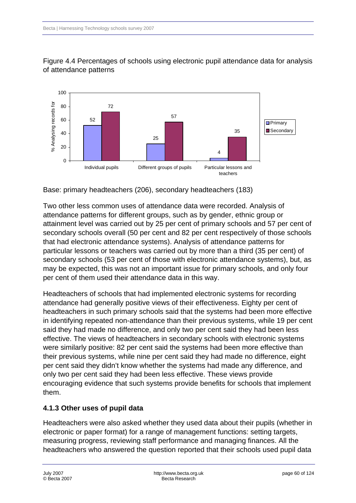

Figure 4.4 Percentages of schools using electronic pupil attendance data for analysis of attendance patterns

Base: primary headteachers (206), secondary headteachers (183)

Two other less common uses of attendance data were recorded. Analysis of attendance patterns for different groups, such as by gender, ethnic group or attainment level was carried out by 25 per cent of primary schools and 57 per cent of secondary schools overall (50 per cent and 82 per cent respectively of those schools that had electronic attendance systems). Analysis of attendance patterns for particular lessons or teachers was carried out by more than a third (35 per cent) of secondary schools (53 per cent of those with electronic attendance systems), but, as may be expected, this was not an important issue for primary schools, and only four per cent of them used their attendance data in this way.

Headteachers of schools that had implemented electronic systems for recording attendance had generally positive views of their effectiveness. Eighty per cent of headteachers in such primary schools said that the systems had been more effective in identifying repeated non-attendance than their previous systems, while 19 per cent said they had made no difference, and only two per cent said they had been less effective. The views of headteachers in secondary schools with electronic systems were similarly positive: 82 per cent said the systems had been more effective than their previous systems, while nine per cent said they had made no difference, eight per cent said they didn't know whether the systems had made any difference, and only two per cent said they had been less effective. These views provide encouraging evidence that such systems provide benefits for schools that implement them.

## **4.1.3Other uses of pupil data**

Headteachers were also asked whether they used data about their pupils (whether in electronic or paper format) for a range of management functions: setting targets, measuring progress, reviewing staff performance and managing finances. All the headteachers who answered the question reported that their schools used pupil data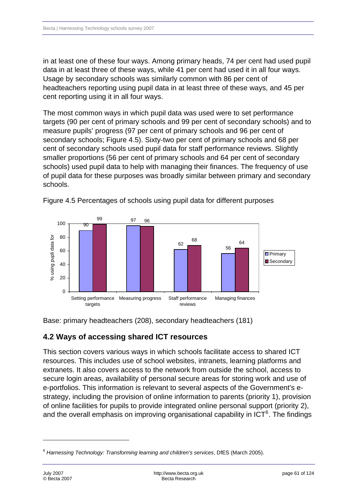in at least one of these four ways. Among primary heads, 74 per cent had used pupil data in at least three of these ways, while 41 per cent had used it in all four ways. Usage by secondary schools was similarly common with 86 per cent of headteachers reporting using pupil data in at least three of these ways, and 45 per cent reporting using it in all four ways.

The most common ways in which pupil data was used were to set performance targets (90 per cent of primary schools and 99 per cent of secondary schools) and to measure pupils' progress (97 per cent of primary schools and 96 per cent of secondary schools; Figure 4.5). Sixty-two per cent of primary schools and 68 per cent of secondary schools used pupil data for staff performance reviews. Slightly smaller proportions (56 per cent of primary schools and 64 per cent of secondary schools) used pupil data to help with managing their finances. The frequency of use of pupil data for these purposes was broadly similar between primary and secondary schools.



Figure 4.5 Percentages of schools using pupil data for different purposes

Base: primary headteachers (208), secondary headteachers (181)

## **4.2 Ways of accessing shared ICT resources**

This section covers various ways in which schools facilitate access to shared ICT resources. This includes use of school websites, intranets, learning platforms and extranets. It also covers access to the network from outside the school, access to secure login areas, availability of personal secure areas for storing work and use of e-portfolios. This information is relevant to several aspects of the Government's estrategy, including the provision of online information to parents (priority 1), provision of online facilities for pupils to provide integrated online personal support (priority 2), and the overall emphasis on improving organisational capability in ICT $6$ . The findings

-

<span id="page-60-0"></span><sup>6</sup> *Harnessing Technology: Transforming learning and children's services*, DfES (March 2005).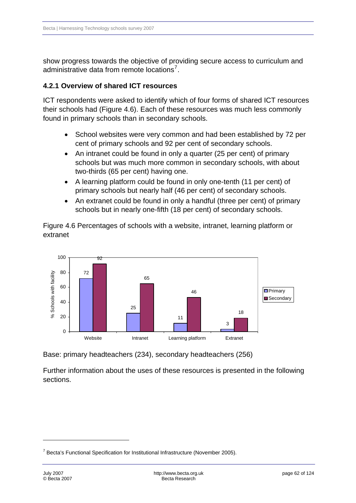show progress towards the objective of providing secure access to curriculum and administrative data from remote locations<sup>[7](#page-61-0)</sup>.

### **4.2.1Overview of shared ICT resources**

ICT respondents were asked to identify which of four forms of shared ICT resources their schools had (Figure 4.6). Each of these resources was much less commonly found in primary schools than in secondary schools.

- School websites were very common and had been established by 72 per cent of primary schools and 92 per cent of secondary schools.
- An intranet could be found in only a quarter (25 per cent) of primary schools but was much more common in secondary schools, with about two-thirds (65 per cent) having one.
- A learning platform could be found in only one-tenth (11 per cent) of primary schools but nearly half (46 per cent) of secondary schools.
- An extranet could be found in only a handful (three per cent) of primary schools but in nearly one-fifth (18 per cent) of secondary schools.

Figure 4.6 Percentages of schools with a website, intranet, learning platform or extranet



Base: primary headteachers (234), secondary headteachers (256)

Further information about the uses of these resources is presented in the following sections.

-

<span id="page-61-0"></span><sup>&</sup>lt;sup>7</sup> Becta's Functional Specification for Institutional Infrastructure (November 2005).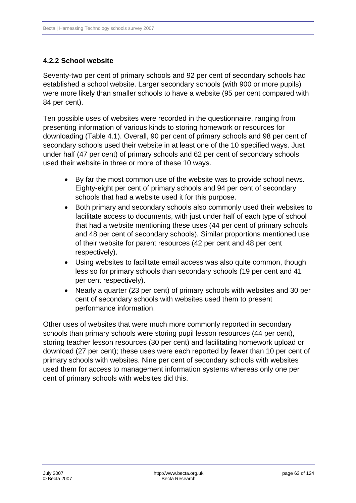### **4.2.2School website**

Seventy-two per cent of primary schools and 92 per cent of secondary schools had established a school website. Larger secondary schools (with 900 or more pupils) were more likely than smaller schools to have a website (95 per cent compared with 84 per cent).

Ten possible uses of websites were recorded in the questionnaire, ranging from presenting information of various kinds to storing homework or resources for downloading (Table 4.1). Overall, 90 per cent of primary schools and 98 per cent of secondary schools used their website in at least one of the 10 specified ways. Just under half (47 per cent) of primary schools and 62 per cent of secondary schools used their website in three or more of these 10 ways.

- By far the most common use of the website was to provide school news. Eighty-eight per cent of primary schools and 94 per cent of secondary schools that had a website used it for this purpose.
- Both primary and secondary schools also commonly used their websites to facilitate access to documents, with just under half of each type of school that had a website mentioning these uses (44 per cent of primary schools and 48 per cent of secondary schools). Similar proportions mentioned use of their website for parent resources (42 per cent and 48 per cent respectively).
- Using websites to facilitate email access was also quite common, though less so for primary schools than secondary schools (19 per cent and 41 per cent respectively).
- Nearly a quarter (23 per cent) of primary schools with websites and 30 per cent of secondary schools with websites used them to present performance information.

Other uses of websites that were much more commonly reported in secondary schools than primary schools were storing pupil lesson resources (44 per cent), storing teacher lesson resources (30 per cent) and facilitating homework upload or download (27 per cent); these uses were each reported by fewer than 10 per cent of primary schools with websites. Nine per cent of secondary schools with websites used them for access to management information systems whereas only one per cent of primary schools with websites did this.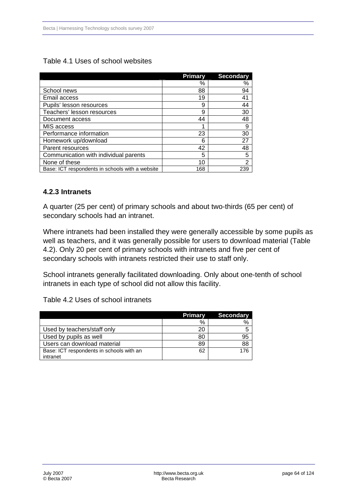|                                                 | <b>Primary</b> | <b>Secondary</b> |
|-------------------------------------------------|----------------|------------------|
|                                                 | %              | %                |
| School news                                     | 88             | 94               |
| Email access                                    | 19             | 41               |
| Pupils' lesson resources                        | 9              | 44               |
| Teachers' lesson resources                      | 9              | 30               |
| Document access                                 | 44             | 48               |
| MIS access                                      |                | 9                |
| Performance information                         | 23             | 30               |
| Homework up/download                            | 6              | 27               |
| Parent resources                                | 42             | 48               |
| Communication with individual parents           | 5              | 5                |
| None of these                                   | 10             | $\overline{2}$   |
| Base: ICT respondents in schools with a website | 168            | 239              |

### Table 4.1 Uses of school websites

### **4.2.3 Intranets**

A quarter (25 per cent) of primary schools and about two-thirds (65 per cent) of secondary schools had an intranet.

Where intranets had been installed they were generally accessible by some pupils as well as teachers, and it was generally possible for users to download material (Table 4.2). Only 20 per cent of primary schools with intranets and five per cent of secondary schools with intranets restricted their use to staff only.

School intranets generally facilitated downloading. Only about one-tenth of school intranets in each type of school did not allow this facility.

Table 4.2 Uses of school intranets

|                                          | <b>Primary</b> | <b>Secondary</b> |
|------------------------------------------|----------------|------------------|
|                                          | %              |                  |
| Used by teachers/staff only              |                |                  |
| Used by pupils as well                   | 80             | 95               |
| Users can download material              | 89             | 88               |
| Base: ICT respondents in schools with an | 62             | 176              |
| intranet                                 |                |                  |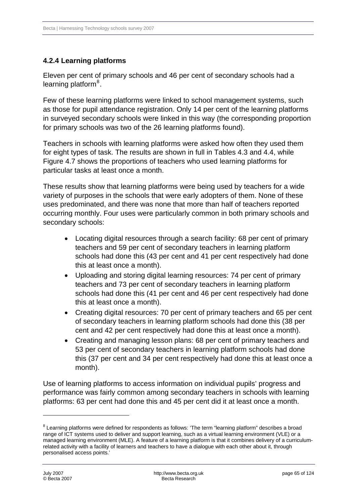## **4.2.4Learning platforms**

Eleven per cent of primary schools and 46 per cent of secondary schools had a learning platform<sup>[8](#page-64-0)</sup>.

Few of these learning platforms were linked to school management systems, such as those for pupil attendance registration. Only 14 per cent of the learning platforms in surveyed secondary schools were linked in this way (the corresponding proportion for primary schools was two of the 26 learning platforms found).

Teachers in schools with learning platforms were asked how often they used them for eight types of task. The results are shown in full in Tables 4.3 and 4.4, while Figure 4.7 shows the proportions of teachers who used learning platforms for particular tasks at least once a month.

These results show that learning platforms were being used by teachers for a wide variety of purposes in the schools that were early adopters of them. None of these uses predominated, and there was none that more than half of teachers reported occurring monthly. Four uses were particularly common in both primary schools and secondary schools:

- Locating digital resources through a search facility: 68 per cent of primary teachers and 59 per cent of secondary teachers in learning platform schools had done this (43 per cent and 41 per cent respectively had done this at least once a month).
- Uploading and storing digital learning resources: 74 per cent of primary teachers and 73 per cent of secondary teachers in learning platform schools had done this (41 per cent and 46 per cent respectively had done this at least once a month).
- Creating digital resources: 70 per cent of primary teachers and 65 per cent of secondary teachers in learning platform schools had done this (38 per cent and 42 per cent respectively had done this at least once a month).
- Creating and managing lesson plans: 68 per cent of primary teachers and 53 per cent of secondary teachers in learning platform schools had done this (37 per cent and 34 per cent respectively had done this at least once a month).

Use of learning platforms to access information on individual pupils' progress and performance was fairly common among secondary teachers in schools with learning platforms: 63 per cent had done this and 45 per cent did it at least once a month.

<span id="page-64-0"></span> $8$  Learning platforms were defined for respondents as follows: 'The term "learning platform" describes a broad range of ICT systems used to deliver and support learning, such as a virtual learning environment (VLE) or a managed learning environment (MLE). A feature of a learning platform is that it combines delivery of a curriculumrelated activity with a facility of learners and teachers to have a dialogue with each other about it, through personalised access points.'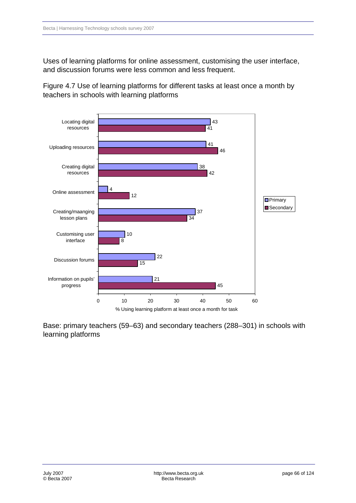Uses of learning platforms for online assessment, customising the user interface, and discussion forums were less common and less frequent.

Figure 4.7 Use of learning platforms for different tasks at least once a month by teachers in schools with learning platforms



Base: primary teachers (59–63) and secondary teachers (288–301) in schools with learning platforms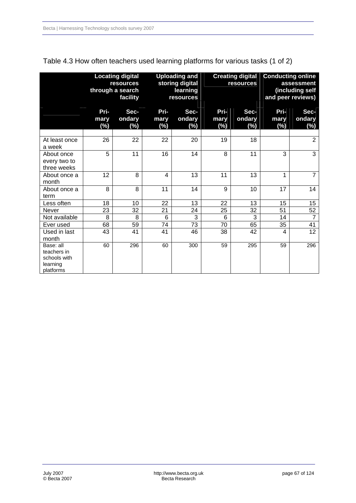|                                                                   |                        | <b>Locating digital</b><br><b>resources</b><br>through a search<br>facility |                     | <b>Uploading and</b><br>storing digital<br>learning<br>resources | <b>Creating digital</b><br>resources |                       | <b>Conducting online</b><br>assessment<br>(including self<br>and peer reviews) |                          |
|-------------------------------------------------------------------|------------------------|-----------------------------------------------------------------------------|---------------------|------------------------------------------------------------------|--------------------------------------|-----------------------|--------------------------------------------------------------------------------|--------------------------|
|                                                                   | Pri-<br>mary<br>$(\%)$ | Sec-<br>ondary<br>$(\%)$                                                    | Pri-<br>mary<br>(%) | Sec-<br>ondary<br>(%)                                            | Pri-<br>mary<br>(%)                  | Sec-<br>ondary<br>(%) | Pri-<br>mary<br>$(\%)$                                                         | Sec-<br>ondary<br>$(\%)$ |
| At least once<br>a week                                           | 26                     | 22                                                                          | 22                  | 20                                                               | 19                                   | 18                    |                                                                                | $\overline{2}$           |
| About once<br>every two to<br>three weeks                         | 5                      | 11                                                                          | 16                  | 14                                                               | 8                                    | 11                    | 3                                                                              | $\overline{3}$           |
| About once a<br>month                                             | 12                     | 8                                                                           | 4                   | 13                                                               | 11                                   | 13                    | 1                                                                              | $\overline{7}$           |
| About once a<br>term                                              | 8                      | 8                                                                           | 11                  | 14                                                               | 9                                    | 10                    | 17                                                                             | 14                       |
| Less often                                                        | 18                     | 10                                                                          | 22                  | 13                                                               | 22                                   | 13                    | 15                                                                             | 15                       |
| Never                                                             | 23                     | 32                                                                          | 21                  | 24                                                               | 25                                   | 32                    | 51                                                                             | 52                       |
| Not available                                                     | 8                      | 8                                                                           | 6                   | 3                                                                | 6                                    | 3                     | 14                                                                             | $\overline{7}$           |
| Ever used                                                         | 68                     | 59                                                                          | 74                  | 73                                                               | 70                                   | 65                    | 35                                                                             | 41                       |
| Used in last<br>month                                             | 43                     | 41                                                                          | 41                  | 46                                                               | 38                                   | 42                    | 4                                                                              | 12                       |
| Base: all<br>teachers in<br>schools with<br>learning<br>platforms | 60                     | 296                                                                         | 60                  | 300                                                              | 59                                   | 295                   | 59                                                                             | 296                      |

### Table 4.3 How often teachers used learning platforms for various tasks (1 of 2)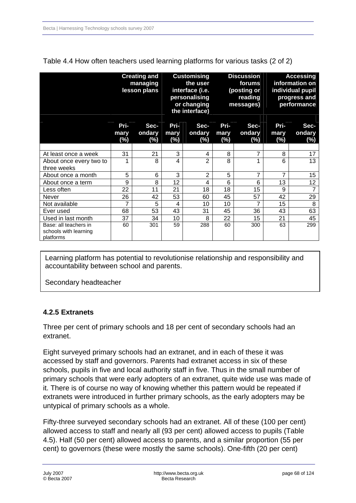|                                                             | <b>Creating and</b><br>managing<br>lesson plans |                       |                        | <b>Customising</b><br>the user<br>interface (i.e.<br>personalising<br>or changing<br>the interface) |                        | <b>Discussion</b><br>forums<br>(posting or<br>reading<br>messages) |                        | <b>Accessing</b><br>information on<br>individual pupil<br>progress and<br>performance |
|-------------------------------------------------------------|-------------------------------------------------|-----------------------|------------------------|-----------------------------------------------------------------------------------------------------|------------------------|--------------------------------------------------------------------|------------------------|---------------------------------------------------------------------------------------|
|                                                             | Pri-<br>mary<br>$(\%)$                          | Sec-<br>ondary<br>(%) | Pri-<br>mary<br>$(\%)$ | Sec-<br>ondary<br>(%)                                                                               | Pri-<br>mary<br>$(\%)$ | Sec-<br>ondary<br>(%)                                              | Pri-<br>mary<br>$(\%)$ | Sec-<br>ondary<br>$(\%)$                                                              |
|                                                             |                                                 |                       |                        |                                                                                                     |                        |                                                                    |                        |                                                                                       |
| At least once a week                                        | 31                                              | 21                    | 3                      | 4                                                                                                   | 8                      | 7                                                                  | 8                      | 17                                                                                    |
| About once every two to<br>three weeks                      | 1                                               | 8                     | 4                      | 2                                                                                                   | 8                      | 1                                                                  | 6                      | 13                                                                                    |
| About once a month                                          | 5                                               | 6                     | 3                      | 2                                                                                                   | 5                      | 7                                                                  | 7                      | 15                                                                                    |
| About once a term                                           | 9                                               | 8                     | 12                     | 4                                                                                                   | 6                      | 6                                                                  | 13                     | 12                                                                                    |
| Less often                                                  | 22                                              | 11                    | 21                     | 18                                                                                                  | 18                     | 15                                                                 | 9                      | $\overline{7}$                                                                        |
| Never                                                       | 26                                              | 42                    | 53                     | 60                                                                                                  | 45                     | 57                                                                 | 42                     | 29                                                                                    |
| Not available                                               | 7                                               | 5                     | 4                      | 10                                                                                                  | 10                     | 7                                                                  | 15                     | 8                                                                                     |
| Ever used                                                   | 68                                              | 53                    | 43                     | 31                                                                                                  | 45                     | 36                                                                 | 43                     | 63                                                                                    |
| Used in last month                                          | 37                                              | 34                    | 10                     | 8                                                                                                   | 22                     | 15                                                                 | 21                     | 45                                                                                    |
| Base: all teachers in<br>schools with learning<br>platforms | 60                                              | 301                   | 59                     | 288                                                                                                 | 60                     | 300                                                                | 63                     | 299                                                                                   |

Table 4.4 How often teachers used learning platforms for various tasks (2 of 2)

Learning platform has potential to revolutionise relationship and responsibility and accountability between school and parents.

Secondary headteacher

### **4.2.5 Extranets**

Three per cent of primary schools and 18 per cent of secondary schools had an extranet.

Eight surveyed primary schools had an extranet, and in each of these it was accessed by staff and governors. Parents had extranet access in six of these schools, pupils in five and local authority staff in five. Thus in the small number of primary schools that were early adopters of an extranet, quite wide use was made of it. There is of course no way of knowing whether this pattern would be repeated if extranets were introduced in further primary schools, as the early adopters may be untypical of primary schools as a whole.

Fifty-three surveyed secondary schools had an extranet. All of these (100 per cent) allowed access to staff and nearly all (93 per cent) allowed access to pupils (Table 4.5). Half (50 per cent) allowed access to parents, and a similar proportion (55 per cent) to governors (these were mostly the same schools). One-fifth (20 per cent)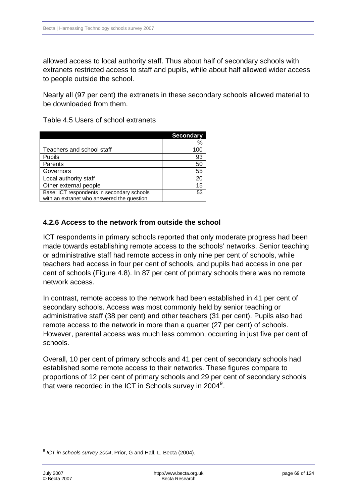allowed access to local authority staff. Thus about half of secondary schools with extranets restricted access to staff and pupils, while about half allowed wider access to people outside the school.

Nearly all (97 per cent) the extranets in these secondary schools allowed material to be downloaded from them.

Table 4.5 Users of school extranets

|                                            | <b>Secondary</b> |
|--------------------------------------------|------------------|
|                                            | ℅                |
| Teachers and school staff                  | 10C              |
| Pupils                                     | 93               |
| Parents                                    | 50               |
| Governors                                  | 55               |
| Local authority staff                      | 20               |
| Other external people                      | 15               |
| Base: ICT respondents in secondary schools | 53               |
| with an extranet who answered the question |                  |

### **4.2.6 Access to the network from outside the school**

ICT respondents in primary schools reported that only moderate progress had been made towards establishing remote access to the schools' networks. Senior teaching or administrative staff had remote access in only nine per cent of schools, while teachers had access in four per cent of schools, and pupils had access in one per cent of schools (Figure 4.8). In 87 per cent of primary schools there was no remote network access.

In contrast, remote access to the network had been established in 41 per cent of secondary schools. Access was most commonly held by senior teaching or administrative staff (38 per cent) and other teachers (31 per cent). Pupils also had remote access to the network in more than a quarter (27 per cent) of schools. However, parental access was much less common, occurring in just five per cent of schools.

Overall, 10 per cent of primary schools and 41 per cent of secondary schools had established some remote access to their networks. These figures compare to proportions of 12 per cent of primary schools and 29 per cent of secondary schools that were recorded in the ICT in Schools survey in 2004<sup>[9](#page-68-0)</sup>.

-

<span id="page-68-0"></span><sup>9</sup> *ICT in schools survey 2004*, Prior, G and Hall, L, Becta (2004).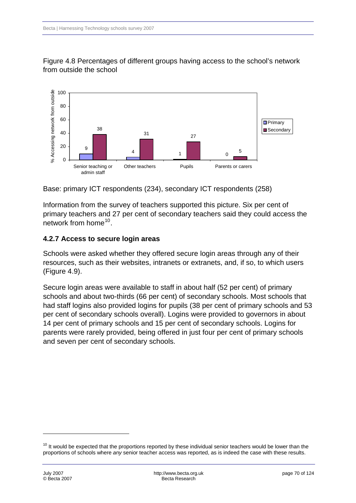

Figure 4.8 Percentages of different groups having access to the school's network from outside the school

Base: primary ICT respondents (234), secondary ICT respondents (258)

Information from the survey of teachers supported this picture. Six per cent of primary teachers and 27 per cent of secondary teachers said they could access the network from home  $10^{-1}$  $10^{-1}$ .

### **4.2.7Access to secure login areas**

Schools were asked whether they offered secure login areas through any of their resources, such as their websites, intranets or extranets, and, if so, to which users (Figure 4.9).

Secure login areas were available to staff in about half (52 per cent) of primary schools and about two-thirds (66 per cent) of secondary schools. Most schools that had staff logins also provided logins for pupils (38 per cent of primary schools and 53 per cent of secondary schools overall). Logins were provided to governors in about 14 per cent of primary schools and 15 per cent of secondary schools. Logins for parents were rarely provided, being offered in just four per cent of primary schools and seven per cent of secondary schools.

<span id="page-69-0"></span> $10$  It would be expected that the proportions reported by these individual senior teachers would be lower than the proportions of schools where *any* senior teacher access was reported, as is indeed the case with these results.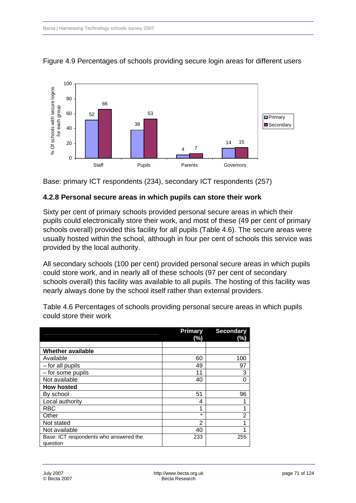

#### Figure 4.9 Percentages of schools providing secure login areas for different users

Base: primary ICT respondents (234), secondary ICT respondents (257)

### **4.2.8 Personal secure areas in which pupils can store their work**

Sixty per cent of primary schools provided personal secure areas in which their pupils could electronically store their work, and most of these (49 per cent of primary schools overall) provided this facility for all pupils (Table 4.6). The secure areas were usually hosted within the school, although in four per cent of schools this service was provided by the local authority.

All secondary schools (100 per cent) provided personal secure areas in which pupils could store work, and in nearly all of these schools (97 per cent of secondary schools overall) this facility was available to all pupils. The hosting of this facility was nearly always done by the school itself rather than external providers.

Table 4.6 Percentages of schools providing personal secure areas in which pupils could store their work

|                                                    | <b>Primary</b><br>(%) | <b>Secondary</b><br>(%) |
|----------------------------------------------------|-----------------------|-------------------------|
|                                                    |                       |                         |
| <b>Whether available</b>                           |                       |                         |
| Available                                          | 60                    | 100                     |
| - for all pupils                                   | 49                    | 97                      |
| - for some pupils                                  | 11                    | 3                       |
| Not available                                      | 40                    | ი                       |
| <b>How hosted</b>                                  |                       |                         |
| By school                                          | 51                    | 96                      |
| Local authority                                    | 4                     |                         |
| <b>RBC</b>                                         | ٠                     |                         |
| Other                                              | $\star$               | 2                       |
| Not stated                                         | 2                     |                         |
| Not available                                      | 40                    |                         |
| Base: ICT respondents who answered the<br>question | 233                   | 255                     |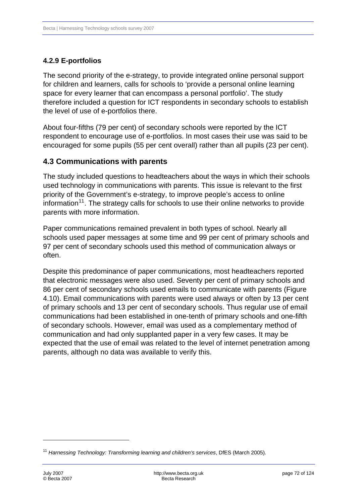### **4.2.9 E-portfolios**

The second priority of the e-strategy, to provide integrated online personal support for children and learners, calls for schools to 'provide a personal online learning space for every learner that can encompass a personal portfolio'. The study therefore included a question for ICT respondents in secondary schools to establish the level of use of e-portfolios there.

About four-fifths (79 per cent) of secondary schools were reported by the ICT respondent to encourage use of e-portfolios. In most cases their use was said to be encouraged for some pupils (55 per cent overall) rather than all pupils (23 per cent).

### **4.3 Communications with parents**

The study included questions to headteachers about the ways in which their schools used technology in communications with parents. This issue is relevant to the first priority of the Government's e-strategy, to improve people's access to online information<sup>[11](#page-71-0)</sup>. The strategy calls for schools to use their online networks to provide parents with more information.

Paper communications remained prevalent in both types of school. Nearly all schools used paper messages at some time and 99 per cent of primary schools and 97 per cent of secondary schools used this method of communication always or often.

Despite this predominance of paper communications, most headteachers reported that electronic messages were also used. Seventy per cent of primary schools and 86 per cent of secondary schools used emails to communicate with parents (Figure 4.10). Email communications with parents were used always or often by 13 per cent of primary schools and 13 per cent of secondary schools. Thus regular use of email communications had been established in one-tenth of primary schools and one-fifth of secondary schools. However, email was used as a complementary method of communication and had only supplanted paper in a very few cases. It may be expected that the use of email was related to the level of internet penetration among parents, although no data was available to verify this.

-

<span id="page-71-0"></span><sup>&</sup>lt;sup>11</sup> Harnessing Technology: Transforming learning and children's services, DfES (March 2005).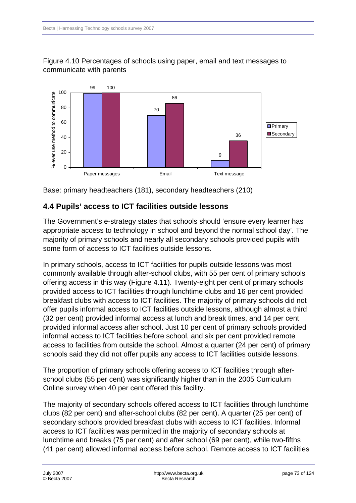



Base: primary headteachers (181), secondary headteachers (210)

### **4.4 Pupils' access to ICT facilities outside lessons**

The Government's e-strategy states that schools should 'ensure every learner has appropriate access to technology in school and beyond the normal school day'. The majority of primary schools and nearly all secondary schools provided pupils with some form of access to ICT facilities outside lessons.

In primary schools, access to ICT facilities for pupils outside lessons was most commonly available through after-school clubs, with 55 per cent of primary schools offering access in this way (Figure 4.11). Twenty-eight per cent of primary schools provided access to ICT facilities through lunchtime clubs and 16 per cent provided breakfast clubs with access to ICT facilities. The majority of primary schools did not offer pupils informal access to ICT facilities outside lessons, although almost a third (32 per cent) provided informal access at lunch and break times, and 14 per cent provided informal access after school. Just 10 per cent of primary schools provided informal access to ICT facilities before school, and six per cent provided remote access to facilities from outside the school. Almost a quarter (24 per cent) of primary schools said they did not offer pupils any access to ICT facilities outside lessons.

The proportion of primary schools offering access to ICT facilities through afterschool clubs (55 per cent) was significantly higher than in the 2005 Curriculum Online survey when 40 per cent offered this facility.

The majority of secondary schools offered access to ICT facilities through lunchtime clubs (82 per cent) and after-school clubs (82 per cent). A quarter (25 per cent) of secondary schools provided breakfast clubs with access to ICT facilities. Informal access to ICT facilities was permitted in the majority of secondary schools at lunchtime and breaks (75 per cent) and after school (69 per cent), while two-fifths (41 per cent) allowed informal access before school. Remote access to ICT facilities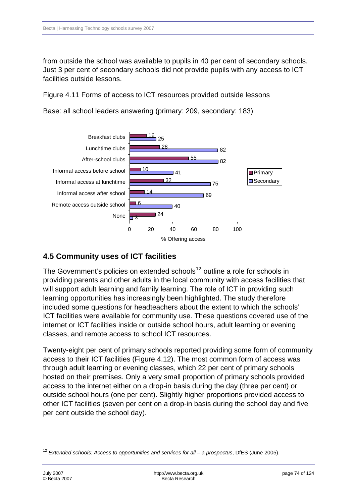from outside the school was available to pupils in 40 per cent of secondary schools. Just 3 per cent of secondary schools did not provide pupils with any access to ICT facilities outside lessons.

Figure 4.11 Forms of access to ICT resources provided outside lessons



Base: all school leaders answering (primary: 209, secondary: 183)

### **4.5 Community uses of ICT facilities**

 $\Box$ 3

The Government's policies on extended schools<sup>[12](#page-73-0)</sup> outline a role for schools in providing parents and other adults in the local community with access facilities that will support adult learning and family learning. The role of ICT in providing such learning opportunities has increasingly been highlighted. The study therefore included some questions for headteachers about the extent to which the schools' ICT facilities were available for community use. These questions covered use of the internet or ICT facilities inside or outside school hours, adult learning or evening classes, and remote access to school ICT resources.

0 20 40 60 80 100

% Offering access

Twenty-eight per cent of primary schools reported providing some form of community access to their ICT facilities (Figure 4.12). The most common form of access was through adult learning or evening classes, which 22 per cent of primary schools hosted on their premises. Only a very small proportion of primary schools provided access to the internet either on a drop-in basis during the day (three per cent) or outside school hours (one per cent). Slightly higher proportions provided access to other ICT facilities (seven per cent on a drop-in basis during the school day and five per cent outside the school day).

-

<span id="page-73-0"></span><sup>12</sup> *Extended schools: Access to opportunities and services for all – a prospectus*, DfES (June 2005).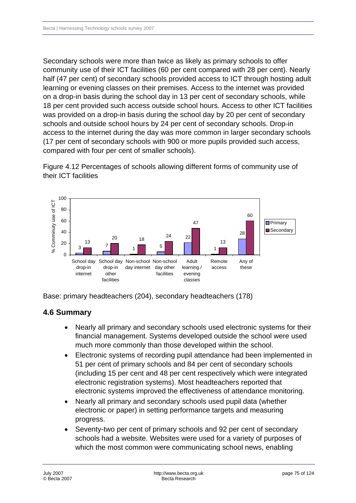Secondary schools were more than twice as likely as primary schools to offer community use of their ICT facilities (60 per cent compared with 28 per cent). Nearly half (47 per cent) of secondary schools provided access to ICT through hosting adult learning or evening classes on their premises. Access to the internet was provided on a drop-in basis during the school day in 13 per cent of secondary schools, while 18 per cent provided such access outside school hours. Access to other ICT facilities was provided on a drop-in basis during the school day by 20 per cent of secondary schools and outside school hours by 24 per cent of secondary schools. Drop-in access to the internet during the day was more common in larger secondary schools (17 per cent of secondary schools with 900 or more pupils provided such access, compared with four per cent of smaller schools).

Figure 4.12 Percentages of schools allowing different forms of community use of their ICT facilities



Base: primary headteachers (204), secondary headteachers (178)

## **4.6 Summary**

- Nearly all primary and secondary schools used electronic systems for their financial management. Systems developed outside the school were used much more commonly than those developed within the school.
- Electronic systems of recording pupil attendance had been implemented in 51 per cent of primary schools and 84 per cent of secondary schools (including 15 per cent and 48 per cent respectively which were integrated electronic registration systems). Most headteachers reported that electronic systems improved the effectiveness of attendance monitoring.
- Nearly all primary and secondary schools used pupil data (whether electronic or paper) in setting performance targets and measuring progress.
- Seventy-two per cent of primary schools and 92 per cent of secondary schools had a website. Websites were used for a variety of purposes of which the most common were communicating school news, enabling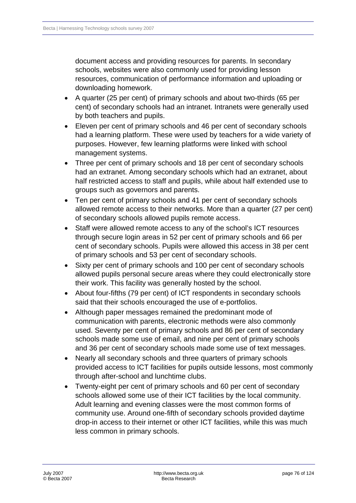document access and providing resources for parents. In secondary schools, websites were also commonly used for providing lesson resources, communication of performance information and uploading or downloading homework.

- A quarter (25 per cent) of primary schools and about two-thirds (65 per cent) of secondary schools had an intranet. Intranets were generally used by both teachers and pupils.
- Eleven per cent of primary schools and 46 per cent of secondary schools had a learning platform. These were used by teachers for a wide variety of purposes. However, few learning platforms were linked with school management systems.
- Three per cent of primary schools and 18 per cent of secondary schools had an extranet. Among secondary schools which had an extranet, about half restricted access to staff and pupils, while about half extended use to groups such as governors and parents.
- Ten per cent of primary schools and 41 per cent of secondary schools allowed remote access to their networks. More than a quarter (27 per cent) of secondary schools allowed pupils remote access.
- Staff were allowed remote access to any of the school's ICT resources through secure login areas in 52 per cent of primary schools and 66 per cent of secondary schools. Pupils were allowed this access in 38 per cent of primary schools and 53 per cent of secondary schools.
- Sixty per cent of primary schools and 100 per cent of secondary schools allowed pupils personal secure areas where they could electronically store their work. This facility was generally hosted by the school.
- About four-fifths (79 per cent) of ICT respondents in secondary schools said that their schools encouraged the use of e-portfolios.
- Although paper messages remained the predominant mode of communication with parents, electronic methods were also commonly used. Seventy per cent of primary schools and 86 per cent of secondary schools made some use of email, and nine per cent of primary schools and 36 per cent of secondary schools made some use of text messages.
- Nearly all secondary schools and three quarters of primary schools provided access to ICT facilities for pupils outside lessons, most commonly through after-school and lunchtime clubs.
- Twenty-eight per cent of primary schools and 60 per cent of secondary schools allowed some use of their ICT facilities by the local community. Adult learning and evening classes were the most common forms of community use. Around one-fifth of secondary schools provided daytime drop-in access to their internet or other ICT facilities, while this was much less common in primary schools.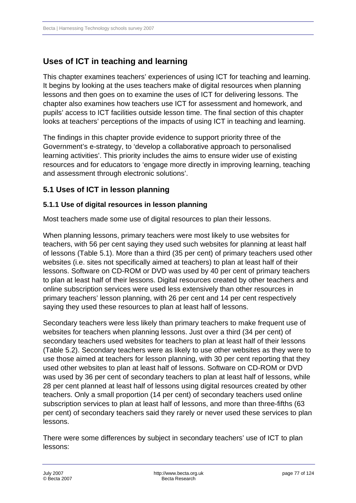# **Uses of ICT in teaching and learning**

This chapter examines teachers' experiences of using ICT for teaching and learning. It begins by looking at the uses teachers make of digital resources when planning lessons and then goes on to examine the uses of ICT for delivering lessons. The chapter also examines how teachers use ICT for assessment and homework, and pupils' access to ICT facilities outside lesson time. The final section of this chapter looks at teachers' perceptions of the impacts of using ICT in teaching and learning.

The findings in this chapter provide evidence to support priority three of the Government's e-strategy, to 'develop a collaborative approach to personalised learning activities'. This priority includes the aims to ensure wider use of existing resources and for educators to 'engage more directly in improving learning, teaching and assessment through electronic solutions'.

### **5.1 Uses of ICT in lesson planning**

#### **5.1.1 Use of digital resources in lesson planning**

Most teachers made some use of digital resources to plan their lessons.

When planning lessons, primary teachers were most likely to use websites for teachers, with 56 per cent saying they used such websites for planning at least half of lessons (Table 5.1). More than a third (35 per cent) of primary teachers used other websites (i.e. sites not specifically aimed at teachers) to plan at least half of their lessons. Software on CD-ROM or DVD was used by 40 per cent of primary teachers to plan at least half of their lessons. Digital resources created by other teachers and online subscription services were used less extensively than other resources in primary teachers' lesson planning, with 26 per cent and 14 per cent respectively saying they used these resources to plan at least half of lessons.

Secondary teachers were less likely than primary teachers to make frequent use of websites for teachers when planning lessons. Just over a third (34 per cent) of secondary teachers used websites for teachers to plan at least half of their lessons (Table 5.2). Secondary teachers were as likely to use other websites as they were to use those aimed at teachers for lesson planning, with 30 per cent reporting that they used other websites to plan at least half of lessons. Software on CD-ROM or DVD was used by 36 per cent of secondary teachers to plan at least half of lessons, while 28 per cent planned at least half of lessons using digital resources created by other teachers. Only a small proportion (14 per cent) of secondary teachers used online subscription services to plan at least half of lessons, and more than three-fifths (63 per cent) of secondary teachers said they rarely or never used these services to plan lessons.

There were some differences by subject in secondary teachers' use of ICT to plan lessons: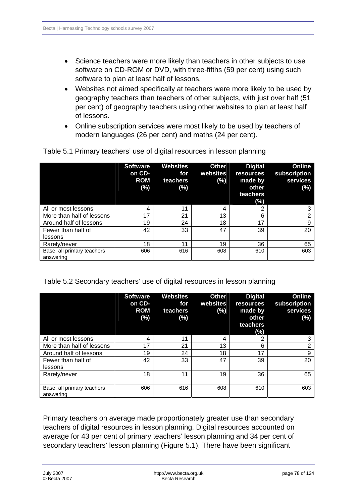- Science teachers were more likely than teachers in other subjects to use software on CD-ROM or DVD, with three-fifths (59 per cent) using such software to plan at least half of lessons.
- Websites not aimed specifically at teachers were more likely to be used by geography teachers than teachers of other subjects, with just over half (51 per cent) of geography teachers using other websites to plan at least half of lessons.
- Online subscription services were most likely to be used by teachers of modern languages (26 per cent) and maths (24 per cent).

|                                         | <b>Software</b><br>on CD-<br><b>ROM</b><br>$(\%)$ | <b>Websites</b><br>for<br>teachers<br>(%) | <b>Other</b><br>websites<br>(%) | <b>Digital</b><br><b>resources</b><br>made by<br>other<br>teachers<br>(%) | Online<br>subscription<br>services<br>(%) |
|-----------------------------------------|---------------------------------------------------|-------------------------------------------|---------------------------------|---------------------------------------------------------------------------|-------------------------------------------|
| All or most lessons                     | 4                                                 | 11                                        | 4                               | 2                                                                         | 3                                         |
| More than half of lessons               | 17                                                | 21                                        | 13                              | 6                                                                         | $\overline{2}$                            |
| Around half of lessons                  | 19                                                | 24                                        | 18                              | 17                                                                        | 9                                         |
| Fewer than half of                      | 42                                                | 33                                        | 47                              | 39                                                                        | 20                                        |
| lessons                                 |                                                   |                                           |                                 |                                                                           |                                           |
| Rarely/never                            | 18                                                | 11                                        | 19                              | 36                                                                        | 65                                        |
| Base: all primary teachers<br>answering | 606                                               | 616                                       | 608                             | 610                                                                       | 603                                       |

Table 5.1 Primary teachers' use of digital resources in lesson planning

Table 5.2 Secondary teachers' use of digital resources in lesson planning

|                                         | <b>Software</b><br>on CD-<br><b>ROM</b><br>(%) | <b>Websites</b><br>for<br>teachers<br>(%) | <b>Other</b><br>websites<br>(%) | <b>Digital</b><br><b>resources</b><br>made by<br>other<br>teachers<br>$(\%)$ | Online<br>subscription<br>services<br>(%) |
|-----------------------------------------|------------------------------------------------|-------------------------------------------|---------------------------------|------------------------------------------------------------------------------|-------------------------------------------|
| All or most lessons                     | 4                                              | 11                                        | 4                               | っ                                                                            | 3                                         |
| More than half of lessons               | 17                                             | 21                                        | 13                              | 6                                                                            | っ                                         |
| Around half of lessons                  | 19                                             | 24                                        | 18                              | 17                                                                           | 9                                         |
| Fewer than half of<br>lessons           | 42                                             | 33                                        | 47                              | 39                                                                           | 20                                        |
| Rarely/never                            | 18                                             | 11                                        | 19                              | 36                                                                           | 65                                        |
| Base: all primary teachers<br>answering | 606                                            | 616                                       | 608                             | 610                                                                          | 603                                       |

Primary teachers on average made proportionately greater use than secondary teachers of digital resources in lesson planning. Digital resources accounted on average for 43 per cent of primary teachers' lesson planning and 34 per cent of secondary teachers' lesson planning (Figure 5.1). There have been significant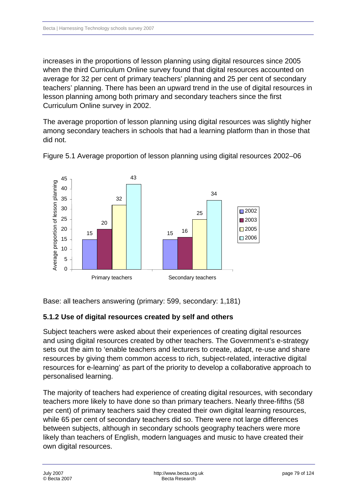increases in the proportions of lesson planning using digital resources since 2005 when the third Curriculum Online survey found that digital resources accounted on average for 32 per cent of primary teachers' planning and 25 per cent of secondary teachers' planning. There has been an upward trend in the use of digital resources in lesson planning among both primary and secondary teachers since the first Curriculum Online survey in 2002.

The average proportion of lesson planning using digital resources was slightly higher among secondary teachers in schools that had a learning platform than in those that did not.



Figure 5.1 Average proportion of lesson planning using digital resources 2002–06

Base: all teachers answering (primary: 599, secondary: 1,181)

#### **5.1.2 Use of digital resources created by self and others**

Subject teachers were asked about their experiences of creating digital resources and using digital resources created by other teachers. The Government's e-strategy sets out the aim to 'enable teachers and lecturers to create, adapt, re-use and share resources by giving them common access to rich, subject-related, interactive digital resources for e-learning' as part of the priority to develop a collaborative approach to personalised learning.

The majority of teachers had experience of creating digital resources, with secondary teachers more likely to have done so than primary teachers. Nearly three-fifths (58 per cent) of primary teachers said they created their own digital learning resources, while 65 per cent of secondary teachers did so. There were not large differences between subjects, although in secondary schools geography teachers were more likely than teachers of English, modern languages and music to have created their own digital resources.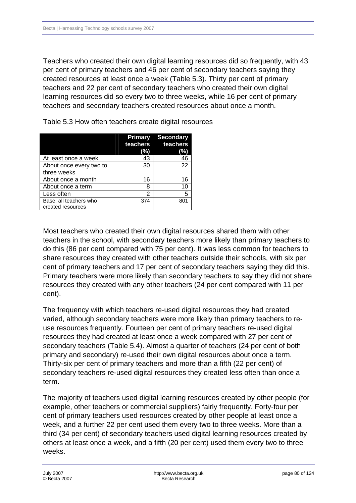Teachers who created their own digital learning resources did so frequently, with 43 per cent of primary teachers and 46 per cent of secondary teachers saying they created resources at least once a week (Table 5.3). Thirty per cent of primary teachers and 22 per cent of secondary teachers who created their own digital learning resources did so every two to three weeks, while 16 per cent of primary teachers and secondary teachers created resources about once a month.

|                                             | <b>Primary</b><br>(%) | <b>Secondary</b><br>teachers teachers<br>(%) |
|---------------------------------------------|-----------------------|----------------------------------------------|
| At least once a week                        | 43                    | 46                                           |
| About once every two to                     | 30                    | 22                                           |
| three weeks                                 |                       |                                              |
| About once a month                          | 16                    | 16                                           |
| About once a term                           | 8                     | 10                                           |
| Less often                                  | 2                     | 5                                            |
| Base: all teachers who<br>created resources | 374                   | 80 <sup>-</sup>                              |

Table 5.3 How often teachers create digital resources

Most teachers who created their own digital resources shared them with other teachers in the school, with secondary teachers more likely than primary teachers to do this (86 per cent compared with 75 per cent). It was less common for teachers to share resources they created with other teachers outside their schools, with six per cent of primary teachers and 17 per cent of secondary teachers saying they did this. Primary teachers were more likely than secondary teachers to say they did not share resources they created with any other teachers (24 per cent compared with 11 per cent).

The frequency with which teachers re-used digital resources they had created varied, although secondary teachers were more likely than primary teachers to reuse resources frequently. Fourteen per cent of primary teachers re-used digital resources they had created at least once a week compared with 27 per cent of secondary teachers (Table 5.4). Almost a quarter of teachers (24 per cent of both primary and secondary) re-used their own digital resources about once a term. Thirty-six per cent of primary teachers and more than a fifth (22 per cent) of secondary teachers re-used digital resources they created less often than once a term.

The majority of teachers used digital learning resources created by other people (for example, other teachers or commercial suppliers) fairly frequently. Forty-four per cent of primary teachers used resources created by other people at least once a week, and a further 22 per cent used them every two to three weeks. More than a third (34 per cent) of secondary teachers used digital learning resources created by others at least once a week, and a fifth (20 per cent) used them every two to three weeks.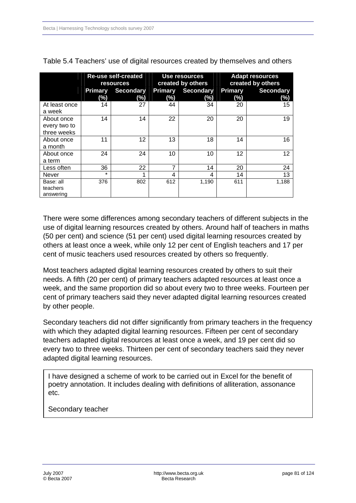|                                           |                       | <b>Re-use self-created</b><br><b>resources</b> |                   | <b>Use resources</b><br>created by others | <b>Adapt resources</b><br>created by others |                         |  |
|-------------------------------------------|-----------------------|------------------------------------------------|-------------------|-------------------------------------------|---------------------------------------------|-------------------------|--|
|                                           | <b>Primary</b><br>(%) | <b>Secondary</b><br>$(\%)$                     | Primary<br>$(\%)$ | <b>Secondary</b><br>(%)                   | <b>Primary</b><br>$(\%)$                    | <b>Secondary</b><br>(%) |  |
| At least once<br>a week                   | 14                    | 27                                             | 44                | 34                                        | 20                                          | 15                      |  |
| About once<br>every two to<br>three weeks | 14                    | 14                                             | 22                | 20                                        | 20                                          | 19                      |  |
| About once<br>a month                     | 11                    | 12                                             | 13                | 18                                        | 14                                          | 16                      |  |
| About once<br>a term                      | 24                    | 24                                             | 10                | 10                                        | 12                                          | 12                      |  |
| Less often                                | 36                    | 22                                             | 7                 | 14                                        | 20                                          | 24                      |  |
| Never                                     | $\star$               | 1                                              | 4                 | 4                                         | 14                                          | 13                      |  |
| Base: all<br>teachers<br>answering        | 376                   | 802                                            | 612               | 1,190                                     | 611                                         | 1,188                   |  |

Table 5.4 Teachers' use of digital resources created by themselves and others

There were some differences among secondary teachers of different subjects in the use of digital learning resources created by others. Around half of teachers in maths (50 per cent) and science (51 per cent) used digital learning resources created by others at least once a week, while only 12 per cent of English teachers and 17 per cent of music teachers used resources created by others so frequently.

Most teachers adapted digital learning resources created by others to suit their needs. A fifth (20 per cent) of primary teachers adapted resources at least once a week, and the same proportion did so about every two to three weeks. Fourteen per cent of primary teachers said they never adapted digital learning resources created by other people.

Secondary teachers did not differ significantly from primary teachers in the frequency with which they adapted digital learning resources. Fifteen per cent of secondary teachers adapted digital resources at least once a week, and 19 per cent did so every two to three weeks. Thirteen per cent of secondary teachers said they never adapted digital learning resources.

I have designed a scheme of work to be carried out in Excel for the benefit of poetry annotation. It includes dealing with definitions of alliteration, assonance etc.

Secondary teacher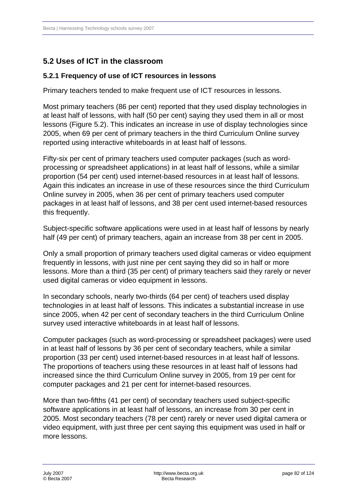## **5.2 Uses of ICT in the classroom**

#### **5.2.1 Frequency of use of ICT resources in lessons**

Primary teachers tended to make frequent use of ICT resources in lessons.

Most primary teachers (86 per cent) reported that they used display technologies in at least half of lessons, with half (50 per cent) saying they used them in all or most lessons (Figure 5.2). This indicates an increase in use of display technologies since 2005, when 69 per cent of primary teachers in the third Curriculum Online survey reported using interactive whiteboards in at least half of lessons.

Fifty-six per cent of primary teachers used computer packages (such as wordprocessing or spreadsheet applications) in at least half of lessons, while a similar proportion (54 per cent) used internet-based resources in at least half of lessons. Again this indicates an increase in use of these resources since the third Curriculum Online survey in 2005, when 36 per cent of primary teachers used computer packages in at least half of lessons, and 38 per cent used internet-based resources this frequently.

Subject-specific software applications were used in at least half of lessons by nearly half (49 per cent) of primary teachers, again an increase from 38 per cent in 2005.

Only a small proportion of primary teachers used digital cameras or video equipment frequently in lessons, with just nine per cent saying they did so in half or more lessons. More than a third (35 per cent) of primary teachers said they rarely or never used digital cameras or video equipment in lessons.

In secondary schools, nearly two-thirds (64 per cent) of teachers used display technologies in at least half of lessons. This indicates a substantial increase in use since 2005, when 42 per cent of secondary teachers in the third Curriculum Online survey used interactive whiteboards in at least half of lessons.

Computer packages (such as word-processing or spreadsheet packages) were used in at least half of lessons by 36 per cent of secondary teachers, while a similar proportion (33 per cent) used internet-based resources in at least half of lessons. The proportions of teachers using these resources in at least half of lessons had increased since the third Curriculum Online survey in 2005, from 19 per cent for computer packages and 21 per cent for internet-based resources.

More than two-fifths (41 per cent) of secondary teachers used subject-specific software applications in at least half of lessons, an increase from 30 per cent in 2005. Most secondary teachers (78 per cent) rarely or never used digital camera or video equipment, with just three per cent saying this equipment was used in half or more lessons.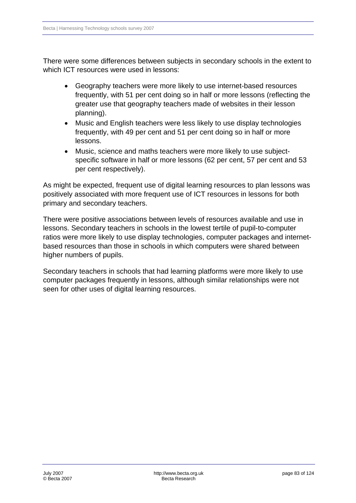There were some differences between subjects in secondary schools in the extent to which ICT resources were used in lessons:

- Geography teachers were more likely to use internet-based resources frequently, with 51 per cent doing so in half or more lessons (reflecting the greater use that geography teachers made of websites in their lesson planning).
- Music and English teachers were less likely to use display technologies frequently, with 49 per cent and 51 per cent doing so in half or more lessons.
- Music, science and maths teachers were more likely to use subjectspecific software in half or more lessons (62 per cent, 57 per cent and 53 per cent respectively).

As might be expected, frequent use of digital learning resources to plan lessons was positively associated with more frequent use of ICT resources in lessons for both primary and secondary teachers.

There were positive associations between levels of resources available and use in lessons. Secondary teachers in schools in the lowest tertile of pupil-to-computer ratios were more likely to use display technologies, computer packages and internetbased resources than those in schools in which computers were shared between higher numbers of pupils.

Secondary teachers in schools that had learning platforms were more likely to use computer packages frequently in lessons, although similar relationships were not seen for other uses of digital learning resources.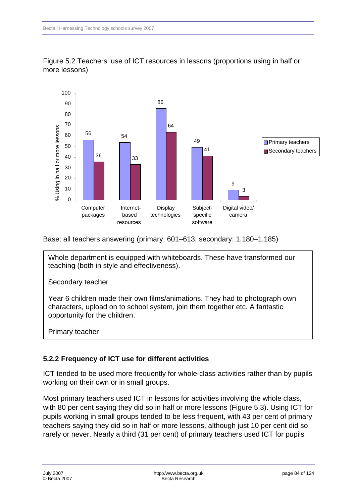

Figure 5.2 Teachers' use of ICT resources in lessons (proportions using in half or more lessons)

Base: all teachers answering (primary: 601–613, secondary: 1,180–1,185)

Whole department is equipped with whiteboards. These have transformed our teaching (both in style and effectiveness).

Secondary teacher

Year 6 children made their own films/animations. They had to photograph own characters, upload on to school system, join them together etc. A fantastic opportunity for the children.

Primary teacher

#### **5.2.2 Frequency of ICT use for different activities**

ICT tended to be used more frequently for whole-class activities rather than by pupils working on their own or in small groups.

Most primary teachers used ICT in lessons for activities involving the whole class, with 80 per cent saying they did so in half or more lessons (Figure 5.3). Using ICT for pupils working in small groups tended to be less frequent, with 43 per cent of primary teachers saying they did so in half or more lessons, although just 10 per cent did so rarely or never. Nearly a third (31 per cent) of primary teachers used ICT for pupils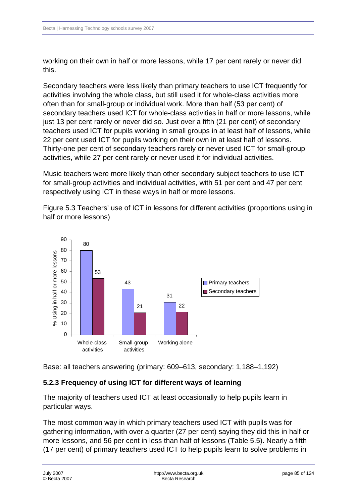working on their own in half or more lessons, while 17 per cent rarely or never did this.

Secondary teachers were less likely than primary teachers to use ICT frequently for activities involving the whole class, but still used it for whole-class activities more often than for small-group or individual work. More than half (53 per cent) of secondary teachers used ICT for whole-class activities in half or more lessons, while just 13 per cent rarely or never did so. Just over a fifth (21 per cent) of secondary teachers used ICT for pupils working in small groups in at least half of lessons, while 22 per cent used ICT for pupils working on their own in at least half of lessons. Thirty-one per cent of secondary teachers rarely or never used ICT for small-group activities, while 27 per cent rarely or never used it for individual activities.

Music teachers were more likely than other secondary subject teachers to use ICT for small-group activities and individual activities, with 51 per cent and 47 per cent respectively using ICT in these ways in half or more lessons.

Figure 5.3 Teachers' use of ICT in lessons for different activities (proportions using in half or more lessons)



Base: all teachers answering (primary: 609–613, secondary: 1,188–1,192)

### **5.2.3 Frequency of using ICT for different ways of learning**

The majority of teachers used ICT at least occasionally to help pupils learn in particular ways.

The most common way in which primary teachers used ICT with pupils was for gathering information, with over a quarter (27 per cent) saying they did this in half or more lessons, and 56 per cent in less than half of lessons (Table 5.5). Nearly a fifth (17 per cent) of primary teachers used ICT to help pupils learn to solve problems in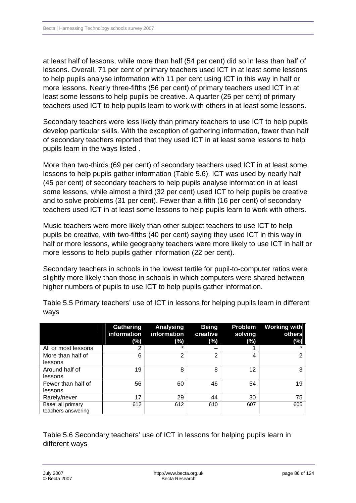at least half of lessons, while more than half (54 per cent) did so in less than half of lessons. Overall, 71 per cent of primary teachers used ICT in at least some lessons to help pupils analyse information with 11 per cent using ICT in this way in half or more lessons. Nearly three-fifths (56 per cent) of primary teachers used ICT in at least some lessons to help pupils be creative. A quarter (25 per cent) of primary teachers used ICT to help pupils learn to work with others in at least some lessons.

Secondary teachers were less likely than primary teachers to use ICT to help pupils develop particular skills. With the exception of gathering information, fewer than half of secondary teachers reported that they used ICT in at least some lessons to help pupils learn in the ways listed .

More than two-thirds (69 per cent) of secondary teachers used ICT in at least some lessons to help pupils gather information (Table 5.6). ICT was used by nearly half (45 per cent) of secondary teachers to help pupils analyse information in at least some lessons, while almost a third (32 per cent) used ICT to help pupils be creative and to solve problems (31 per cent). Fewer than a fifth (16 per cent) of secondary teachers used ICT in at least some lessons to help pupils learn to work with others.

Music teachers were more likely than other subject teachers to use ICT to help pupils be creative, with two-fifths (40 per cent) saying they used ICT in this way in half or more lessons, while geography teachers were more likely to use ICT in half or more lessons to help pupils gather information (22 per cent).

Secondary teachers in schools in the lowest tertile for pupil-to-computer ratios were slightly more likely than those in schools in which computers were shared between higher numbers of pupils to use ICT to help pupils gather information.

|                     | <b>Gathering</b><br>information<br>(%) | <b>Analysing</b><br>information<br>(%) | <b>Being</b><br>creative<br>$(\%)$ | Problem<br>solving<br>(%) | <b>Working with</b><br>others<br>(%) |
|---------------------|----------------------------------------|----------------------------------------|------------------------------------|---------------------------|--------------------------------------|
| All or most lessons |                                        |                                        |                                    |                           |                                      |
|                     | 6                                      | 2                                      | ⌒                                  |                           | ົ                                    |
| More than half of   |                                        |                                        |                                    | 4                         |                                      |
| lessons             |                                        |                                        |                                    |                           |                                      |
| Around half of      | 19                                     | 8                                      | 8                                  | 12                        | 3                                    |
| lessons             |                                        |                                        |                                    |                           |                                      |
| Fewer than half of  | 56                                     | 60                                     | 46                                 | 54                        | 19                                   |
| lessons             |                                        |                                        |                                    |                           |                                      |
| Rarely/never        | 17                                     | 29                                     | 44                                 | 30                        | 75                                   |
| Base: all primary   | 612                                    | 612                                    | 610                                | 607                       | 605                                  |
| teachers answering  |                                        |                                        |                                    |                           |                                      |

Table 5.5 Primary teachers' use of ICT in lessons for helping pupils learn in different ways

Table 5.6 Secondary teachers' use of ICT in lessons for helping pupils learn in different ways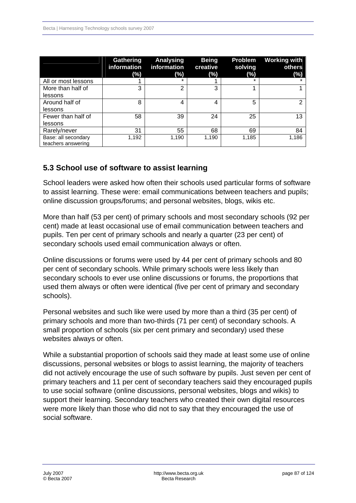|                     | <b>Gathering</b><br>information<br>(%) | Analysing<br>information<br>$(\%)$ | <b>Being</b><br>creative<br>(%) | Problem<br>solving<br>(%) | <b>Working with</b><br>others<br>(%) |
|---------------------|----------------------------------------|------------------------------------|---------------------------------|---------------------------|--------------------------------------|
| All or most lessons |                                        | ÷                                  |                                 | ÷                         |                                      |
| More than half of   | 3                                      | $\overline{2}$                     | 3                               |                           |                                      |
| lessons             |                                        |                                    |                                 |                           |                                      |
| Around half of      | 8                                      | 4                                  | 4                               | 5                         | າ                                    |
| lessons             |                                        |                                    |                                 |                           |                                      |
| Fewer than half of  | 58                                     | 39                                 | 24                              | 25                        | 13                                   |
| lessons             |                                        |                                    |                                 |                           |                                      |
| Rarely/never        | 31                                     | 55                                 | 68                              | 69                        | 84                                   |
| Base: all secondary | 1,192                                  | 1,190                              | 1,190                           | 1,185                     | 1,186                                |
| teachers answering  |                                        |                                    |                                 |                           |                                      |

### **5.3 School use of software to assist learning**

School leaders were asked how often their schools used particular forms of software to assist learning. These were: email communications between teachers and pupils; online discussion groups/forums; and personal websites, blogs, wikis etc.

More than half (53 per cent) of primary schools and most secondary schools (92 per cent) made at least occasional use of email communication between teachers and pupils. Ten per cent of primary schools and nearly a quarter (23 per cent) of secondary schools used email communication always or often.

Online discussions or forums were used by 44 per cent of primary schools and 80 per cent of secondary schools. While primary schools were less likely than secondary schools to ever use online discussions or forums, the proportions that used them always or often were identical (five per cent of primary and secondary schools).

Personal websites and such like were used by more than a third (35 per cent) of primary schools and more than two-thirds (71 per cent) of secondary schools. A small proportion of schools (six per cent primary and secondary) used these websites always or often.

While a substantial proportion of schools said they made at least some use of online discussions, personal websites or blogs to assist learning, the majority of teachers did not actively encourage the use of such software by pupils. Just seven per cent of primary teachers and 11 per cent of secondary teachers said they encouraged pupils to use social software (online discussions, personal websites, blogs and wikis) to support their learning. Secondary teachers who created their own digital resources were more likely than those who did not to say that they encouraged the use of social software.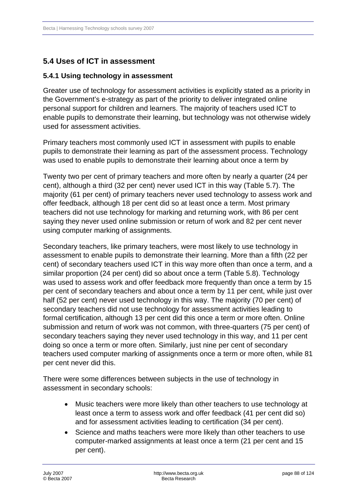## **5.4 Uses of ICT in assessment**

#### **5.4.1Using technology in assessment**

Greater use of technology for assessment activities is explicitly stated as a priority in the Government's e-strategy as part of the priority to deliver integrated online personal support for children and learners. The majority of teachers used ICT to enable pupils to demonstrate their learning, but technology was not otherwise widely used for assessment activities.

Primary teachers most commonly used ICT in assessment with pupils to enable pupils to demonstrate their learning as part of the assessment process. Technology was used to enable pupils to demonstrate their learning about once a term by

Twenty two per cent of primary teachers and more often by nearly a quarter (24 per cent), although a third (32 per cent) never used ICT in this way (Table 5.7). The majority (61 per cent) of primary teachers never used technology to assess work and offer feedback, although 18 per cent did so at least once a term. Most primary teachers did not use technology for marking and returning work, with 86 per cent saying they never used online submission or return of work and 82 per cent never using computer marking of assignments.

Secondary teachers, like primary teachers, were most likely to use technology in assessment to enable pupils to demonstrate their learning. More than a fifth (22 per cent) of secondary teachers used ICT in this way more often than once a term, and a similar proportion (24 per cent) did so about once a term (Table 5.8). Technology was used to assess work and offer feedback more frequently than once a term by 15 per cent of secondary teachers and about once a term by 11 per cent, while just over half (52 per cent) never used technology in this way. The majority (70 per cent) of secondary teachers did not use technology for assessment activities leading to formal certification, although 13 per cent did this once a term or more often. Online submission and return of work was not common, with three-quarters (75 per cent) of secondary teachers saying they never used technology in this way, and 11 per cent doing so once a term or more often. Similarly, just nine per cent of secondary teachers used computer marking of assignments once a term or more often, while 81 per cent never did this.

There were some differences between subjects in the use of technology in assessment in secondary schools:

- Music teachers were more likely than other teachers to use technology at least once a term to assess work and offer feedback (41 per cent did so) and for assessment activities leading to certification (34 per cent).
- Science and maths teachers were more likely than other teachers to use computer-marked assignments at least once a term (21 per cent and 15 per cent).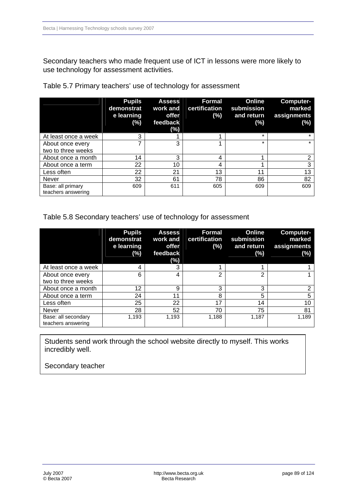Secondary teachers who made frequent use of ICT in lessons were more likely to use technology for assessment activities.

|                      | <b>Pupils</b><br>demonstrat<br>e learning | <b>Assess</b><br>work and<br>offer | Formal<br>certification<br>(%) | Online<br>submission<br>and return | Computer-<br>marked<br>assignments |
|----------------------|-------------------------------------------|------------------------------------|--------------------------------|------------------------------------|------------------------------------|
|                      | (%)                                       | feedback<br>(%)                    |                                | (%)                                | $(\%)$                             |
| At least once a week | 3                                         |                                    |                                | $\star$                            | $\star$                            |
| About once every     |                                           | 3                                  |                                | $\star$                            | $\star$                            |
| two to three weeks   |                                           |                                    |                                |                                    |                                    |
| About once a month   | 14                                        | 3                                  | 4                              |                                    | $\overline{2}$                     |
| About once a term    | 22                                        | 10                                 | 4                              |                                    | 3                                  |
| Less often           | 22                                        | 21                                 | 13                             | 11                                 | 13                                 |
| <b>Never</b>         | 32                                        | 61                                 | 78                             | 86                                 | 82                                 |
| Base: all primary    | 609                                       | 611                                | 605                            | 609                                | 609                                |
| teachers answering   |                                           |                                    |                                |                                    |                                    |

Table 5.7 Primary teachers' use of technology for assessment

#### Table 5.8 Secondary teachers' use of technology for assessment

|                                           | <b>Pupils</b><br>demonstrat<br>e learning<br>$(\%)$ | <b>Assess</b><br>work and<br>offer<br>feedback<br>(%) | <b>Formal</b><br>certification<br>(%) | Online<br>submission<br>and return<br>(%) | Computer-<br>marked<br>assignments<br>$(\%)$ |
|-------------------------------------------|-----------------------------------------------------|-------------------------------------------------------|---------------------------------------|-------------------------------------------|----------------------------------------------|
| At least once a week                      | 4                                                   | 3                                                     |                                       |                                           |                                              |
| About once every                          | 6                                                   | 4                                                     | っ                                     | っ                                         |                                              |
| two to three weeks                        |                                                     |                                                       |                                       |                                           |                                              |
| About once a month                        | 12                                                  | 9                                                     | 3                                     | 3                                         | $\overline{2}$                               |
| About once a term                         | 24                                                  | 11                                                    | 8                                     | 5                                         | 5                                            |
| Less often                                | 25                                                  | 22                                                    | 17                                    | 14                                        | 10                                           |
| <b>Never</b>                              | 28                                                  | 52                                                    | 70                                    | 75                                        | 81                                           |
| Base: all secondary<br>teachers answering | 1,193                                               | 1,193                                                 | 1,188                                 | 1,187                                     | 1,189                                        |

Students send work through the school website directly to myself. This works incredibly well.

Secondary teacher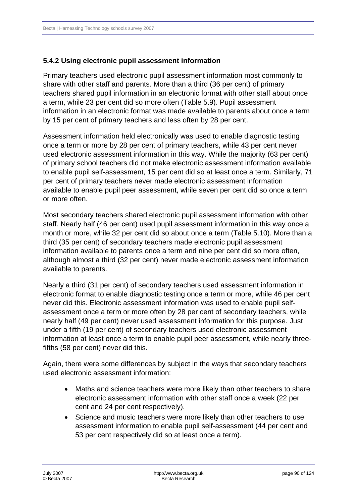#### **5.4.2Using electronic pupil assessment information**

Primary teachers used electronic pupil assessment information most commonly to share with other staff and parents. More than a third (36 per cent) of primary teachers shared pupil information in an electronic format with other staff about once a term, while 23 per cent did so more often (Table 5.9). Pupil assessment information in an electronic format was made available to parents about once a term by 15 per cent of primary teachers and less often by 28 per cent.

Assessment information held electronically was used to enable diagnostic testing once a term or more by 28 per cent of primary teachers, while 43 per cent never used electronic assessment information in this way. While the majority (63 per cent) of primary school teachers did not make electronic assessment information available to enable pupil self-assessment, 15 per cent did so at least once a term. Similarly, 71 per cent of primary teachers never made electronic assessment information available to enable pupil peer assessment, while seven per cent did so once a term or more often.

Most secondary teachers shared electronic pupil assessment information with other staff. Nearly half (46 per cent) used pupil assessment information in this way once a month or more, while 32 per cent did so about once a term (Table 5.10). More than a third (35 per cent) of secondary teachers made electronic pupil assessment information available to parents once a term and nine per cent did so more often, although almost a third (32 per cent) never made electronic assessment information available to parents.

Nearly a third (31 per cent) of secondary teachers used assessment information in electronic format to enable diagnostic testing once a term or more, while 46 per cent never did this. Electronic assessment information was used to enable pupil selfassessment once a term or more often by 28 per cent of secondary teachers, while nearly half (49 per cent) never used assessment information for this purpose. Just under a fifth (19 per cent) of secondary teachers used electronic assessment information at least once a term to enable pupil peer assessment, while nearly threefifths (58 per cent) never did this.

Again, there were some differences by subject in the ways that secondary teachers used electronic assessment information:

- Maths and science teachers were more likely than other teachers to share electronic assessment information with other staff once a week (22 per cent and 24 per cent respectively).
- Science and music teachers were more likely than other teachers to use assessment information to enable pupil self-assessment (44 per cent and 53 per cent respectively did so at least once a term).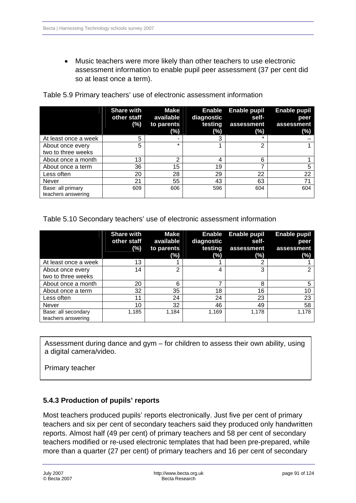• Music teachers were more likely than other teachers to use electronic assessment information to enable pupil peer assessment (37 per cent did so at least once a term).

|                                         | <b>Share with</b><br>other staff<br>(%) | <b>Make</b><br>available<br>to parents<br>(%) | <b>Enable</b><br>diagnostic<br>testing<br>(%) | Enable pupil<br>self-<br>assessment<br>(%) | <b>Enable pupil</b><br>peer<br>assessment<br>(%) |
|-----------------------------------------|-----------------------------------------|-----------------------------------------------|-----------------------------------------------|--------------------------------------------|--------------------------------------------------|
| At least once a week                    | 5                                       |                                               |                                               |                                            |                                                  |
| About once every<br>two to three weeks  | 5                                       | $\star$                                       |                                               | っ                                          |                                                  |
| About once a month                      | 13                                      | ⌒                                             |                                               | 6                                          |                                                  |
| About once a term                       | 36                                      | 15                                            | 19                                            | ⇁                                          | 5                                                |
| Less often                              | 20                                      | 28                                            | 29                                            | 22                                         | 22                                               |
| <b>Never</b>                            | 21                                      | 55                                            | 43                                            | 63                                         | 71                                               |
| Base: all primary<br>teachers answering | 609                                     | 606                                           | 596                                           | 604                                        | 604                                              |

Table 5.9 Primary teachers' use of electronic assessment information

Table 5.10 Secondary teachers' use of electronic assessment information

|                                           | <b>Share with</b><br>other staff<br>$(\%)$ | <b>Make</b><br>available<br>to parents<br>(%) | <b>Enable</b><br>diagnostic<br>testing<br>(%) | <b>Enable pupil</b><br>self-<br>assessment<br>$(\%)$ | Enable pupil<br>peer<br>assessment<br>$(\%)$ |
|-------------------------------------------|--------------------------------------------|-----------------------------------------------|-----------------------------------------------|------------------------------------------------------|----------------------------------------------|
| At least once a week                      | 13                                         |                                               |                                               |                                                      |                                              |
| About once every                          | 14                                         | $\overline{2}$                                |                                               | 3                                                    |                                              |
| two to three weeks                        |                                            |                                               |                                               |                                                      |                                              |
| About once a month                        | 20                                         | 6                                             | ⇁                                             | 8                                                    |                                              |
| About once a term                         | 32                                         | 35                                            | 18                                            | 16                                                   | 10                                           |
| Less often                                | 11                                         | 24                                            | 24                                            | 23                                                   | 23                                           |
| <b>Never</b>                              | 10                                         | 32                                            | 46                                            | 49                                                   | 58                                           |
| Base: all secondary<br>teachers answering | 1,185                                      | 1.184                                         | 1,169                                         | 1.178                                                | 1,178                                        |

Assessment during dance and gym – for children to assess their own ability, using a digital camera/video.

Primary teacher

#### **5.4.3 Production of pupils' reports**

Most teachers produced pupils' reports electronically. Just five per cent of primary teachers and six per cent of secondary teachers said they produced only handwritten reports. Almost half (49 per cent) of primary teachers and 58 per cent of secondary teachers modified or re-used electronic templates that had been pre-prepared, while more than a quarter (27 per cent) of primary teachers and 16 per cent of secondary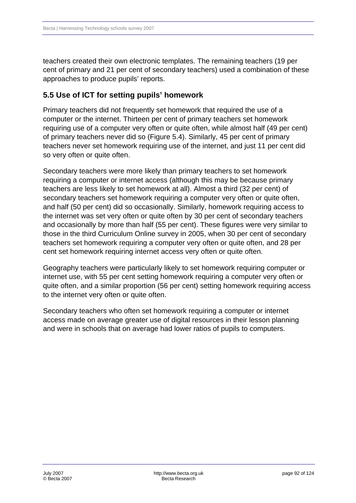teachers created their own electronic templates. The remaining teachers (19 per cent of primary and 21 per cent of secondary teachers) used a combination of these approaches to produce pupils' reports.

### **5.5Use of ICT for setting pupils' homework**

Primary teachers did not frequently set homework that required the use of a computer or the internet. Thirteen per cent of primary teachers set homework requiring use of a computer very often or quite often, while almost half (49 per cent) of primary teachers never did so (Figure 5.4). Similarly, 45 per cent of primary teachers never set homework requiring use of the internet, and just 11 per cent did so very often or quite often.

Secondary teachers were more likely than primary teachers to set homework requiring a computer or internet access (although this may be because primary teachers are less likely to set homework at all). Almost a third (32 per cent) of secondary teachers set homework requiring a computer very often or quite often, and half (50 per cent) did so occasionally. Similarly, homework requiring access to the internet was set very often or quite often by 30 per cent of secondary teachers and occasionally by more than half (55 per cent). These figures were very similar to those in the third Curriculum Online survey in 2005, when 30 per cent of secondary teachers set homework requiring a computer very often or quite often, and 28 per cent set homework requiring internet access very often or quite often.

Geography teachers were particularly likely to set homework requiring computer or internet use, with 55 per cent setting homework requiring a computer very often or quite often, and a similar proportion (56 per cent) setting homework requiring access to the internet very often or quite often.

Secondary teachers who often set homework requiring a computer or internet access made on average greater use of digital resources in their lesson planning and were in schools that on average had lower ratios of pupils to computers.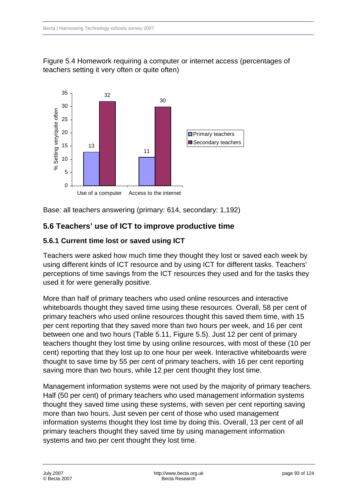



Base: all teachers answering (primary: 614, secondary: 1,192)

### **5.6Teachers' use of ICT to improve productive time**

### **5.6.1 Current time lost or saved using ICT**

Teachers were asked how much time they thought they lost or saved each week by using different kinds of ICT resource and by using ICT for different tasks. Teachers' perceptions of time savings from the ICT resources they used and for the tasks they used it for were generally positive.

More than half of primary teachers who used online resources and interactive whiteboards thought they saved time using these resources. Overall, 58 per cent of primary teachers who used online resources thought this saved them time, with 15 per cent reporting that they saved more than two hours per week, and 16 per cent between one and two hours (Table 5.11, Figure 5.5). Just 12 per cent of primary teachers thought they lost time by using online resources, with most of these (10 per cent) reporting that they lost up to one hour per week. Interactive whiteboards were thought to save time by 55 per cent of primary teachers, with 16 per cent reporting saving more than two hours, while 12 per cent thought they lost time.

Management information systems were not used by the majority of primary teachers. Half (50 per cent) of primary teachers who used management information systems thought they saved time using these systems, with seven per cent reporting saving more than two hours. Just seven per cent of those who used management information systems thought they lost time by doing this. Overall, 13 per cent of all primary teachers thought they saved time by using management information systems and two per cent thought they lost time.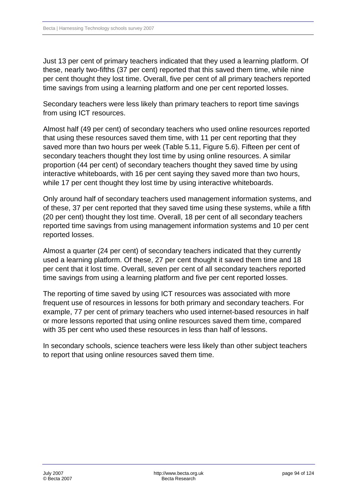Just 13 per cent of primary teachers indicated that they used a learning platform. Of these, nearly two-fifths (37 per cent) reported that this saved them time, while nine per cent thought they lost time. Overall, five per cent of all primary teachers reported time savings from using a learning platform and one per cent reported losses.

Secondary teachers were less likely than primary teachers to report time savings from using ICT resources.

Almost half (49 per cent) of secondary teachers who used online resources reported that using these resources saved them time, with 11 per cent reporting that they saved more than two hours per week (Table 5.11, Figure 5.6). Fifteen per cent of secondary teachers thought they lost time by using online resources. A similar proportion (44 per cent) of secondary teachers thought they saved time by using interactive whiteboards, with 16 per cent saying they saved more than two hours, while 17 per cent thought they lost time by using interactive whiteboards.

Only around half of secondary teachers used management information systems, and of these, 37 per cent reported that they saved time using these systems, while a fifth (20 per cent) thought they lost time. Overall, 18 per cent of all secondary teachers reported time savings from using management information systems and 10 per cent reported losses.

Almost a quarter (24 per cent) of secondary teachers indicated that they currently used a learning platform. Of these, 27 per cent thought it saved them time and 18 per cent that it lost time. Overall, seven per cent of all secondary teachers reported time savings from using a learning platform and five per cent reported losses.

The reporting of time saved by using ICT resources was associated with more frequent use of resources in lessons for both primary and secondary teachers. For example, 77 per cent of primary teachers who used internet-based resources in half or more lessons reported that using online resources saved them time, compared with 35 per cent who used these resources in less than half of lessons.

In secondary schools, science teachers were less likely than other subject teachers to report that using online resources saved them time.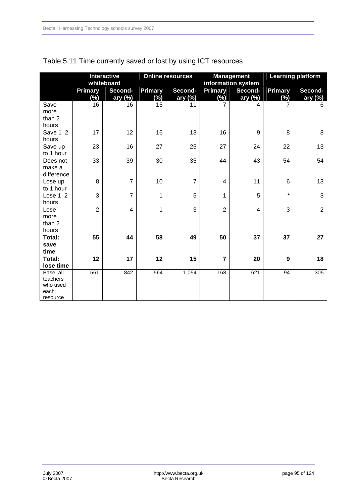|                                                       |                          | <b>Interactive</b><br>whiteboard |                          | <b>Online resources</b> |                   | <b>Management</b><br>information system |                          | <b>Learning platform</b> |
|-------------------------------------------------------|--------------------------|----------------------------------|--------------------------|-------------------------|-------------------|-----------------------------------------|--------------------------|--------------------------|
|                                                       | <b>Primary</b><br>$(\%)$ | Second-<br>ary (%)               | <b>Primary</b><br>$(\%)$ | Second-<br>ary (%)      | Primary<br>$(\%)$ | Second-<br>ary (%)                      | <b>Primary</b><br>$(\%)$ | Second-<br>ary (%)       |
| Save<br>more<br>than 2<br>hours                       | 16                       | 16                               | 15                       | 11                      | 7                 | 4                                       | 7                        | 6                        |
| Save $1-2$<br>hours                                   | 17                       | 12                               | 16                       | 13                      | 16                | 9                                       | 8                        | 8                        |
| Save up<br>to 1 hour                                  | 23                       | 16                               | 27                       | 25                      | 27                | 24                                      | 22                       | 13                       |
| Does not<br>make a<br>difference                      | $\overline{33}$          | $\overline{39}$                  | $\overline{30}$          | 35                      | 44                | 43                                      | 54                       | 54                       |
| Lose up<br>to 1 hour                                  | 8                        | $\overline{7}$                   | 10                       | $\overline{7}$          | 4                 | 11                                      | 6                        | 13                       |
| Lose $1-2$<br>hours                                   | 3                        | $\overline{7}$                   | 1                        | 5                       | $\mathbf{1}$      | 5                                       | $\star$                  | 3                        |
| Lose<br>more<br>than 2<br>hours                       | $\overline{2}$           | $\overline{4}$                   | 1                        | $\overline{3}$          | $\overline{2}$    | $\overline{4}$                          | $\overline{3}$           | $\overline{2}$           |
| Total:<br>save<br>time                                | 55                       | 44                               | 58                       | 49                      | 50                | 37                                      | 37                       | 27                       |
| Total:<br>lose time                                   | 12                       | 17                               | 12                       | 15                      | $\overline{7}$    | 20                                      | 9                        | 18                       |
| Base: all<br>teachers<br>who used<br>each<br>resource | 561                      | 842                              | 564                      | 1,054                   | 168               | 621                                     | 94                       | 305                      |

## Table 5.11 Time currently saved or lost by using ICT resources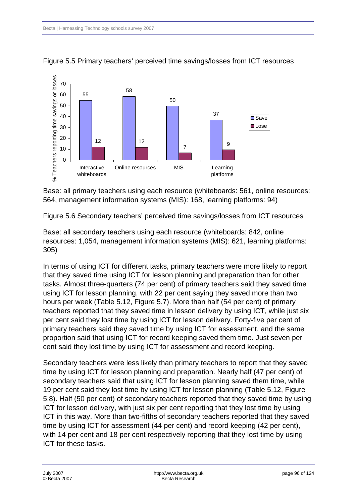

Figure 5.5 Primary teachers' perceived time savings/losses from ICT resources

Base: all primary teachers using each resource (whiteboards: 561, online resources: 564, management information systems (MIS): 168, learning platforms: 94)

Figure 5.6 Secondary teachers' perceived time savings/losses from ICT resources

Base: all secondary teachers using each resource (whiteboards: 842, online resources: 1,054, management information systems (MIS): 621, learning platforms: 305)

In terms of using ICT for different tasks, primary teachers were more likely to report that they saved time using ICT for lesson planning and preparation than for other tasks. Almost three-quarters (74 per cent) of primary teachers said they saved time using ICT for lesson planning, with 22 per cent saying they saved more than two hours per week (Table 5.12, Figure 5.7). More than half (54 per cent) of primary teachers reported that they saved time in lesson delivery by using ICT, while just six per cent said they lost time by using ICT for lesson delivery. Forty-five per cent of primary teachers said they saved time by using ICT for assessment, and the same proportion said that using ICT for record keeping saved them time. Just seven per cent said they lost time by using ICT for assessment and record keeping.

Secondary teachers were less likely than primary teachers to report that they saved time by using ICT for lesson planning and preparation. Nearly half (47 per cent) of secondary teachers said that using ICT for lesson planning saved them time, while 19 per cent said they lost time by using ICT for lesson planning (Table 5.12, Figure 5.8). Half (50 per cent) of secondary teachers reported that they saved time by using ICT for lesson delivery, with just six per cent reporting that they lost time by using ICT in this way. More than two-fifths of secondary teachers reported that they saved time by using ICT for assessment (44 per cent) and record keeping (42 per cent), with 14 per cent and 18 per cent respectively reporting that they lost time by using ICT for these tasks.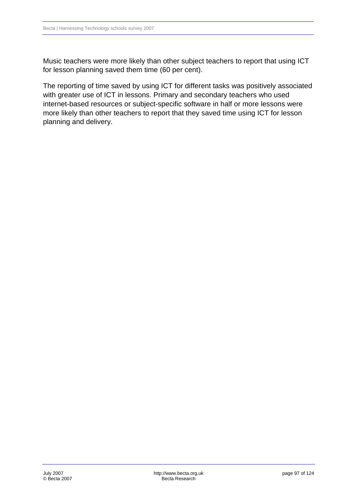Music teachers were more likely than other subject teachers to report that using ICT for lesson planning saved them time (60 per cent).

The reporting of time saved by using ICT for different tasks was positively associated with greater use of ICT in lessons. Primary and secondary teachers who used internet-based resources or subject-specific software in half or more lessons were more likely than other teachers to report that they saved time using ICT for lesson planning and delivery.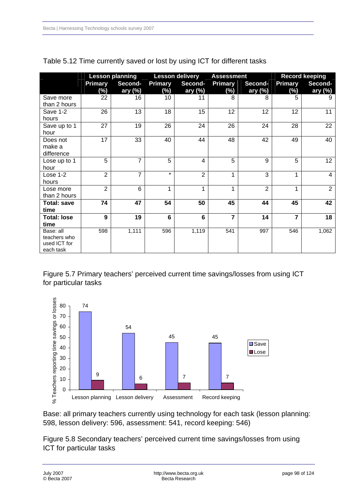|                    |                | <b>Lesson planning</b> |                | <b>Lesson delivery</b> |                | <b>Assessment</b> | <b>Record keeping</b> |                |
|--------------------|----------------|------------------------|----------------|------------------------|----------------|-------------------|-----------------------|----------------|
|                    | Primary        | Second-                | <b>Primary</b> | Second-                | <b>Primary</b> | Second-           | <b>Primary</b>        | Second-        |
|                    | (%)            | ary (%)                | (%)            | ary $(\%)$             | (%)            | ary $(\%)$        | (%)                   | ary $(\%)$     |
| Save more          | 22             | 16                     | 10             | 11                     | 8              | 8                 | 5                     |                |
| than 2 hours       |                |                        |                |                        |                |                   |                       |                |
| Save 1-2           | 26             | 13                     | 18             | 15                     | 12             | 12                | 12                    | 11             |
| hours              |                |                        |                |                        |                |                   |                       |                |
| Save up to 1       | 27             | 19                     | 26             | 24                     | 26             | 24                | 28                    | 22             |
| hour               |                |                        |                |                        |                |                   |                       |                |
| Does not           | 17             | 33                     | 40             | 44                     | 48             | 42                | 49                    | 40             |
| make a             |                |                        |                |                        |                |                   |                       |                |
| difference         |                |                        |                |                        |                |                   |                       |                |
| Lose up to 1       | 5              | $\overline{7}$         | $\overline{5}$ | 4                      | 5              | 9                 | 5                     | 12             |
| hour               |                |                        |                |                        |                |                   |                       |                |
| Lose 1-2           | $\overline{2}$ | $\overline{7}$         | $\star$        | $\overline{2}$         | 1              | 3                 | 1                     | 4              |
| hours              |                |                        |                |                        |                |                   |                       |                |
| Lose more          | $\overline{2}$ | 6                      | 1              | 1                      | 1              | $\overline{2}$    | 1                     | $\overline{2}$ |
| than 2 hours       |                |                        |                |                        |                |                   |                       |                |
| <b>Total: save</b> | 74             | 47                     | 54             | 50                     | 45             | 44                | 45                    | 42             |
| time               |                |                        |                |                        |                |                   |                       |                |
| <b>Total: lose</b> | 9              | 19                     | 6              | 6                      | 7              | 14                | 7                     | 18             |
| time               |                |                        |                |                        |                |                   |                       |                |
| Base: all          | 598            | 1,111                  | 596            | 1,119                  | 541            | 997               | 546                   | 1,062          |
| teachers who       |                |                        |                |                        |                |                   |                       |                |
| used ICT for       |                |                        |                |                        |                |                   |                       |                |
| each task          |                |                        |                |                        |                |                   |                       |                |

#### Table 5.12 Time currently saved or lost by using ICT for different tasks

Figure 5.7 Primary teachers' perceived current time savings/losses from using ICT for particular tasks



Base: all primary teachers currently using technology for each task (lesson planning: 598, lesson delivery: 596, assessment: 541, record keeping: 546)

Figure 5.8 Secondary teachers' perceived current time savings/losses from using ICT for particular tasks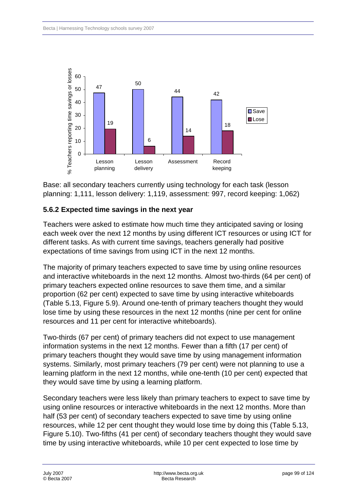

Base: all secondary teachers currently using technology for each task (lesson planning: 1,111, lesson delivery: 1,119, assessment: 997, record keeping: 1,062)

### **5.6.2 Expected time savings in the next year**

Teachers were asked to estimate how much time they anticipated saving or losing each week over the next 12 months by using different ICT resources or using ICT for different tasks. As with current time savings, teachers generally had positive expectations of time savings from using ICT in the next 12 months.

The majority of primary teachers expected to save time by using online resources and interactive whiteboards in the next 12 months. Almost two-thirds (64 per cent) of primary teachers expected online resources to save them time, and a similar proportion (62 per cent) expected to save time by using interactive whiteboards (Table 5.13, Figure 5.9). Around one-tenth of primary teachers thought they would lose time by using these resources in the next 12 months (nine per cent for online resources and 11 per cent for interactive whiteboards).

Two-thirds (67 per cent) of primary teachers did not expect to use management information systems in the next 12 months. Fewer than a fifth (17 per cent) of primary teachers thought they would save time by using management information systems. Similarly, most primary teachers (79 per cent) were not planning to use a learning platform in the next 12 months, while one-tenth (10 per cent) expected that they would save time by using a learning platform.

Secondary teachers were less likely than primary teachers to expect to save time by using online resources or interactive whiteboards in the next 12 months. More than half (53 per cent) of secondary teachers expected to save time by using online resources, while 12 per cent thought they would lose time by doing this (Table 5.13, Figure 5.10). Two-fifths (41 per cent) of secondary teachers thought they would save time by using interactive whiteboards, while 10 per cent expected to lose time by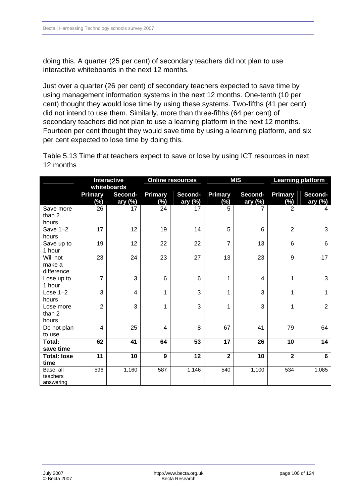doing this. A quarter (25 per cent) of secondary teachers did not plan to use interactive whiteboards in the next 12 months.

Just over a quarter (26 per cent) of secondary teachers expected to save time by using management information systems in the next 12 months. One-tenth (10 per cent) thought they would lose time by using these systems. Two-fifths (41 per cent) did not intend to use them. Similarly, more than three-fifths (64 per cent) of secondary teachers did not plan to use a learning platform in the next 12 months. Fourteen per cent thought they would save time by using a learning platform, and six per cent expected to lose time by doing this.

Table 5.13 Time that teachers expect to save or lose by using ICT resources in next 12 months

|                                    | <b>Interactive</b><br>whiteboards |                    | <b>Online resources</b>  |                    | <b>MIS</b>               |                       | <b>Learning platform</b> |                     |
|------------------------------------|-----------------------------------|--------------------|--------------------------|--------------------|--------------------------|-----------------------|--------------------------|---------------------|
|                                    | <b>Primary</b><br>$(\%)$          | Second-<br>ary (%) | <b>Primary</b><br>$(\%)$ | Second-<br>ary (%) | <b>Primary</b><br>$(\%)$ | Second-<br>ary $(\%)$ | <b>Primary</b><br>$(\%)$ | Second-<br>ary (%)  |
| Save more<br>than 2<br>hours       | 26                                | 17                 | 24                       | 17                 | 5                        | 7                     | $\overline{2}$           | 4                   |
| Save $1-2$<br>hours                | $\overline{17}$                   | 12                 | 19                       | 14                 | $\overline{5}$           | 6                     | $\overline{2}$           | 3                   |
| Save up to<br>1 hour               | 19                                | 12                 | 22                       | 22                 | $\overline{7}$           | 13                    | 6                        | 6                   |
| Will not<br>make a<br>difference   | 23                                | 24                 | 23                       | 27                 | 13                       | 23                    | 9                        | 17                  |
| Lose up to<br>1 hour               | $\overline{7}$                    | 3                  | 6                        | 6                  | 1                        | 4                     | 1                        | $\overline{\omega}$ |
| Lose $1-2$<br>hours                | 3                                 | 4                  | $\mathbf{1}$             | 3                  | 1                        | 3                     | 1                        | $\mathbf{1}$        |
| Lose more<br>than 2<br>hours       | $\overline{2}$                    | 3                  | $\mathbf{1}$             | 3                  | 1                        | 3                     | 1                        | $\overline{2}$      |
| Do not plan<br>to use              | $\overline{4}$                    | 25                 | $\overline{\mathbf{4}}$  | 8                  | 67                       | 41                    | 79                       | 64                  |
| Total:<br>save time                | 62                                | 41                 | 64                       | 53                 | 17                       | 26                    | 10                       | 14                  |
| <b>Total: lose</b><br>time         | 11                                | 10                 | 9                        | 12                 | $\overline{2}$           | 10                    | $\overline{2}$           | 6                   |
| Base: all<br>teachers<br>answering | 596                               | 1,160              | 587                      | 1,146              | 540                      | 1,100                 | 534                      | 1,085               |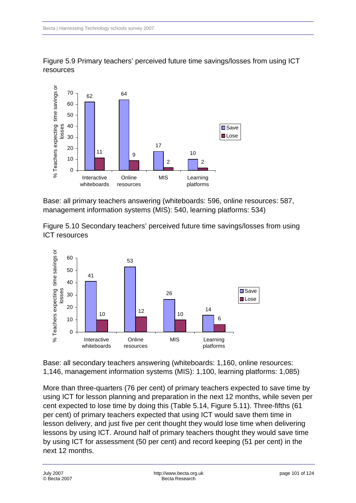

Figure 5.9 Primary teachers' perceived future time savings/losses from using ICT resources

Base: all primary teachers answering (whiteboards: 596, online resources: 587, management information systems (MIS): 540, learning platforms: 534)

Figure 5.10 Secondary teachers' perceived future time savings/losses from using ICT resources



Base: all secondary teachers answering (whiteboards: 1,160, online resources: 1,146, management information systems (MIS): 1,100, learning platforms: 1,085)

More than three-quarters (76 per cent) of primary teachers expected to save time by using ICT for lesson planning and preparation in the next 12 months, while seven per cent expected to lose time by doing this (Table 5.14, Figure 5.11). Three-fifths (61 per cent) of primary teachers expected that using ICT would save them time in lesson delivery, and just five per cent thought they would lose time when delivering lessons by using ICT. Around half of primary teachers thought they would save time by using ICT for assessment (50 per cent) and record keeping (51 per cent) in the next 12 months.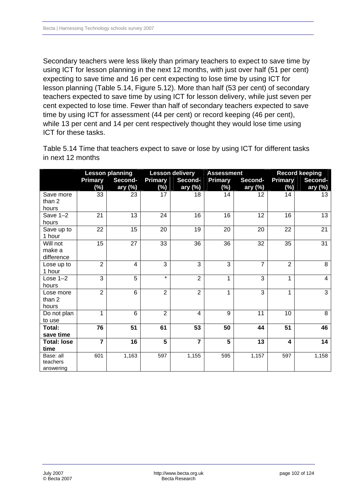Secondary teachers were less likely than primary teachers to expect to save time by using ICT for lesson planning in the next 12 months, with just over half (51 per cent) expecting to save time and 16 per cent expecting to lose time by using ICT for lesson planning (Table 5.14, Figure 5.12). More than half (53 per cent) of secondary teachers expected to save time by using ICT for lesson delivery, while just seven per cent expected to lose time. Fewer than half of secondary teachers expected to save time by using ICT for assessment (44 per cent) or record keeping (46 per cent), while 13 per cent and 14 per cent respectively thought they would lose time using ICT for these tasks.

Table 5.14 Time that teachers expect to save or lose by using ICT for different tasks in next 12 months

|                       | <b>Lesson planning</b>    |                | <b>Lesson delivery</b> |                | <b>Assessment</b> |                           | <b>Record keeping</b> |                     |
|-----------------------|---------------------------|----------------|------------------------|----------------|-------------------|---------------------------|-----------------------|---------------------|
|                       | <b>Primary</b><br>Second- |                | <b>Primary</b>         | Second-        |                   | <b>Primary</b><br>Second- |                       | Primary<br>Second-  |
|                       | $(\%)$                    | ary $(\%)$     | (%)                    | ary $(\%)$     | $(\%)$            | ary $(\%)$                | (%)                   | ary $(\%)$          |
| Save more             | 33                        | 23             | 17                     | 18             | 14                | 12                        | 14                    | 13                  |
| than 2                |                           |                |                        |                |                   |                           |                       |                     |
| hours                 |                           |                |                        |                |                   |                           |                       |                     |
| Save $1-2$            | 21                        | 13             | 24                     | 16             | 16                | 12                        | 16                    | 13                  |
| hours                 |                           |                |                        |                |                   |                           |                       |                     |
| Save up to            | 22                        | 15             | 20                     | 19             | 20                | 20                        | 22                    | 21                  |
| 1 hour                |                           |                |                        |                |                   |                           |                       |                     |
| Will not              | 15                        | 27             | 33                     | 36             | 36                | 32                        | 35                    | 31                  |
| make a                |                           |                |                        |                |                   |                           |                       |                     |
| difference            |                           |                |                        |                |                   |                           |                       |                     |
| Lose up to            | $\overline{2}$            | $\overline{4}$ | 3                      | 3              | $\overline{3}$    | $\overline{7}$            | $\overline{2}$        | 8                   |
| 1 hour                |                           |                |                        |                |                   |                           |                       |                     |
| Lose $1-2$            | 3                         | 5              | $\star$                | $\overline{2}$ | 1                 | 3                         | 1                     | $\overline{4}$      |
| hours                 |                           |                |                        |                |                   |                           |                       |                     |
| Lose more             | $\overline{2}$            | $6\phantom{1}$ | $\overline{2}$         | $\overline{2}$ | 1                 | 3                         | 1                     | $\overline{\omega}$ |
| than 2                |                           |                |                        |                |                   |                           |                       |                     |
| hours                 |                           |                |                        |                |                   |                           |                       |                     |
| Do not plan           | 1                         | 6              | $\overline{2}$         | $\overline{4}$ | 9                 | 11                        | 10                    | 8                   |
| to use                |                           |                |                        |                |                   |                           |                       |                     |
| Total:                | 76                        | 51             | 61                     | 53             | 50                | 44                        | 51                    | 46                  |
| save time             |                           |                |                        |                |                   |                           |                       |                     |
| <b>Total: lose</b>    | $\overline{7}$            | 16             | $5\phantom{1}$         | $\overline{7}$ | 5                 | 13                        | 4                     | 14                  |
| time                  |                           |                |                        |                |                   |                           |                       |                     |
| Base: all<br>teachers | 601                       | 1,163          | 597                    | 1,155          | 595               | 1,157                     | 597                   | 1,158               |
| answering             |                           |                |                        |                |                   |                           |                       |                     |
|                       |                           |                |                        |                |                   |                           |                       |                     |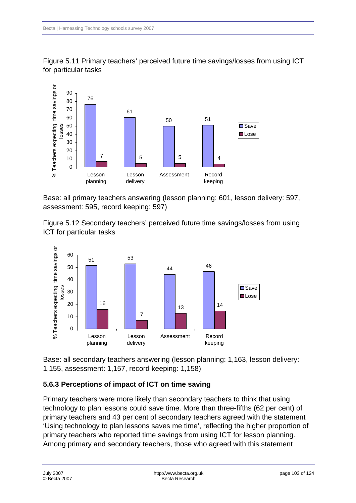

Figure 5.11 Primary teachers' perceived future time savings/losses from using ICT for particular tasks

Base: all primary teachers answering (lesson planning: 601, lesson delivery: 597, assessment: 595, record keeping: 597)

Figure 5.12 Secondary teachers' perceived future time savings/losses from using ICT for particular tasks



Base: all secondary teachers answering (lesson planning: 1,163, lesson delivery: 1,155, assessment: 1,157, record keeping: 1,158)

## **5.6.3 Perceptions of impact of ICT on time saving**

Primary teachers were more likely than secondary teachers to think that using technology to plan lessons could save time. More than three-fifths (62 per cent) of primary teachers and 43 per cent of secondary teachers agreed with the statement 'Using technology to plan lessons saves me time', reflecting the higher proportion of primary teachers who reported time savings from using ICT for lesson planning. Among primary and secondary teachers, those who agreed with this statement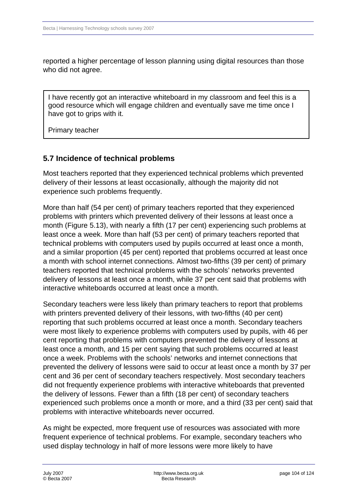reported a higher percentage of lesson planning using digital resources than those who did not agree.

I have recently got an interactive whiteboard in my classroom and feel this is a good resource which will engage children and eventually save me time once I have got to grips with it.

Primary teacher

### **5.7 Incidence of technical problems**

Most teachers reported that they experienced technical problems which prevented delivery of their lessons at least occasionally, although the majority did not experience such problems frequently.

More than half (54 per cent) of primary teachers reported that they experienced problems with printers which prevented delivery of their lessons at least once a month (Figure 5.13), with nearly a fifth (17 per cent) experiencing such problems at least once a week. More than half (53 per cent) of primary teachers reported that technical problems with computers used by pupils occurred at least once a month, and a similar proportion (45 per cent) reported that problems occurred at least once a month with school internet connections. Almost two-fifths (39 per cent) of primary teachers reported that technical problems with the schools' networks prevented delivery of lessons at least once a month, while 37 per cent said that problems with interactive whiteboards occurred at least once a month.

Secondary teachers were less likely than primary teachers to report that problems with printers prevented delivery of their lessons, with two-fifths (40 per cent) reporting that such problems occurred at least once a month. Secondary teachers were most likely to experience problems with computers used by pupils, with 46 per cent reporting that problems with computers prevented the delivery of lessons at least once a month, and 15 per cent saying that such problems occurred at least once a week. Problems with the schools' networks and internet connections that prevented the delivery of lessons were said to occur at least once a month by 37 per cent and 36 per cent of secondary teachers respectively. Most secondary teachers did not frequently experience problems with interactive whiteboards that prevented the delivery of lessons. Fewer than a fifth (18 per cent) of secondary teachers experienced such problems once a month or more, and a third (33 per cent) said that problems with interactive whiteboards never occurred.

As might be expected, more frequent use of resources was associated with more frequent experience of technical problems. For example, secondary teachers who used display technology in half of more lessons were more likely to have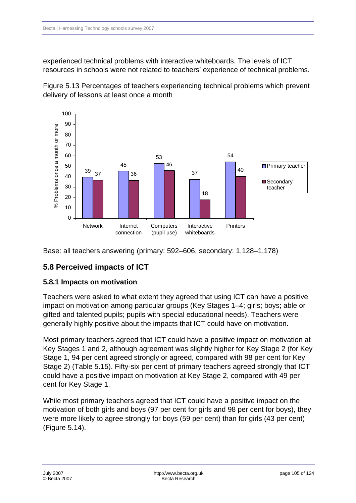experienced technical problems with interactive whiteboards. The levels of ICT resources in schools were not related to teachers' experience of technical problems.

Figure 5.13 Percentages of teachers experiencing technical problems which prevent delivery of lessons at least once a month



Base: all teachers answering (primary: 592–606, secondary: 1,128–1,178)

## **5.8 Perceived impacts of ICT**

#### **5.8.1 Impacts on motivation**

Teachers were asked to what extent they agreed that using ICT can have a positive impact on motivation among particular groups (Key Stages 1–4; girls; boys; able or gifted and talented pupils; pupils with special educational needs). Teachers were generally highly positive about the impacts that ICT could have on motivation.

Most primary teachers agreed that ICT could have a positive impact on motivation at Key Stages 1 and 2, although agreement was slightly higher for Key Stage 2 (for Key Stage 1, 94 per cent agreed strongly or agreed, compared with 98 per cent for Key Stage 2) (Table 5.15). Fifty-six per cent of primary teachers agreed strongly that ICT could have a positive impact on motivation at Key Stage 2, compared with 49 per cent for Key Stage 1.

While most primary teachers agreed that ICT could have a positive impact on the motivation of both girls and boys (97 per cent for girls and 98 per cent for boys), they were more likely to agree strongly for boys (59 per cent) than for girls (43 per cent) (Figure 5.14).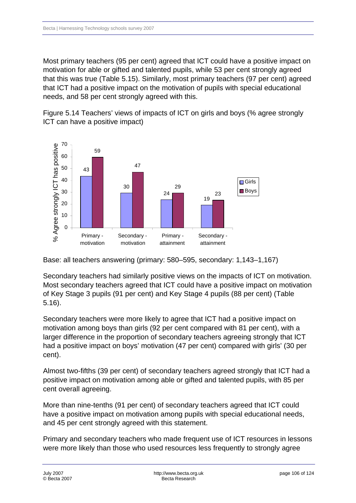Most primary teachers (95 per cent) agreed that ICT could have a positive impact on motivation for able or gifted and talented pupils, while 53 per cent strongly agreed that this was true (Table 5.15). Similarly, most primary teachers (97 per cent) agreed that ICT had a positive impact on the motivation of pupils with special educational needs, and 58 per cent strongly agreed with this.

Figure 5.14 Teachers' views of impacts of ICT on girls and boys (% agree strongly ICT can have a positive impact)



Base: all teachers answering (primary: 580–595, secondary: 1,143–1,167)

Secondary teachers had similarly positive views on the impacts of ICT on motivation. Most secondary teachers agreed that ICT could have a positive impact on motivation of Key Stage 3 pupils (91 per cent) and Key Stage 4 pupils (88 per cent) (Table 5.16).

Secondary teachers were more likely to agree that ICT had a positive impact on motivation among boys than girls (92 per cent compared with 81 per cent), with a larger difference in the proportion of secondary teachers agreeing strongly that ICT had a positive impact on boys' motivation (47 per cent) compared with girls' (30 per cent).

Almost two-fifths (39 per cent) of secondary teachers agreed strongly that ICT had a positive impact on motivation among able or gifted and talented pupils, with 85 per cent overall agreeing.

More than nine-tenths (91 per cent) of secondary teachers agreed that ICT could have a positive impact on motivation among pupils with special educational needs, and 45 per cent strongly agreed with this statement.

Primary and secondary teachers who made frequent use of ICT resources in lessons were more likely than those who used resources less frequently to strongly agree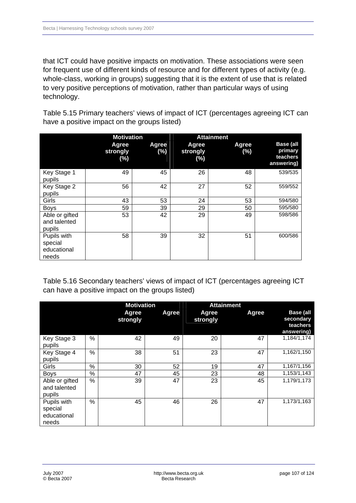that ICT could have positive impacts on motivation. These associations were seen for frequent use of different kinds of resource and for different types of activity (e.g. whole-class, working in groups) suggesting that it is the extent of use that is related to very positive perceptions of motivation, rather than particular ways of using technology.

Table 5.15 Primary teachers' views of impact of ICT (percentages agreeing ICT can have a positive impact on the groups listed)

|                                                | <b>Motivation</b>           |              | <b>Attainment</b>           |              |                                                       |
|------------------------------------------------|-----------------------------|--------------|-----------------------------|--------------|-------------------------------------------------------|
|                                                | Agree<br>strongly<br>$(\%)$ | Agree<br>(%) | Agree<br>strongly<br>$(\%)$ | Agree<br>(%) | <b>Base (all</b><br>primary<br>teachers<br>answering) |
| Key Stage 1<br>pupils                          | 49                          | 45           | 26                          | 48           | 539/535                                               |
| Key Stage 2<br>pupils                          | 56                          | 42           | 27                          | 52           | 559/552                                               |
| Girls                                          | 43                          | 53           | 24                          | 53           | 594/580                                               |
| <b>Boys</b>                                    | 59                          | 39           | 29                          | 50           | 595/580                                               |
| Able or gifted<br>and talented<br>pupils       | 53                          | 42           | 29                          | 49           | 598/586                                               |
| Pupils with<br>special<br>educational<br>needs | 58                          | 39           | 32                          | 51           | 600/586                                               |

Table 5.16 Secondary teachers' views of impact of ICT (percentages agreeing ICT can have a positive impact on the groups listed)

|                                                |      | <b>Motivation</b> |       |                   | <b>Attainment</b> |                                                         |
|------------------------------------------------|------|-------------------|-------|-------------------|-------------------|---------------------------------------------------------|
|                                                |      | Agree<br>strongly | Agree | Agree<br>strongly | Agree             | <b>Base (all</b><br>secondary<br>teachers<br>answering) |
| Key Stage 3<br>pupils                          | %    | 42                | 49    | 20                | 47                | 1,184/1,174                                             |
| Key Stage 4<br>pupils                          | %    | 38                | 51    | 23                | 47                | 1,162/1,150                                             |
| Girls                                          | $\%$ | 30                | 52    | 19                | 47                | 1,167/1,156                                             |
| <b>Boys</b>                                    | %    | 47                | 45    | 23                | 48                | 1,153/1,143                                             |
| Able or gifted<br>and talented<br>pupils       | %    | 39                | 47    | 23                | 45                | 1,179/1,173                                             |
| Pupils with<br>special<br>educational<br>needs | %    | 45                | 46    | 26                | 47                | 1,173/1,163                                             |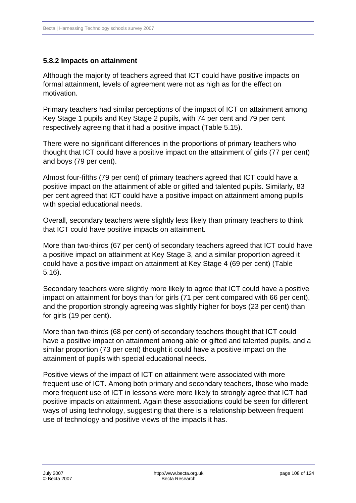#### **5.8.2 Impacts on attainment**

Although the majority of teachers agreed that ICT could have positive impacts on formal attainment, levels of agreement were not as high as for the effect on motivation.

Primary teachers had similar perceptions of the impact of ICT on attainment among Key Stage 1 pupils and Key Stage 2 pupils, with 74 per cent and 79 per cent respectively agreeing that it had a positive impact (Table 5.15).

There were no significant differences in the proportions of primary teachers who thought that ICT could have a positive impact on the attainment of girls (77 per cent) and boys (79 per cent).

Almost four-fifths (79 per cent) of primary teachers agreed that ICT could have a positive impact on the attainment of able or gifted and talented pupils. Similarly, 83 per cent agreed that ICT could have a positive impact on attainment among pupils with special educational needs.

Overall, secondary teachers were slightly less likely than primary teachers to think that ICT could have positive impacts on attainment.

More than two-thirds (67 per cent) of secondary teachers agreed that ICT could have a positive impact on attainment at Key Stage 3, and a similar proportion agreed it could have a positive impact on attainment at Key Stage 4 (69 per cent) (Table 5.16).

Secondary teachers were slightly more likely to agree that ICT could have a positive impact on attainment for boys than for girls (71 per cent compared with 66 per cent), and the proportion strongly agreeing was slightly higher for boys (23 per cent) than for girls (19 per cent).

More than two-thirds (68 per cent) of secondary teachers thought that ICT could have a positive impact on attainment among able or gifted and talented pupils, and a similar proportion (73 per cent) thought it could have a positive impact on the attainment of pupils with special educational needs.

Positive views of the impact of ICT on attainment were associated with more frequent use of ICT. Among both primary and secondary teachers, those who made more frequent use of ICT in lessons were more likely to strongly agree that ICT had positive impacts on attainment. Again these associations could be seen for different ways of using technology, suggesting that there is a relationship between frequent use of technology and positive views of the impacts it has.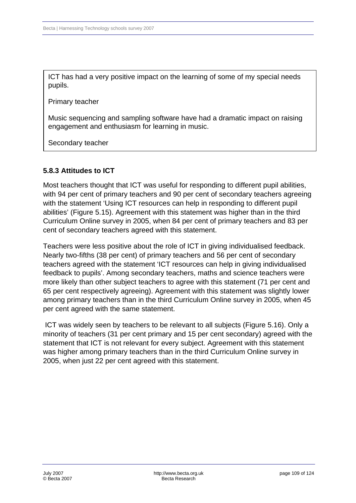ICT has had a very positive impact on the learning of some of my special needs pupils.

Primary teacher

Music sequencing and sampling software have had a dramatic impact on raising engagement and enthusiasm for learning in music.

Secondary teacher

#### **5.8.3Attitudes to ICT**

Most teachers thought that ICT was useful for responding to different pupil abilities, with 94 per cent of primary teachers and 90 per cent of secondary teachers agreeing with the statement 'Using ICT resources can help in responding to different pupil abilities' (Figure 5.15). Agreement with this statement was higher than in the third Curriculum Online survey in 2005, when 84 per cent of primary teachers and 83 per cent of secondary teachers agreed with this statement.

Teachers were less positive about the role of ICT in giving individualised feedback. Nearly two-fifths (38 per cent) of primary teachers and 56 per cent of secondary teachers agreed with the statement 'ICT resources can help in giving individualised feedback to pupils'. Among secondary teachers, maths and science teachers were more likely than other subject teachers to agree with this statement (71 per cent and 65 per cent respectively agreeing). Agreement with this statement was slightly lower among primary teachers than in the third Curriculum Online survey in 2005, when 45 per cent agreed with the same statement.

 ICT was widely seen by teachers to be relevant to all subjects (Figure 5.16). Only a minority of teachers (31 per cent primary and 15 per cent secondary) agreed with the statement that ICT is not relevant for every subject. Agreement with this statement was higher among primary teachers than in the third Curriculum Online survey in 2005, when just 22 per cent agreed with this statement.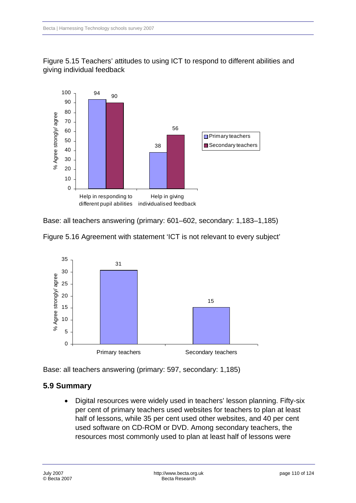



Base: all teachers answering (primary: 601–602, secondary: 1,183–1,185)





Base: all teachers answering (primary: 597, secondary: 1,185)

# **5.9 Summary**

• Digital resources were widely used in teachers' lesson planning. Fifty-six per cent of primary teachers used websites for teachers to plan at least half of lessons, while 35 per cent used other websites, and 40 per cent used software on CD-ROM or DVD. Among secondary teachers, the resources most commonly used to plan at least half of lessons were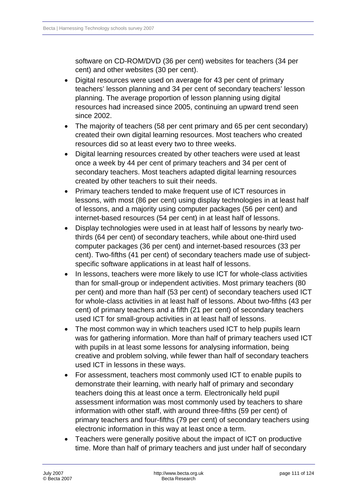software on CD-ROM/DVD (36 per cent) websites for teachers (34 per cent) and other websites (30 per cent).

- Digital resources were used on average for 43 per cent of primary teachers' lesson planning and 34 per cent of secondary teachers' lesson planning. The average proportion of lesson planning using digital resources had increased since 2005, continuing an upward trend seen since 2002.
- The majority of teachers (58 per cent primary and 65 per cent secondary) created their own digital learning resources. Most teachers who created resources did so at least every two to three weeks.
- Digital learning resources created by other teachers were used at least once a week by 44 per cent of primary teachers and 34 per cent of secondary teachers. Most teachers adapted digital learning resources created by other teachers to suit their needs.
- Primary teachers tended to make frequent use of ICT resources in lessons, with most (86 per cent) using display technologies in at least half of lessons, and a majority using computer packages (56 per cent) and internet-based resources (54 per cent) in at least half of lessons.
- Display technologies were used in at least half of lessons by nearly twothirds (64 per cent) of secondary teachers, while about one-third used computer packages (36 per cent) and internet-based resources (33 per cent). Two-fifths (41 per cent) of secondary teachers made use of subjectspecific software applications in at least half of lessons.
- In lessons, teachers were more likely to use ICT for whole-class activities than for small-group or independent activities. Most primary teachers (80 per cent) and more than half (53 per cent) of secondary teachers used ICT for whole-class activities in at least half of lessons. About two-fifths (43 per cent) of primary teachers and a fifth (21 per cent) of secondary teachers used ICT for small-group activities in at least half of lessons.
- The most common way in which teachers used ICT to help pupils learn was for gathering information. More than half of primary teachers used ICT with pupils in at least some lessons for analysing information, being creative and problem solving, while fewer than half of secondary teachers used ICT in lessons in these ways.
- For assessment, teachers most commonly used ICT to enable pupils to demonstrate their learning, with nearly half of primary and secondary teachers doing this at least once a term. Electronically held pupil assessment information was most commonly used by teachers to share information with other staff, with around three-fifths (59 per cent) of primary teachers and four-fifths (79 per cent) of secondary teachers using electronic information in this way at least once a term.
- Teachers were generally positive about the impact of ICT on productive time. More than half of primary teachers and just under half of secondary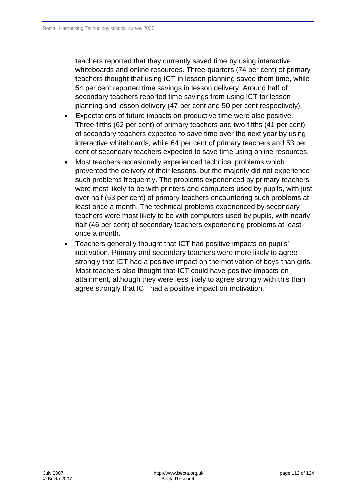teachers reported that they currently saved time by using interactive whiteboards and online resources. Three-quarters (74 per cent) of primary teachers thought that using ICT in lesson planning saved them time, while 54 per cent reported time savings in lesson delivery. Around half of secondary teachers reported time savings from using ICT for lesson planning and lesson delivery (47 per cent and 50 per cent respectively).

- Expectations of future impacts on productive time were also positive. Three-fifths (62 per cent) of primary teachers and two-fifths (41 per cent) of secondary teachers expected to save time over the next year by using interactive whiteboards, while 64 per cent of primary teachers and 53 per cent of secondary teachers expected to save time using online resources.
- Most teachers occasionally experienced technical problems which prevented the delivery of their lessons, but the majority did not experience such problems frequently. The problems experienced by primary teachers were most likely to be with printers and computers used by pupils, with just over half (53 per cent) of primary teachers encountering such problems at least once a month. The technical problems experienced by secondary teachers were most likely to be with computers used by pupils, with nearly half (46 per cent) of secondary teachers experiencing problems at least once a month.
- Teachers generally thought that ICT had positive impacts on pupils' motivation. Primary and secondary teachers were more likely to agree strongly that ICT had a positive impact on the motivation of boys than girls. Most teachers also thought that ICT could have positive impacts on attainment, although they were less likely to agree strongly with this than agree strongly that ICT had a positive impact on motivation.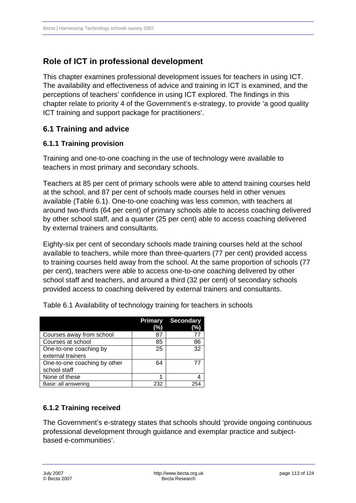# **Role of ICT in professional development**

This chapter examines professional development issues for teachers in using ICT. The availability and effectiveness of advice and training in ICT is examined, and the perceptions of teachers' confidence in using ICT explored. The findings in this chapter relate to priority 4 of the Government's e-strategy, to provide 'a good quality ICT training and support package for practitioners'.

### **6.1Training and advice**

### **6.1.1 Training provision**

Training and one-to-one coaching in the use of technology were available to teachers in most primary and secondary schools.

Teachers at 85 per cent of primary schools were able to attend training courses held at the school, and 87 per cent of schools made courses held in other venues available (Table 6.1). One-to-one coaching was less common, with teachers at around two-thirds (64 per cent) of primary schools able to access coaching delivered by other school staff, and a quarter (25 per cent) able to access coaching delivered by external trainers and consultants.

Eighty-six per cent of secondary schools made training courses held at the school available to teachers, while more than three-quarters (77 per cent) provided access to training courses held away from the school. At the same proportion of schools (77 per cent), teachers were able to access one-to-one coaching delivered by other school staff and teachers, and around a third (32 per cent) of secondary schools provided access to coaching delivered by external trainers and consultants.

|                                              | <b>Primary</b><br>(%) | <b>Secondary</b><br>(%) |
|----------------------------------------------|-----------------------|-------------------------|
| Courses away from school                     | 87                    | 77                      |
| Courses at school                            | 85                    | 86                      |
| One-to-one coaching by<br>external trainers  | 25                    | 32                      |
| One-to-one coaching by other<br>school staff | 64                    | 77                      |
| None of these                                |                       |                         |
| Base: all answering                          | 232                   | 254                     |

Table 6.1 Availability of technology training for teachers in schools

### **6.1.2Training received**

The Government's e-strategy states that schools should 'provide ongoing continuous professional development through guidance and exemplar practice and subjectbased e-communities'.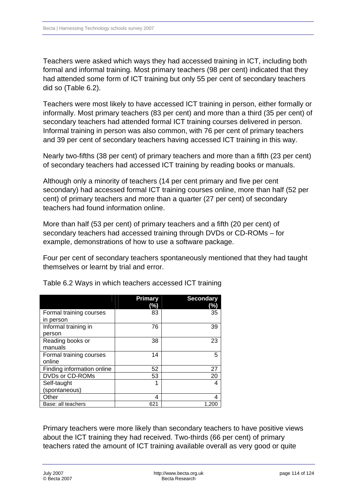Teachers were asked which ways they had accessed training in ICT, including both formal and informal training. Most primary teachers (98 per cent) indicated that they had attended some form of ICT training but only 55 per cent of secondary teachers did so (Table 6.2).

Teachers were most likely to have accessed ICT training in person, either formally or informally. Most primary teachers (83 per cent) and more than a third (35 per cent) of secondary teachers had attended formal ICT training courses delivered in person. Informal training in person was also common, with 76 per cent of primary teachers and 39 per cent of secondary teachers having accessed ICT training in this way.

Nearly two-fifths (38 per cent) of primary teachers and more than a fifth (23 per cent) of secondary teachers had accessed ICT training by reading books or manuals.

Although only a minority of teachers (14 per cent primary and five per cent secondary) had accessed formal ICT training courses online, more than half (52 per cent) of primary teachers and more than a quarter (27 per cent) of secondary teachers had found information online.

More than half (53 per cent) of primary teachers and a fifth (20 per cent) of secondary teachers had accessed training through DVDs or CD-ROMs – for example, demonstrations of how to use a software package.

Four per cent of secondary teachers spontaneously mentioned that they had taught themselves or learnt by trial and error.

|                            | <b>Primary</b><br>(%) | <b>Secondary</b><br>(%) |
|----------------------------|-----------------------|-------------------------|
| Formal training courses    | 83                    | 35                      |
| in person                  |                       |                         |
| Informal training in       | 76                    | 39                      |
| person                     |                       |                         |
| Reading books or           | 38                    | 23                      |
| manuals                    |                       |                         |
| Formal training courses    | 14                    | 5                       |
| online                     |                       |                         |
| Finding information online | 52                    | 27                      |
| DVDs or CD-ROMs            | 53                    | 20                      |
| Self-taught                | 1                     | Δ                       |
| (spontaneous)              |                       |                         |
| Other                      | 4                     |                         |
| Base: all teachers         | 621                   | 1.200                   |

Table 6.2 Ways in which teachers accessed ICT training

Primary teachers were more likely than secondary teachers to have positive views about the ICT training they had received. Two-thirds (66 per cent) of primary teachers rated the amount of ICT training available overall as very good or quite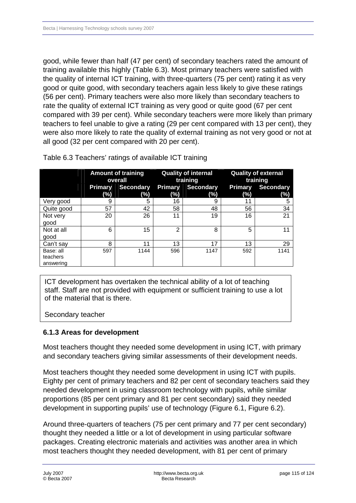good, while fewer than half (47 per cent) of secondary teachers rated the amount of training available this highly (Table 6.3). Most primary teachers were satisfied with the quality of internal ICT training, with three-quarters (75 per cent) rating it as very good or quite good, with secondary teachers again less likely to give these ratings (56 per cent). Primary teachers were also more likely than secondary teachers to rate the quality of external ICT training as very good or quite good (67 per cent compared with 39 per cent). While secondary teachers were more likely than primary teachers to feel unable to give a rating (29 per cent compared with 13 per cent), they were also more likely to rate the quality of external training as not very good or not at all good (32 per cent compared with 20 per cent).

|                                    | <b>Amount of training</b><br>overall |                         | <b>Quality of internal</b><br>training |                         | <b>Quality of external</b><br>training |                         |
|------------------------------------|--------------------------------------|-------------------------|----------------------------------------|-------------------------|----------------------------------------|-------------------------|
|                                    | Primary<br>(%)                       | <b>Secondary</b><br>(%) | <b>Primary</b><br>$(\%)$               | <b>Secondary</b><br>(%) | <b>Primary</b><br>$(\%)$               | <b>Secondary</b><br>(%) |
| Very good                          | 9                                    | 5                       | 16                                     | 9                       | 11                                     | 5                       |
| Quite good                         | 57                                   | 42                      | 58                                     | 48                      | 56                                     | 34                      |
| Not very<br>good                   | 20                                   | 26                      | 11                                     | 19                      | 16                                     | 21                      |
| Not at all<br>good                 | 6                                    | 15                      | $\overline{2}$                         | 8                       | 5                                      | 11                      |
| Can't say                          | 8                                    | 11                      | 13                                     | 17                      | 13                                     | 29                      |
| Base: all<br>teachers<br>answering | 597                                  | 1144                    | 596                                    | 1147                    | 592                                    | 1141                    |

Table 6.3 Teachers' ratings of available ICT training

ICT development has overtaken the technical ability of a lot of teaching staff. Staff are not provided with equipment or sufficient training to use a lot of the material that is there.

Secondary teacher

### **6.1.3Areas for development**

Most teachers thought they needed some development in using ICT, with primary and secondary teachers giving similar assessments of their development needs.

Most teachers thought they needed some development in using ICT with pupils. Eighty per cent of primary teachers and 82 per cent of secondary teachers said they needed development in using classroom technology with pupils, while similar proportions (85 per cent primary and 81 per cent secondary) said they needed development in supporting pupils' use of technology (Figure 6.1, Figure 6.2).

Around three-quarters of teachers (75 per cent primary and 77 per cent secondary) thought they needed a little or a lot of development in using particular software packages. Creating electronic materials and activities was another area in which most teachers thought they needed development, with 81 per cent of primary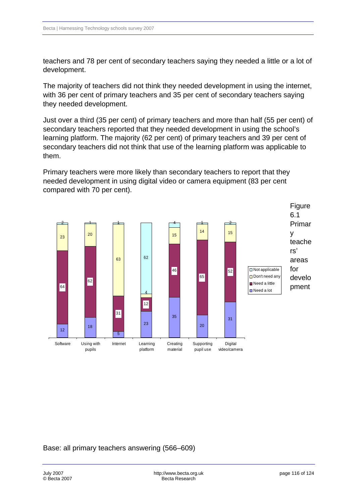teachers and 78 per cent of secondary teachers saying they needed a little or a lot of development.

The majority of teachers did not think they needed development in using the internet, with 36 per cent of primary teachers and 35 per cent of secondary teachers saying they needed development.

Just over a third (35 per cent) of primary teachers and more than half (55 per cent) of secondary teachers reported that they needed development in using the school's learning platform. The majority (62 per cent) of primary teachers and 39 per cent of secondary teachers did not think that use of the learning platform was applicable to them.

Primary teachers were more likely than secondary teachers to report that they needed development in using digital video or camera equipment (83 per cent compared with 70 per cent).



Base: all primary teachers answering (566–609)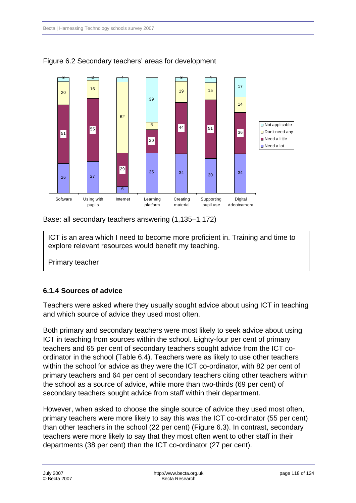

Figure 6.2 Secondary teachers' areas for development

Base: all secondary teachers answering (1,135–1,172)

ICT is an area which I need to become more proficient in. Training and time to explore relevant resources would benefit my teaching.

Primary teacher

### **6.1.4Sources of advice**

Teachers were asked where they usually sought advice about using ICT in teaching and which source of advice they used most often.

Both primary and secondary teachers were most likely to seek advice about using ICT in teaching from sources within the school. Eighty-four per cent of primary teachers and 65 per cent of secondary teachers sought advice from the ICT coordinator in the school (Table 6.4). Teachers were as likely to use other teachers within the school for advice as they were the ICT co-ordinator, with 82 per cent of primary teachers and 64 per cent of secondary teachers citing other teachers within the school as a source of advice, while more than two-thirds (69 per cent) of secondary teachers sought advice from staff within their department.

However, when asked to choose the single source of advice they used most often, primary teachers were more likely to say this was the ICT co-ordinator (55 per cent) than other teachers in the school (22 per cent) (Figure 6.3). In contrast, secondary teachers were more likely to say that they most often went to other staff in their departments (38 per cent) than the ICT co-ordinator (27 per cent).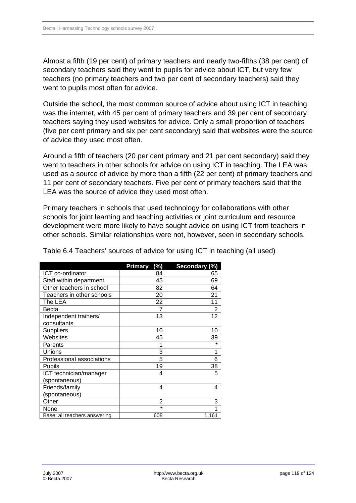Almost a fifth (19 per cent) of primary teachers and nearly two-fifths (38 per cent) of secondary teachers said they went to pupils for advice about ICT, but very few teachers (no primary teachers and two per cent of secondary teachers) said they went to pupils most often for advice.

Outside the school, the most common source of advice about using ICT in teaching was the internet, with 45 per cent of primary teachers and 39 per cent of secondary teachers saying they used websites for advice. Only a small proportion of teachers (five per cent primary and six per cent secondary) said that websites were the source of advice they used most often.

Around a fifth of teachers (20 per cent primary and 21 per cent secondary) said they went to teachers in other schools for advice on using ICT in teaching. The LEA was used as a source of advice by more than a fifth (22 per cent) of primary teachers and 11 per cent of secondary teachers. Five per cent of primary teachers said that the LEA was the source of advice they used most often.

Primary teachers in schools that used technology for collaborations with other schools for joint learning and teaching activities or joint curriculum and resource development were more likely to have sought advice on using ICT from teachers in other schools. Similar relationships were not, however, seen in secondary schools.

|                              | (%)<br>Primary | Secondary (%) |
|------------------------------|----------------|---------------|
| ICT co-ordinator             | 84             | 65            |
| Staff within department      | 45             | 69            |
| Other teachers in school     | 82             | 64            |
| Teachers in other schools    | 20             | 21            |
| The LEA                      | 22             | 11            |
| Becta                        | 7              | 2             |
| Independent trainers/        | 13             | 12            |
| consultants                  |                |               |
| <b>Suppliers</b>             | 10             | 10            |
| Websites                     | 45             | 39            |
| Parents                      |                | $\star$       |
| Unions                       | 3              | 1             |
| Professional associations    | 5              | 6             |
| Pupils                       | 19             | 38            |
| ICT technician/manager       | 4              | 5             |
| (spontaneous)                |                |               |
| Friends/family               | 4              | 4             |
| (spontaneous)                |                |               |
| Other                        | 2              | 3             |
| None                         | $\star$        | 1             |
| Base: all teachers answering | 608            | 1,161         |

Table 6.4 Teachers' sources of advice for using ICT in teaching (all used)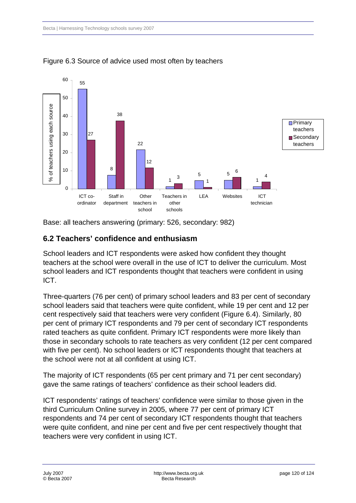

Figure 6.3 Source of advice used most often by teachers

Base: all teachers answering (primary: 526, secondary: 982)

### **6.2 Teachers' confidence and enthusiasm**

School leaders and ICT respondents were asked how confident they thought teachers at the school were overall in the use of ICT to deliver the curriculum. Most school leaders and ICT respondents thought that teachers were confident in using ICT.

Three-quarters (76 per cent) of primary school leaders and 83 per cent of secondary school leaders said that teachers were quite confident, while 19 per cent and 12 per cent respectively said that teachers were very confident (Figure 6.4). Similarly, 80 per cent of primary ICT respondents and 79 per cent of secondary ICT respondents rated teachers as quite confident. Primary ICT respondents were more likely than those in secondary schools to rate teachers as very confident (12 per cent compared with five per cent). No school leaders or ICT respondents thought that teachers at the school were not at all confident at using ICT.

The majority of ICT respondents (65 per cent primary and 71 per cent secondary) gave the same ratings of teachers' confidence as their school leaders did.

ICT respondents' ratings of teachers' confidence were similar to those given in the third Curriculum Online survey in 2005, where 77 per cent of primary ICT respondents and 74 per cent of secondary ICT respondents thought that teachers were quite confident, and nine per cent and five per cent respectively thought that teachers were very confident in using ICT.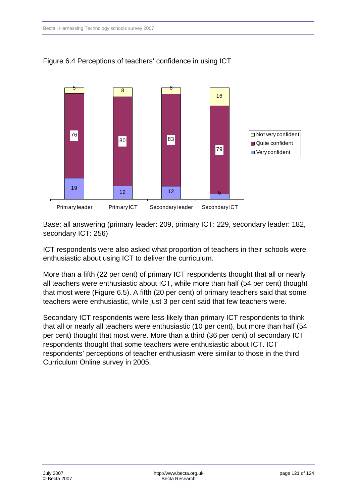

Figure 6.4 Perceptions of teachers' confidence in using ICT

Base: all answering (primary leader: 209, primary ICT: 229, secondary leader: 182, secondary ICT: 256)

ICT respondents were also asked what proportion of teachers in their schools were enthusiastic about using ICT to deliver the curriculum.

More than a fifth (22 per cent) of primary ICT respondents thought that all or nearly all teachers were enthusiastic about ICT, while more than half (54 per cent) thought that most were (Figure 6.5). A fifth (20 per cent) of primary teachers said that some teachers were enthusiastic, while just 3 per cent said that few teachers were.

Secondary ICT respondents were less likely than primary ICT respondents to think that all or nearly all teachers were enthusiastic (10 per cent), but more than half (54 per cent) thought that most were. More than a third (36 per cent) of secondary ICT respondents thought that some teachers were enthusiastic about ICT. ICT respondents' perceptions of teacher enthusiasm were similar to those in the third Curriculum Online survey in 2005.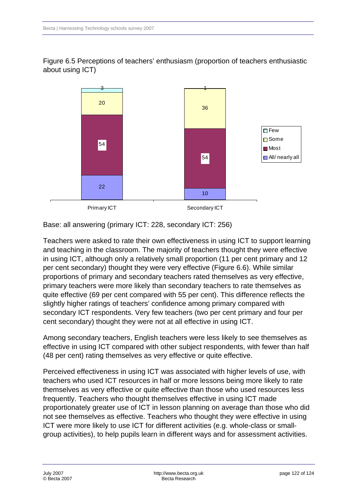Figure 6.5 Perceptions of teachers' enthusiasm (proportion of teachers enthusiastic about using ICT)



Base: all answering (primary ICT: 228, secondary ICT: 256)

Teachers were asked to rate their own effectiveness in using ICT to support learning and teaching in the classroom. The majority of teachers thought they were effective in using ICT, although only a relatively small proportion (11 per cent primary and 12 per cent secondary) thought they were very effective (Figure 6.6). While similar proportions of primary and secondary teachers rated themselves as very effective, primary teachers were more likely than secondary teachers to rate themselves as quite effective (69 per cent compared with 55 per cent). This difference reflects the slightly higher ratings of teachers' confidence among primary compared with secondary ICT respondents. Very few teachers (two per cent primary and four per cent secondary) thought they were not at all effective in using ICT.

Among secondary teachers, English teachers were less likely to see themselves as effective in using ICT compared with other subject respondents, with fewer than half (48 per cent) rating themselves as very effective or quite effective.

Perceived effectiveness in using ICT was associated with higher levels of use, with teachers who used ICT resources in half or more lessons being more likely to rate themselves as very effective or quite effective than those who used resources less frequently. Teachers who thought themselves effective in using ICT made proportionately greater use of ICT in lesson planning on average than those who did not see themselves as effective. Teachers who thought they were effective in using ICT were more likely to use ICT for different activities (e.g. whole-class or smallgroup activities), to help pupils learn in different ways and for assessment activities.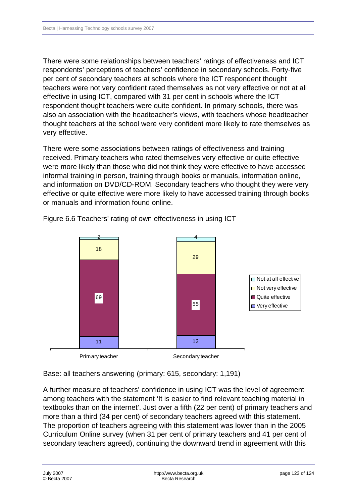There were some relationships between teachers' ratings of effectiveness and ICT respondents' perceptions of teachers' confidence in secondary schools. Forty-five per cent of secondary teachers at schools where the ICT respondent thought teachers were not very confident rated themselves as not very effective or not at all effective in using ICT, compared with 31 per cent in schools where the ICT respondent thought teachers were quite confident. In primary schools, there was also an association with the headteacher's views, with teachers whose headteacher thought teachers at the school were very confident more likely to rate themselves as very effective.

There were some associations between ratings of effectiveness and training received. Primary teachers who rated themselves very effective or quite effective were more likely than those who did not think they were effective to have accessed informal training in person, training through books or manuals, information online, and information on DVD/CD-ROM. Secondary teachers who thought they were very effective or quite effective were more likely to have accessed training through books or manuals and information found online.



Figure 6.6 Teachers' rating of own effectiveness in using ICT

Base: all teachers answering (primary: 615, secondary: 1,191)

A further measure of teachers' confidence in using ICT was the level of agreement among teachers with the statement 'It is easier to find relevant teaching material in textbooks than on the internet'. Just over a fifth (22 per cent) of primary teachers and more than a third (34 per cent) of secondary teachers agreed with this statement. The proportion of teachers agreeing with this statement was lower than in the 2005 Curriculum Online survey (when 31 per cent of primary teachers and 41 per cent of secondary teachers agreed), continuing the downward trend in agreement with this